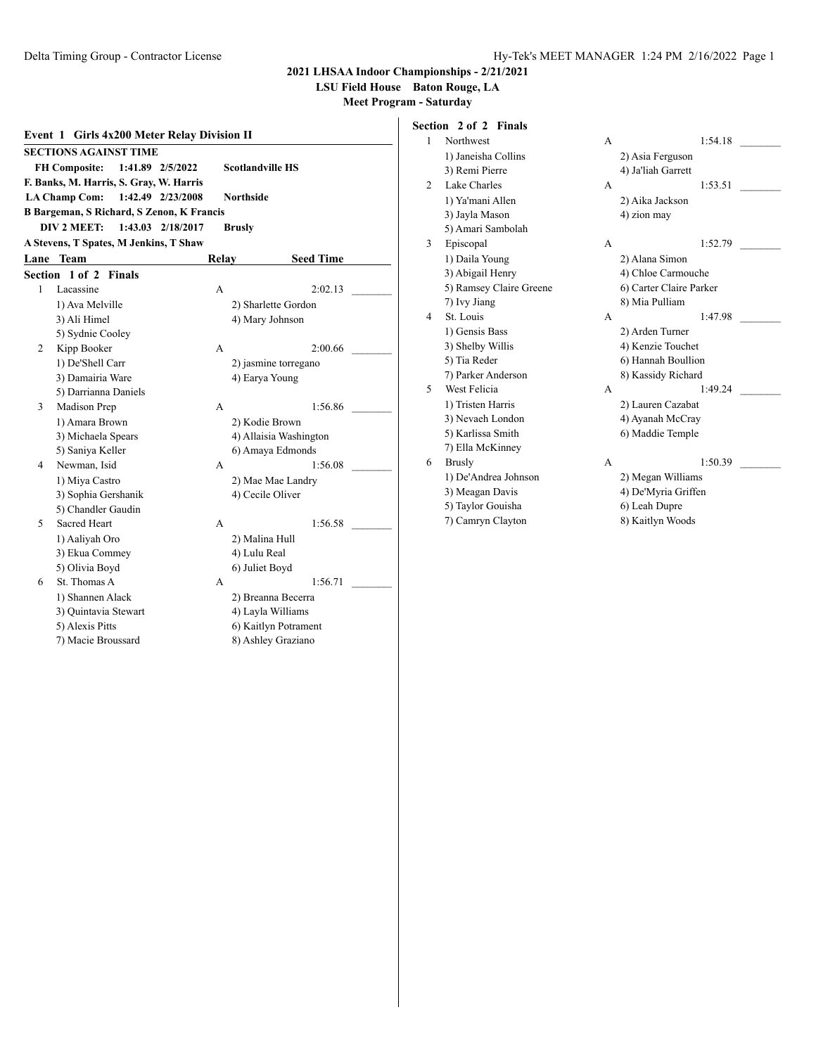A 1:54.18 \_

**2021 LHSAA Indoor Championships - 2/21/2021**

**LSU Field House Baton Rouge, LA**

| Event 1 Girls 4x200 Meter Relay Division II |                                                                     |       |                        |  |  |  |  |  |
|---------------------------------------------|---------------------------------------------------------------------|-------|------------------------|--|--|--|--|--|
| <b>SECTIONS AGAINST TIME</b>                |                                                                     |       |                        |  |  |  |  |  |
|                                             | <b>FH Composite:</b><br><b>Scotlandville HS</b><br>1:41.89 2/5/2022 |       |                        |  |  |  |  |  |
|                                             | F. Banks, M. Harris, S. Gray, W. Harris                             |       |                        |  |  |  |  |  |
|                                             | <b>LA Champ Com:</b><br>1:42.49 2/23/2008<br><b>Northside</b>       |       |                        |  |  |  |  |  |
|                                             | <b>B Bargeman, S Richard, S Zenon, K Francis</b>                    |       |                        |  |  |  |  |  |
|                                             | 1:43.03 2/18/2017<br>DIV 2 MEET:                                    |       | <b>Brusly</b>          |  |  |  |  |  |
|                                             | A Stevens, T Spates, M Jenkins, T Shaw                              |       |                        |  |  |  |  |  |
|                                             | <b>Lane Team</b>                                                    | Relav | <b>Seed Time</b>       |  |  |  |  |  |
| Section                                     | 1 of 2<br><b>Finals</b>                                             |       |                        |  |  |  |  |  |
| 1                                           | Lacassine                                                           | A     | 2:02.13                |  |  |  |  |  |
|                                             | 1) Ava Melville                                                     |       | 2) Sharlette Gordon    |  |  |  |  |  |
|                                             | 3) Ali Himel                                                        |       | 4) Mary Johnson        |  |  |  |  |  |
|                                             | 5) Sydnie Cooley                                                    |       |                        |  |  |  |  |  |
| 2                                           | Kipp Booker                                                         | A     | 2:00.66                |  |  |  |  |  |
|                                             | 1) De'Shell Carr                                                    |       | 2) jasmine torregano   |  |  |  |  |  |
|                                             | 3) Damairia Ware                                                    |       | 4) Earya Young         |  |  |  |  |  |
|                                             | 5) Darrianna Daniels                                                |       |                        |  |  |  |  |  |
| 3                                           | Madison Prep                                                        | A     | 1:56.86                |  |  |  |  |  |
|                                             | 1) Amara Brown                                                      |       | 2) Kodie Brown         |  |  |  |  |  |
|                                             | 3) Michaela Spears                                                  |       | 4) Allaisia Washington |  |  |  |  |  |
|                                             | 5) Saniya Keller                                                    |       | 6) Amaya Edmonds       |  |  |  |  |  |
| 4                                           | Newman, Isid                                                        | A     | 1:56.08                |  |  |  |  |  |
|                                             | 1) Miya Castro                                                      |       | 2) Mae Mae Landry      |  |  |  |  |  |
|                                             | 3) Sophia Gershanik                                                 |       | 4) Cecile Oliver       |  |  |  |  |  |
|                                             | 5) Chandler Gaudin                                                  |       |                        |  |  |  |  |  |
| 5                                           | Sacred Heart                                                        | A     | 1:56.58                |  |  |  |  |  |
|                                             | 1) Aaliyah Oro                                                      |       | 2) Malina Hull         |  |  |  |  |  |
|                                             | 3) Ekua Commey                                                      |       | 4) Lulu Real           |  |  |  |  |  |
|                                             | 5) Olivia Boyd                                                      |       | 6) Juliet Boyd         |  |  |  |  |  |
| 6                                           | St. Thomas A                                                        | A     | 1:56.71                |  |  |  |  |  |
|                                             | 1) Shannen Alack                                                    |       | 2) Breanna Becerra     |  |  |  |  |  |
|                                             | 3) Quintavia Stewart                                                |       | 4) Layla Williams      |  |  |  |  |  |
|                                             | 5) Alexis Pitts                                                     |       | 6) Kaitlyn Potrament   |  |  |  |  |  |
|                                             | 7) Macie Broussard                                                  |       | 8) Ashley Graziano     |  |  |  |  |  |

| Section 2 of 2 Finals |
|-----------------------|
| 1 Northwest           |
| 1) Janeisha Collins   |
| 3) Remi Pierre        |

|                             | 1) Janeisha Collins     |   | 2) Asia Ferguson        |  |
|-----------------------------|-------------------------|---|-------------------------|--|
|                             | 3) Remi Pierre          |   | 4) Ja'liah Garrett      |  |
| $\mathcal{D}_{\mathcal{L}}$ | Lake Charles            | A | 1:53.51                 |  |
|                             | 1) Ya'mani Allen        |   | 2) Aika Jackson         |  |
|                             | 3) Jayla Mason          |   | 4) zion may             |  |
|                             | 5) Amari Sambolah       |   |                         |  |
| 3                           | Episcopal               | A | 1:52.79                 |  |
|                             | 1) Daila Young          |   | 2) Alana Simon          |  |
|                             | 3) Abigail Henry        |   | 4) Chloe Carmouche      |  |
|                             | 5) Ramsey Claire Greene |   | 6) Carter Claire Parker |  |
|                             | 7) Ivy Jiang            |   | 8) Mia Pulliam          |  |
| 4                           | St. Louis               | A | 1:47.98                 |  |
|                             | 1) Gensis Bass          |   | 2) Arden Turner         |  |
|                             | 3) Shelby Willis        |   | 4) Kenzie Touchet       |  |
|                             | 5) Tia Reder            |   | 6) Hannah Boullion      |  |
|                             | 7) Parker Anderson      |   | 8) Kassidy Richard      |  |
| 5                           | West Felicia            | A | 1:49.24                 |  |
|                             | 1) Tristen Harris       |   | 2) Lauren Cazabat       |  |
|                             | 3) Nevaeh London        |   | 4) Ayanah McCray        |  |
|                             | 5) Karlissa Smith       |   | 6) Maddie Temple        |  |
|                             | 7) Ella McKinney        |   |                         |  |
| 6                           | <b>Brusly</b>           | A | 1:50.39                 |  |
|                             | 1) De'Andrea Johnson    |   | 2) Megan Williams       |  |
|                             | 3) Meagan Davis         |   | 4) De'Myria Griffen     |  |
|                             | 5) Taylor Gouisha       |   | 6) Leah Dupre           |  |
|                             | 7) Camryn Clayton       |   | 8) Kaitlyn Woods        |  |
|                             |                         |   |                         |  |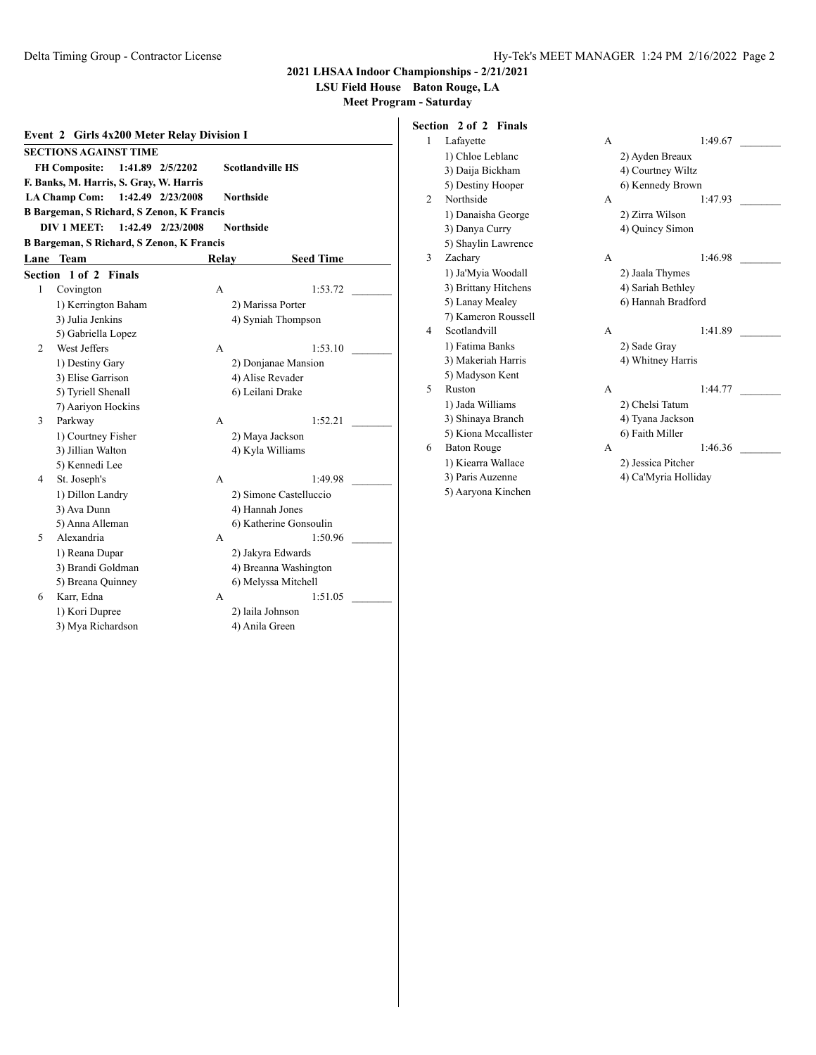**LSU Field House Baton Rouge, LA**

**Meet Program - Saturday**

| Event 2 Girls 4x200 Meter Relay Division I                          |                                                               |                   |                        |  |  |  |  |  |
|---------------------------------------------------------------------|---------------------------------------------------------------|-------------------|------------------------|--|--|--|--|--|
|                                                                     | <b>SECTIONS AGAINST TIME</b>                                  |                   |                        |  |  |  |  |  |
| <b>Scotlandville HS</b><br><b>FH Composite:</b><br>1:41.89 2/5/2202 |                                                               |                   |                        |  |  |  |  |  |
|                                                                     | F. Banks, M. Harris, S. Gray, W. Harris                       |                   |                        |  |  |  |  |  |
|                                                                     | 1:42.49 2/23/2008<br><b>LA Champ Com:</b><br><b>Northside</b> |                   |                        |  |  |  |  |  |
|                                                                     | <b>B Bargeman, S Richard, S Zenon, K Francis</b>              |                   |                        |  |  |  |  |  |
|                                                                     | <b>DIV 1 MEET:</b>                                            | 1:42.49 2/23/2008 | <b>Northside</b>       |  |  |  |  |  |
|                                                                     | <b>B Bargeman, S Richard, S Zenon, K Francis</b>              |                   |                        |  |  |  |  |  |
|                                                                     | Lane Team                                                     | Relay             | <b>Seed Time</b>       |  |  |  |  |  |
|                                                                     | Section 1 of 2 Finals                                         |                   |                        |  |  |  |  |  |
| 1                                                                   | Covington                                                     | A                 | 1:53.72                |  |  |  |  |  |
|                                                                     | 1) Kerrington Baham                                           |                   | 2) Marissa Porter      |  |  |  |  |  |
|                                                                     | 3) Julia Jenkins                                              |                   | 4) Syniah Thompson     |  |  |  |  |  |
|                                                                     | 5) Gabriella Lopez                                            |                   |                        |  |  |  |  |  |
| 2                                                                   | West Jeffers                                                  | A                 | 1:53.10                |  |  |  |  |  |
|                                                                     | 1) Destiny Gary                                               |                   | 2) Donjanae Mansion    |  |  |  |  |  |
|                                                                     | 3) Elise Garrison                                             |                   | 4) Alise Revader       |  |  |  |  |  |
|                                                                     | 5) Tyriell Shenall                                            |                   | 6) Leilani Drake       |  |  |  |  |  |
|                                                                     | 7) Aariyon Hockins                                            |                   |                        |  |  |  |  |  |
| 3                                                                   | Parkway                                                       | A                 | 1:52.21                |  |  |  |  |  |
|                                                                     | 1) Courtney Fisher                                            |                   | 2) Maya Jackson        |  |  |  |  |  |
|                                                                     | 3) Jillian Walton                                             |                   | 4) Kyla Williams       |  |  |  |  |  |
|                                                                     | 5) Kennedi Lee                                                |                   |                        |  |  |  |  |  |
| 4                                                                   | St. Joseph's                                                  | A                 | 1:49.98                |  |  |  |  |  |
|                                                                     | 1) Dillon Landry                                              |                   | 2) Simone Castelluccio |  |  |  |  |  |
|                                                                     | 3) Ava Dunn                                                   |                   | 4) Hannah Jones        |  |  |  |  |  |
|                                                                     | 5) Anna Alleman                                               |                   | 6) Katherine Gonsoulin |  |  |  |  |  |
| 5                                                                   | Alexandria                                                    | A                 | 1:50.96                |  |  |  |  |  |
|                                                                     | 1) Reana Dupar                                                |                   | 2) Jakyra Edwards      |  |  |  |  |  |
|                                                                     | 3) Brandi Goldman                                             |                   | 4) Breanna Washington  |  |  |  |  |  |
|                                                                     | 5) Breana Quinney                                             |                   | 6) Melyssa Mitchell    |  |  |  |  |  |
| 6                                                                   | Karr, Edna                                                    | A                 | 1:51.05                |  |  |  |  |  |
|                                                                     | 1) Kori Dupree                                                |                   | 2) laila Johnson       |  |  |  |  |  |
|                                                                     | 3) Mya Richardson                                             |                   | 4) Anila Green         |  |  |  |  |  |

# **Section 2 of 2 Finals**

| 1 | Lafayette            | А | 1:49.67              |  |
|---|----------------------|---|----------------------|--|
|   | 1) Chloe Leblanc     |   | 2) Ayden Breaux      |  |
|   | 3) Daija Bickham     |   | 4) Courtney Wiltz    |  |
|   | 5) Destiny Hooper    |   | 6) Kennedy Brown     |  |
| 2 | Northside            | A | 1:47.93              |  |
|   | 1) Danaisha George   |   | 2) Zirra Wilson      |  |
|   | 3) Danya Curry       |   | 4) Quincy Simon      |  |
|   | 5) Shaylin Lawrence  |   |                      |  |
| 3 | Zachary              | A | 1:46.98              |  |
|   | 1) Ja'Myia Woodall   |   | 2) Jaala Thymes      |  |
|   | 3) Brittany Hitchens |   | 4) Sariah Bethley    |  |
|   | 5) Lanay Mealey      |   | 6) Hannah Bradford   |  |
|   | 7) Kameron Roussell  |   |                      |  |
| 4 | Scotlandvill         | A | 1:41.89              |  |
|   | 1) Fatima Banks      |   | 2) Sade Gray         |  |
|   | 3) Makeriah Harris   |   | 4) Whitney Harris    |  |
|   | 5) Madyson Kent      |   |                      |  |
| 5 | Ruston               | A | 1:44.77              |  |
|   | 1) Jada Williams     |   | 2) Chelsi Tatum      |  |
|   | 3) Shinaya Branch    |   | 4) Tyana Jackson     |  |
|   | 5) Kiona Mccallister |   | 6) Faith Miller      |  |
| 6 | <b>Baton Rouge</b>   | A | 1:46.36              |  |
|   | 1) Kiearra Wallace   |   | 2) Jessica Pitcher   |  |
|   | 3) Paris Auzenne     |   | 4) Ca'Myria Holliday |  |
|   | 5) Aaryona Kinchen   |   |                      |  |
|   |                      |   |                      |  |

| A |                      | 1:49.67 |  |
|---|----------------------|---------|--|
|   | 2) Ayden Breaux      |         |  |
|   | 4) Courtney Wiltz    |         |  |
|   | 6) Kennedy Brown     |         |  |
| A |                      | 1:47.93 |  |
|   | 2) Zirra Wilson      |         |  |
|   |                      |         |  |
|   | 4) Quincy Simon      |         |  |
|   |                      |         |  |
| A |                      | 1:46.98 |  |
|   | 2) Jaala Thymes      |         |  |
|   | 4) Sariah Bethley    |         |  |
|   | 6) Hannah Bradford   |         |  |
|   |                      |         |  |
| A |                      | 1:41.89 |  |
|   | 2) Sade Gray         |         |  |
|   | 4) Whitney Harris    |         |  |
|   |                      |         |  |
| A |                      | 1:44.77 |  |
|   | 2) Chelsi Tatum      |         |  |
|   | 4) Tyana Jackson     |         |  |
|   | 6) Faith Miller      |         |  |
| A |                      | 1:46.36 |  |
|   |                      |         |  |
|   | 2) Jessica Pitcher   |         |  |
|   | 4) Ca'Myria Holliday |         |  |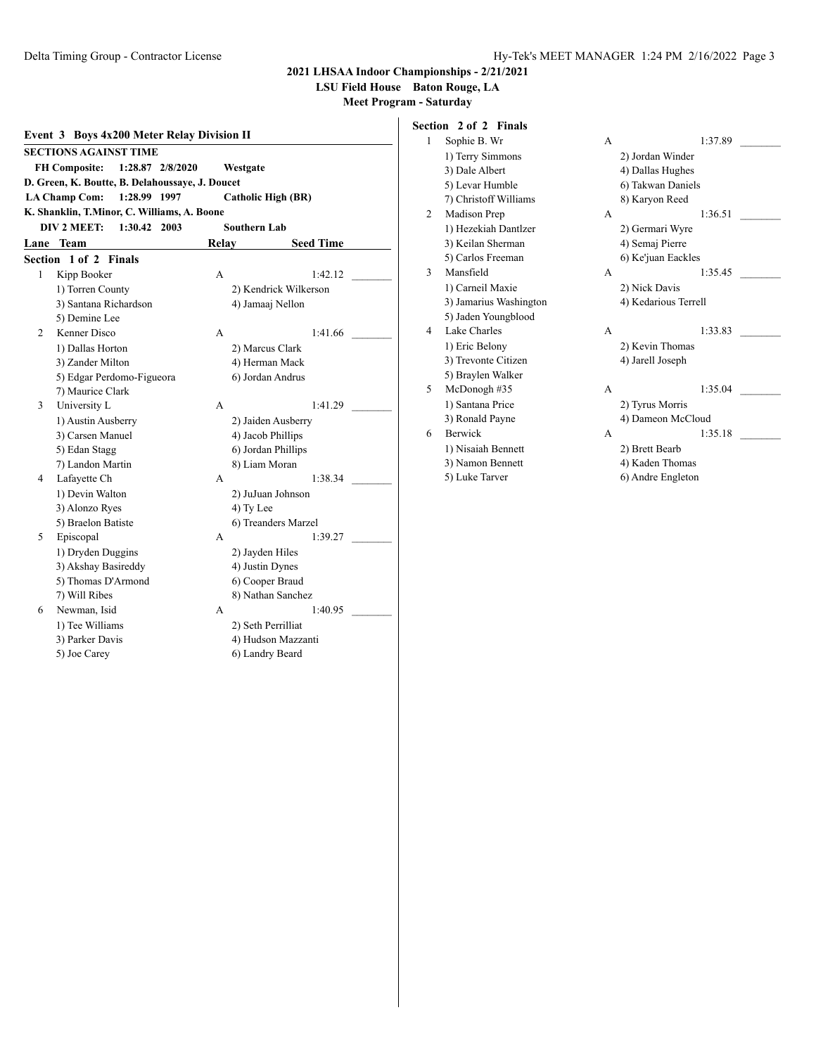**LSU Field House Baton Rouge, LA**

| Event 3 Boys 4x200 Meter Relay Division II |                                                                   |       |                       |  |  |  |  |
|--------------------------------------------|-------------------------------------------------------------------|-------|-----------------------|--|--|--|--|
| <b>SECTIONS AGAINST TIME</b>               |                                                                   |       |                       |  |  |  |  |
|                                            | <b>FH Composite:</b><br>1:28.87 2/8/2020<br>Westgate              |       |                       |  |  |  |  |
|                                            | D. Green, K. Boutte, B. Delahoussaye, J. Doucet                   |       |                       |  |  |  |  |
|                                            | <b>LA Champ Com:</b><br>1:28.99 1997<br><b>Catholic High (BR)</b> |       |                       |  |  |  |  |
|                                            | K. Shanklin, T.Minor, C. Williams, A. Boone                       |       |                       |  |  |  |  |
|                                            | DIV 2 MEET:<br>1:30.42 2003                                       |       | <b>Southern Lab</b>   |  |  |  |  |
| Lane                                       | <b>Team</b>                                                       | Relav | <b>Seed Time</b>      |  |  |  |  |
|                                            | Section 1 of 2 Finals                                             |       |                       |  |  |  |  |
| 1                                          | Kipp Booker                                                       | А     | 1:42.12               |  |  |  |  |
|                                            | 1) Torren County                                                  |       | 2) Kendrick Wilkerson |  |  |  |  |
|                                            | 3) Santana Richardson                                             |       | 4) Jamaaj Nellon      |  |  |  |  |
|                                            | 5) Demine Lee                                                     |       |                       |  |  |  |  |
| 2                                          | Kenner Disco                                                      | A     | 1:41.66               |  |  |  |  |
|                                            | 1) Dallas Horton                                                  |       | 2) Marcus Clark       |  |  |  |  |
|                                            | 3) Zander Milton                                                  |       | 4) Herman Mack        |  |  |  |  |
|                                            | 5) Edgar Perdomo-Figueora                                         |       | 6) Jordan Andrus      |  |  |  |  |
|                                            | 7) Maurice Clark                                                  |       |                       |  |  |  |  |
| 3                                          | University L                                                      | A     | 1:41.29               |  |  |  |  |
|                                            | 1) Austin Ausberry                                                |       | 2) Jaiden Ausberry    |  |  |  |  |
|                                            | 3) Carsen Manuel                                                  |       | 4) Jacob Phillips     |  |  |  |  |
|                                            | 5) Edan Stagg                                                     |       | 6) Jordan Phillips    |  |  |  |  |
|                                            | 7) Landon Martin                                                  |       | 8) Liam Moran         |  |  |  |  |
| 4                                          | Lafayette Ch                                                      | А     | 1:38.34               |  |  |  |  |
|                                            | 1) Devin Walton                                                   |       | 2) JuJuan Johnson     |  |  |  |  |
|                                            | 3) Alonzo Ryes                                                    |       | 4) Ty Lee             |  |  |  |  |
|                                            | 5) Braelon Batiste                                                |       | 6) Treanders Marzel   |  |  |  |  |
| 5                                          | Episcopal                                                         | A     | 1:39.27               |  |  |  |  |
|                                            | 1) Dryden Duggins                                                 |       | 2) Jayden Hiles       |  |  |  |  |
|                                            | 3) Akshay Basireddy                                               |       | 4) Justin Dynes       |  |  |  |  |
|                                            | 5) Thomas D'Armond                                                |       | 6) Cooper Braud       |  |  |  |  |
|                                            | 7) Will Ribes                                                     |       | 8) Nathan Sanchez     |  |  |  |  |
| 6                                          | Newman, Isid                                                      | A     | 1:40.95               |  |  |  |  |
|                                            | 1) Tee Williams                                                   |       | 2) Seth Perrilliat    |  |  |  |  |
|                                            | 3) Parker Davis                                                   |       | 4) Hudson Mazzanti    |  |  |  |  |
|                                            | 5) Joe Carey                                                      |       | 6) Landry Beard       |  |  |  |  |

| Section 2 of 2 Finals |  |  |
|-----------------------|--|--|
|                       |  |  |

| 1) Terry Simmons       |                 |                      |  |  |  |
|------------------------|-----------------|----------------------|--|--|--|
|                        |                 | 2) Jordan Winder     |  |  |  |
| 3) Dale Albert         |                 | 4) Dallas Hughes     |  |  |  |
| 5) Levar Humble        |                 | 6) Takwan Daniels    |  |  |  |
| 7) Christoff Williams  |                 | 8) Karyon Reed       |  |  |  |
| Madison Prep           | A               | 1:36.51              |  |  |  |
| 1) Hezekiah Dantlzer   | 2) Germari Wyre |                      |  |  |  |
| 3) Keilan Sherman      |                 | 4) Semaj Pierre      |  |  |  |
| 5) Carlos Freeman      |                 | 6) Ke'juan Eackles   |  |  |  |
| Mansfield              | A               | 1:35.45              |  |  |  |
| 1) Carneil Maxie       |                 | 2) Nick Davis        |  |  |  |
| 3) Jamarius Washington |                 | 4) Kedarious Terrell |  |  |  |
| 5) Jaden Youngblood    |                 |                      |  |  |  |
| Lake Charles           | A               | 1:33.83              |  |  |  |
| 1) Eric Belony         |                 | 2) Kevin Thomas      |  |  |  |
| 3) Trevonte Citizen    |                 | 4) Jarell Joseph     |  |  |  |
| 5) Braylen Walker      |                 |                      |  |  |  |
| McDonogh $#35$         | A               | 1:35.04              |  |  |  |
| 1) Santana Price       |                 | 2) Tyrus Morris      |  |  |  |
| 3) Ronald Payne        |                 | 4) Dameon McCloud    |  |  |  |
| <b>Berwick</b>         | A               | 1:35.18              |  |  |  |
| 1) Nisaiah Bennett     |                 | 2) Brett Bearb       |  |  |  |
| 3) Namon Bennett       |                 | 4) Kaden Thomas      |  |  |  |
| 5) Luke Tarver         |                 | 6) Andre Engleton    |  |  |  |
|                        |                 |                      |  |  |  |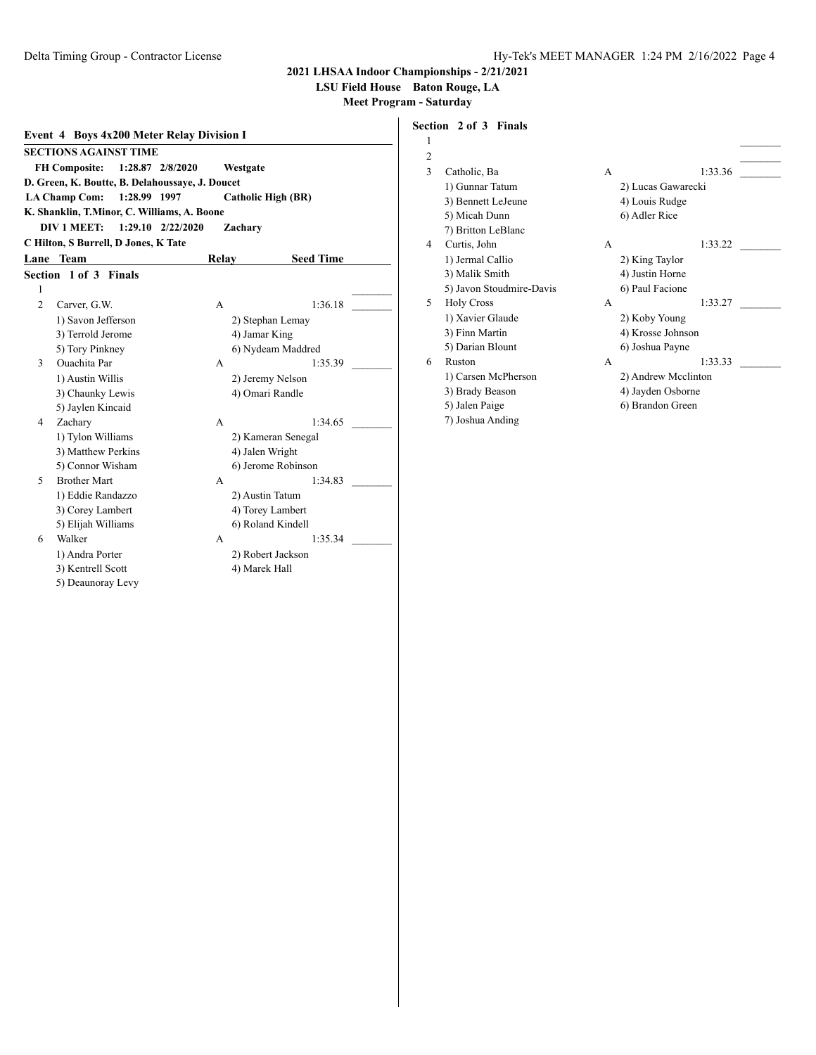## **LSU Field House Baton Rouge, LA**

**Meet Program - Saturday**

| <b>Event 4 Boys 4x200 Meter Relay Division I</b>     |                                                 |         |                           |  |  |  |  |  |
|------------------------------------------------------|-------------------------------------------------|---------|---------------------------|--|--|--|--|--|
|                                                      | <b>SECTIONS AGAINST TIME</b>                    |         |                           |  |  |  |  |  |
| <b>FH Composite:</b><br>1:28.87 2/8/2020<br>Westgate |                                                 |         |                           |  |  |  |  |  |
|                                                      | D. Green, K. Boutte, B. Delahoussaye, J. Doucet |         |                           |  |  |  |  |  |
|                                                      | 1:28.99 1997<br><b>LA Champ Com:</b>            |         | <b>Catholic High (BR)</b> |  |  |  |  |  |
|                                                      | K. Shanklin, T.Minor, C. Williams, A. Boone     |         |                           |  |  |  |  |  |
|                                                      | DIV 1 MEET:<br>$1:29.10$ $2/22/2020$            | Zachary |                           |  |  |  |  |  |
|                                                      | C Hilton, S Burrell, D Jones, K Tate            |         |                           |  |  |  |  |  |
|                                                      | Lane Team                                       | Relay   | <b>Seed Time</b>          |  |  |  |  |  |
|                                                      | Section 1 of 3 Finals                           |         |                           |  |  |  |  |  |
| 1                                                    |                                                 |         |                           |  |  |  |  |  |
| $\overline{c}$                                       | Carver, G.W.                                    | A       | 1:36.18                   |  |  |  |  |  |
|                                                      | 1) Savon Jefferson                              |         | 2) Stephan Lemay          |  |  |  |  |  |
|                                                      | 3) Terrold Jerome                               |         | 4) Jamar King             |  |  |  |  |  |
|                                                      | 5) Tory Pinkney                                 |         | 6) Nydeam Maddred         |  |  |  |  |  |
| 3                                                    | <b>Ouachita</b> Par                             | A       | 1:35.39                   |  |  |  |  |  |
|                                                      | 1) Austin Willis                                |         | 2) Jeremy Nelson          |  |  |  |  |  |
|                                                      | 3) Chaunky Lewis                                |         | 4) Omari Randle           |  |  |  |  |  |
|                                                      | 5) Jaylen Kincaid                               |         |                           |  |  |  |  |  |
| 4                                                    | Zachary                                         | A       | 1:34.65                   |  |  |  |  |  |
|                                                      | 1) Tylon Williams                               |         | 2) Kameran Senegal        |  |  |  |  |  |
|                                                      | 3) Matthew Perkins                              |         | 4) Jalen Wright           |  |  |  |  |  |
|                                                      | 5) Connor Wisham                                |         | 6) Jerome Robinson        |  |  |  |  |  |
| 5                                                    | <b>Brother Mart</b>                             | A       | 1:34.83                   |  |  |  |  |  |
|                                                      | 1) Eddie Randazzo                               |         | 2) Austin Tatum           |  |  |  |  |  |
|                                                      | 3) Corey Lambert                                |         | 4) Torey Lambert          |  |  |  |  |  |
|                                                      | 5) Elijah Williams                              |         | 6) Roland Kindell         |  |  |  |  |  |
| 6                                                    | Walker                                          | A       | 1:35.34                   |  |  |  |  |  |
|                                                      | 1) Andra Porter                                 |         | 2) Robert Jackson         |  |  |  |  |  |
|                                                      | 3) Kentrell Scott                               |         | 4) Marek Hall             |  |  |  |  |  |
|                                                      | 5) Deaunoray Levy                               |         |                           |  |  |  |  |  |

# **Section 2 of 3 Finals**

| 1              |                          |   |                     |
|----------------|--------------------------|---|---------------------|
| $\overline{c}$ |                          |   |                     |
| 3              | Catholic, Ba             | A | 1:33.36             |
|                | 1) Gunnar Tatum          |   | 2) Lucas Gawarecki  |
|                | 3) Bennett LeJeune       |   | 4) Louis Rudge      |
|                | 5) Micah Dunn            |   | 6) Adler Rice       |
|                | 7) Britton LeBlanc       |   |                     |
| 4              | Curtis, John             | A | 1:33.22             |
|                | 1) Jermal Callio         |   | 2) King Taylor      |
|                | 3) Malik Smith           |   | 4) Justin Horne     |
|                | 5) Javon Stoudmire-Davis |   | 6) Paul Facione     |
| 5              | <b>Holy Cross</b>        | A | 1:33.27             |
|                | 1) Xavier Glaude         |   | 2) Koby Young       |
|                | 3) Finn Martin           |   | 4) Krosse Johnson   |
|                | 5) Darian Blount         |   | 6) Joshua Payne     |
| 6              | Ruston                   | A | 1:33.33             |
|                | 1) Carsen McPherson      |   | 2) Andrew Mcclinton |
|                | 3) Brady Beason          |   | 4) Jayden Osborne   |
|                | 5) Jalen Paige           |   | 6) Brandon Green    |
|                | 7) Joshua Anding         |   |                     |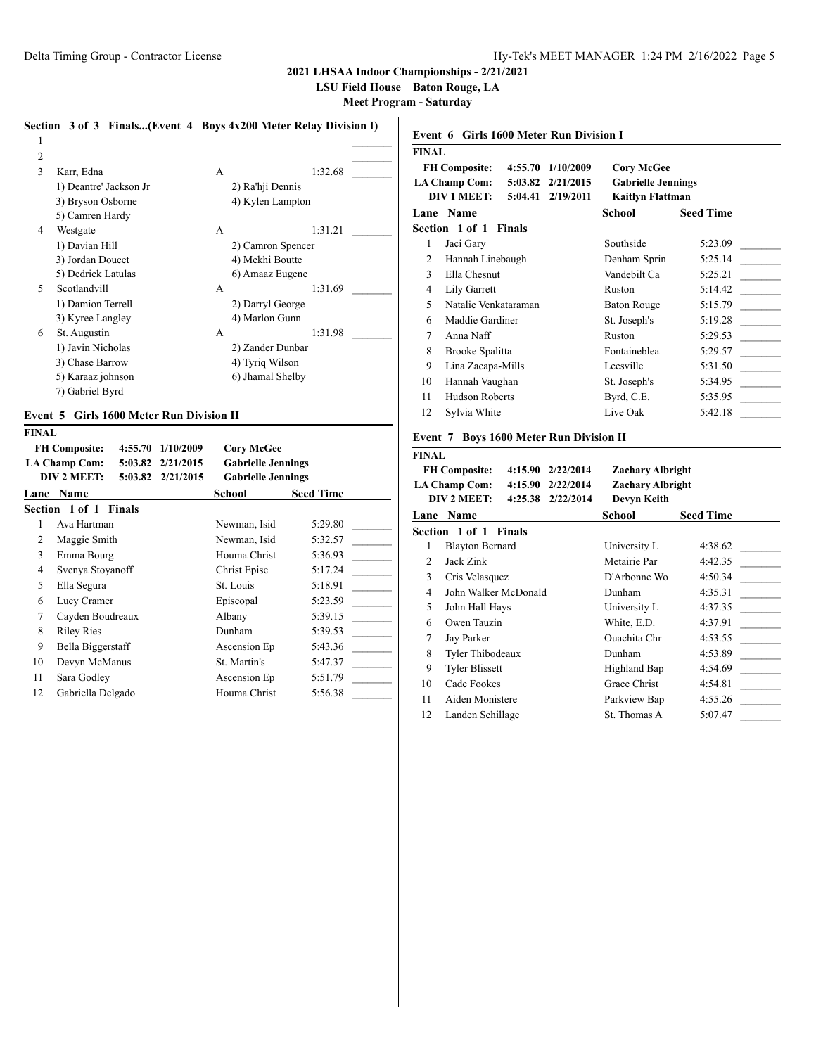**LSU Field House Baton Rouge, LA**

**Meet Program - Saturday**

#### **Section 3 of 3 Finals...(Event 4 Boys 4x200 Meter Relay Division I)**

| 2 |                        |   |                   |  |
|---|------------------------|---|-------------------|--|
| 3 | Karr, Edna             | A | 1:32.68           |  |
|   | 1) Deantre' Jackson Jr |   | 2) Ra'hji Dennis  |  |
|   | 3) Bryson Osborne      |   | 4) Kylen Lampton  |  |
|   | 5) Camren Hardy        |   |                   |  |
| 4 | Westgate               | A | 1:31.21           |  |
|   | 1) Davian Hill         |   | 2) Camron Spencer |  |
|   | 3) Jordan Doucet       |   | 4) Mekhi Boutte   |  |
|   | 5) Dedrick Latulas     |   | 6) Amaaz Eugene   |  |
| 5 | Scotlandvill           | A | 1:31.69           |  |
|   | 1) Damion Terrell      |   | 2) Darryl George  |  |
|   | 3) Kyree Langley       |   | 4) Marlon Gunn    |  |
| 6 | St. Augustin           | A | 1:31.98           |  |
|   | 1) Javin Nicholas      |   | 2) Zander Dunbar  |  |
|   | 3) Chase Barrow        |   | 4) Tyriq Wilson   |  |
|   | 5) Karaaz johnson      |   | 6) Jhamal Shelby  |  |
|   | 7) Gabriel Byrd        |   |                   |  |

#### **Event 5 Girls 1600 Meter Run Division II**

|--|

|      | <b>FH Composite:</b><br>4:55.70 | 1/10/2009         | <b>Corv McGee</b>         |                  |
|------|---------------------------------|-------------------|---------------------------|------------------|
|      | <b>LA Champ Com:</b>            | 5:03.82 2/21/2015 | <b>Gabrielle Jennings</b> |                  |
|      | DIV 2 MEET:                     | 5:03.82 2/21/2015 | <b>Gabrielle Jennings</b> |                  |
| Lane | <b>Name</b>                     |                   | School                    | <b>Seed Time</b> |
|      | Section 1 of 1 Finals           |                   |                           |                  |
|      | Ava Hartman                     |                   | Newman, Isid              | 5:29.80          |
| 2    | Maggie Smith                    |                   | Newman, Isid              | 5:32.57          |
| 3    | Emma Bourg                      |                   | Houma Christ              | 5:36.93          |
| 4    | Svenya Stoyanoff                |                   | Christ Episc              | 5:17.24          |
| 5    | Ella Segura                     |                   | St. Louis                 | 5:18.91          |
| 6    | Lucy Cramer                     |                   | Episcopal                 | 5:23.59          |
| 7    | Cayden Boudreaux                |                   | Albany                    | 5:39.15          |
| 8    | <b>Riley Ries</b>               |                   | Dunham                    | 5:39.53          |
| 9    | Bella Biggerstaff               |                   | Ascension Ep              | 5:43.36          |
| 10   | Devyn McManus                   |                   | St. Martin's              | 5:47.37          |
| 11   | Sara Godley                     |                   | Ascension Ep              | 5:51.79          |
| 12   | Gabriella Delgado               |                   | Houma Christ              | 5:56.38          |
|      |                                 |                   |                           |                  |

## **Event 6 Girls 1600 Meter Run Division I FINAL FH Composite: 4:55.70 1/10/2009 Cory McGee LA Champ Com: 5:03.82 2/21/2015 Gabrielle Jennings DIV 1 MEET: 5:04.41 2/19/2011 Kaitlyn Flattman Lane Name School Seed Time Section 1 of 1 Finals** 1 Jaci Gary Southside 5:23.09 2 Hannah Linebaugh Denham Sprin 5:25.14 3 Ella Chesnut Vandebilt Ca 5:25.21 4 Lily Garrett Ruston 5:14.42 5 Natalie Venkataraman Baton Rouge 5:15.79 6 Maddie Gardiner St. Joseph's 5:19.28 7 Anna Naff Ruston 5:29.53 8 Brooke Spalitta Fontaineblea 5:29.57 9 Lina Zacapa-Mills Leesville 5:31.50 10 Hannah Vaughan St. Joseph's 5:34.95 11 Hudson Roberts Byrd, C.E. 5:35.95 12 Sylvia White Live Oak 5:42.18

#### **Event 7 Boys 1600 Meter Run Division II**

| <b>FINAL</b>          |                                               |                         |                  |  |  |  |  |
|-----------------------|-----------------------------------------------|-------------------------|------------------|--|--|--|--|
|                       | <b>FH Composite:</b><br>$4:15.90$ $2/22/2014$ | <b>Zachary Albright</b> |                  |  |  |  |  |
|                       | <b>LA Champ Com:</b><br>4:15.90 2/22/2014     | Zachary Albright        |                  |  |  |  |  |
|                       | DIV 2 MEET:<br>4:25.38<br>2/22/2014           | Devyn Keith             |                  |  |  |  |  |
|                       | Lane Name                                     | School                  | <b>Seed Time</b> |  |  |  |  |
| Section 1 of 1 Finals |                                               |                         |                  |  |  |  |  |
| 1                     | <b>Blayton Bernard</b>                        | University L            | 4:38.62          |  |  |  |  |
| 2                     | Jack Zink                                     | Metairie Par            | 4:42.35          |  |  |  |  |
| 3                     | Cris Velasquez                                | D'Arbonne Wo            | 4:50.34          |  |  |  |  |
| 4                     | John Walker McDonald                          | Dunham                  | 4:35.31          |  |  |  |  |
| 5                     | John Hall Hays                                | University L            | 4:37.35          |  |  |  |  |
| 6                     | Owen Tauzin                                   | White, E.D.             | 4:37.91          |  |  |  |  |
| 7                     | Jay Parker                                    | Quachita Chr            | 4:53.55          |  |  |  |  |
| 8                     | Tyler Thibodeaux                              | Dunham                  | 4:53.89          |  |  |  |  |
| 9                     | <b>Tyler Blissett</b>                         | Highland Bap            | 4:54.69          |  |  |  |  |
| 10                    | Cade Fookes                                   | Grace Christ            | 4:54.81          |  |  |  |  |
| 11                    | Aiden Monistere                               | Parkview Bap            | 4:55.26          |  |  |  |  |
| 12                    | Landen Schillage                              | St. Thomas A            | 5:07.47          |  |  |  |  |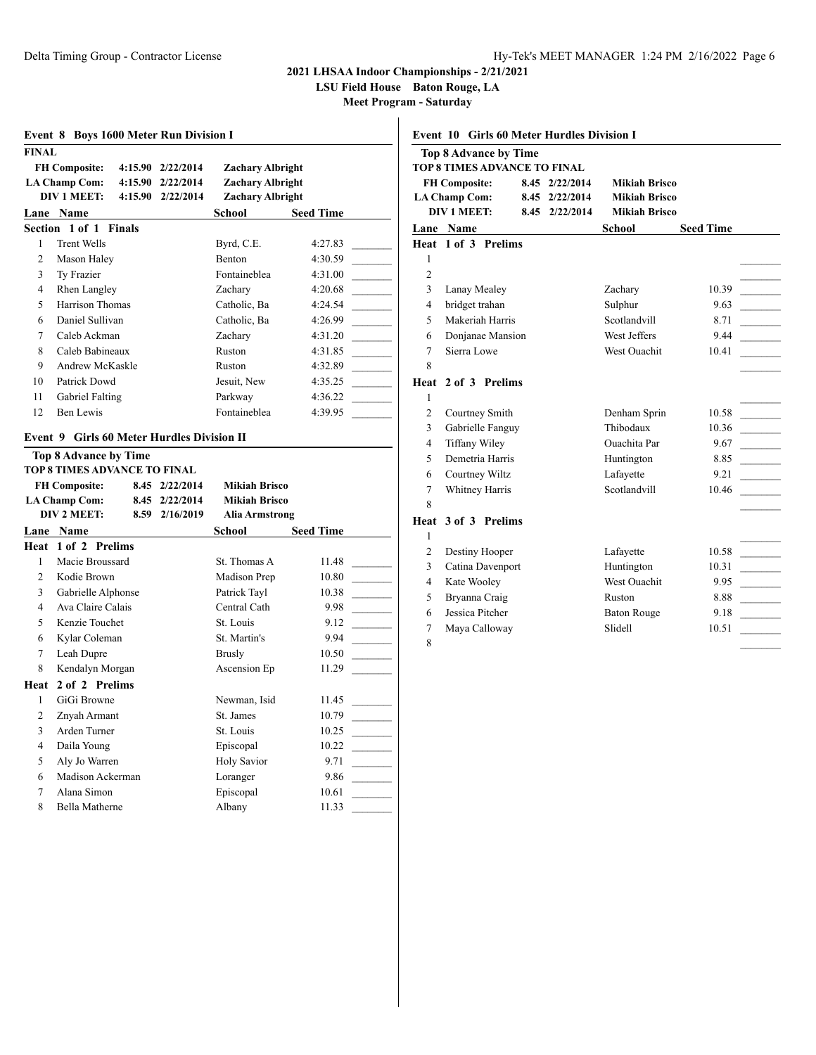**LSU Field House Baton Rouge, LA**

| <b>FINAL</b>                              | <b>FH Composite:</b>                              |      | 4:15.90 2/22/2014       | <b>Zachary Albright</b> |                  |
|-------------------------------------------|---------------------------------------------------|------|-------------------------|-------------------------|------------------|
| <b>LA Champ Com:</b><br>4:15.90 2/22/2014 |                                                   |      | <b>Zachary Albright</b> |                         |                  |
|                                           | <b>DIV 1 MEET:</b><br>4:15.90 2/22/2014           |      | Zachary Albright        |                         |                  |
|                                           | Lane Name                                         |      |                         | School                  | <b>Seed Time</b> |
|                                           | Section 1 of 1 Finals                             |      |                         |                         |                  |
| 1                                         | <b>Trent Wells</b>                                |      |                         | Byrd, C.E.              | 4:27.83          |
| 2                                         | Mason Haley                                       |      |                         | Benton                  | 4:30.59          |
| 3                                         | Ty Frazier                                        |      |                         | Fontaineblea            | 4:31.00          |
| 4                                         | Rhen Langley                                      |      |                         | Zacharv                 | 4:20.68          |
| 5                                         | Harrison Thomas                                   |      |                         | Catholic, Ba            | 4:24.54          |
| 6                                         | Daniel Sullivan                                   |      |                         | Catholic, Ba            | 4:26.99          |
| 7                                         | Caleb Ackman                                      |      |                         | Zachary                 | 4:31.20          |
| 8                                         | Caleb Babineaux                                   |      |                         | Ruston                  | 4:31.85          |
| 9                                         | Andrew McKaskle                                   |      |                         | Ruston                  | 4:32.89          |
| 10                                        | Patrick Dowd                                      |      |                         | Jesuit. New             | 4:35.25          |
| 11                                        | Gabriel Falting                                   |      |                         | Parkway                 | 4:36.22          |
| 12                                        | Ben Lewis                                         |      |                         | Fontaineblea            | 4:39.95          |
|                                           | <b>Event 9 Girls 60 Meter Hurdles Division II</b> |      |                         |                         |                  |
|                                           | <b>Top 8 Advance by Time</b>                      |      |                         |                         |                  |
|                                           | <b>TOP 8 TIMES ADVANCE TO FINAL</b>               |      |                         |                         |                  |
|                                           | <b>FH Composite:</b>                              |      | 8.45 2/22/2014          | <b>Mikiah Brisco</b>    |                  |
| <b>LA Champ Com:</b><br>8.45 2/22/2014    |                                                   |      |                         |                         |                  |
|                                           |                                                   |      |                         | <b>Mikiah Brisco</b>    |                  |
|                                           | DIV 2 MEET:                                       | 8.59 | 2/16/2019               | Alia Armstrong          |                  |
|                                           | Lane Name                                         |      |                         | School                  | <b>Seed Time</b> |
|                                           | Heat 1 of 2 Prelims                               |      |                         |                         |                  |
| $\mathbf{1}$                              | Macie Broussard                                   |      |                         | St. Thomas A            | 11.48            |
| $\overline{2}$                            | Kodie Brown                                       |      |                         | Madison Prep            | 10.80            |
| 3                                         | Gabrielle Alphonse                                |      |                         | Patrick Tayl            | 10.38            |
| 4                                         | Ava Claire Calais                                 |      |                         | Central Cath            | 9.98             |
| 5                                         | Kenzie Touchet                                    |      |                         | St. Louis               | 9.12             |
| 6                                         | Kylar Coleman                                     |      |                         | St. Martin's            | 9.94             |
| 7                                         | Leah Dupre                                        |      |                         | <b>Brusly</b>           | 10.50            |
| 8                                         | Kendalyn Morgan                                   |      |                         | Ascension Ep            | 11.29            |
|                                           | 2 of 2 Prelims                                    |      |                         |                         |                  |
| 1                                         | GiGi Browne                                       |      |                         | Newman, Isid            | 11.45            |
| 2                                         | Znyah Armant                                      |      |                         | St. James               | 10.79            |
| 3                                         | Arden Turner                                      |      |                         | St. Louis               | 10.25            |
| $\overline{4}$<br>5                       | Daila Young                                       |      |                         | Episcopal               | 10.22            |
| Heat<br>6                                 | Aly Jo Warren                                     |      |                         | <b>Holy Savior</b>      | 9.71             |
| $\tau$                                    | Madison Ackerman<br>Alana Simon                   |      |                         | Loranger<br>Episcopal   | 9.86<br>10.61    |

| <b>Event 10 Girls 60 Meter Hurdles Division I</b> |                              |  |                |                      |                  |                                                                    |  |
|---------------------------------------------------|------------------------------|--|----------------|----------------------|------------------|--------------------------------------------------------------------|--|
|                                                   | <b>Top 8 Advance by Time</b> |  |                |                      |                  |                                                                    |  |
|                                                   | TOP 8 TIMES ADVANCE TO FINAL |  |                |                      |                  |                                                                    |  |
|                                                   | <b>FH Composite:</b>         |  | 8.45 2/22/2014 | <b>Mikiah Brisco</b> |                  |                                                                    |  |
|                                                   | <b>LA Champ Com:</b>         |  | 8.45 2/22/2014 | <b>Mikiah Brisco</b> |                  |                                                                    |  |
|                                                   | <b>DIV 1 MEET:</b>           |  | 8.45 2/22/2014 | <b>Mikiah Brisco</b> |                  |                                                                    |  |
|                                                   | <b>Lane Name</b>             |  |                | School               | <b>Seed Time</b> |                                                                    |  |
|                                                   | Heat 1 of 3 Prelims          |  |                |                      |                  |                                                                    |  |
| 1                                                 |                              |  |                |                      |                  |                                                                    |  |
| $\overline{c}$                                    |                              |  |                |                      |                  |                                                                    |  |
| 3                                                 | Lanay Mealey                 |  |                | Zachary              | 10.39            |                                                                    |  |
| $\overline{4}$                                    | bridget trahan               |  |                | Sulphur              | 9.63             |                                                                    |  |
| 5                                                 | Makeriah Harris              |  |                | Scotlandvill         | 8.71             | $\mathcal{L}_{\text{max}}$ . The set of $\mathcal{L}_{\text{max}}$ |  |
| 6                                                 | Donjanae Mansion             |  |                | West Jeffers         | 9.44             |                                                                    |  |
| 7                                                 | Sierra Lowe                  |  |                | West Ouachit         | 10.41            |                                                                    |  |
| 8                                                 |                              |  |                |                      |                  |                                                                    |  |
| Heat                                              | 2 of 3 Prelims               |  |                |                      |                  |                                                                    |  |
| 1                                                 |                              |  |                |                      |                  |                                                                    |  |
| $\overline{c}$                                    | Courtney Smith               |  |                | Denham Sprin         | 10.58            |                                                                    |  |
| 3                                                 | Gabrielle Fanguy             |  |                | Thibodaux            | 10.36            |                                                                    |  |
| 4                                                 | <b>Tiffany Wiley</b>         |  |                | <b>Ouachita</b> Par  | 9.67             |                                                                    |  |
| 5                                                 | Demetria Harris              |  |                | Huntington           | 8.85             |                                                                    |  |
| 6                                                 | Courtney Wiltz               |  |                | Lafayette            | 9.21             |                                                                    |  |
| 7                                                 | Whitney Harris               |  |                | Scotlandvill         | 10.46            |                                                                    |  |
| 8                                                 |                              |  |                |                      |                  |                                                                    |  |
| Heat                                              | 3 of 3 Prelims               |  |                |                      |                  |                                                                    |  |
| 1                                                 |                              |  |                |                      |                  |                                                                    |  |
| $\overline{2}$                                    | Destiny Hooper               |  |                | Lafayette            | 10.58            |                                                                    |  |
| 3                                                 | Catina Davenport             |  |                | Huntington           | 10.31            |                                                                    |  |
| 4                                                 | Kate Wooley                  |  |                | <b>West Ouachit</b>  | 9.95             | <b>Contractor</b>                                                  |  |
| 5                                                 | Bryanna Craig                |  |                | Ruston               | 8.88             |                                                                    |  |
| 6                                                 | Jessica Pitcher              |  |                | <b>Baton Rouge</b>   | 9.18             |                                                                    |  |
| 7                                                 | Maya Calloway                |  |                | Slidell              | 10.51            |                                                                    |  |
| 8                                                 |                              |  |                |                      |                  |                                                                    |  |
|                                                   |                              |  |                |                      |                  |                                                                    |  |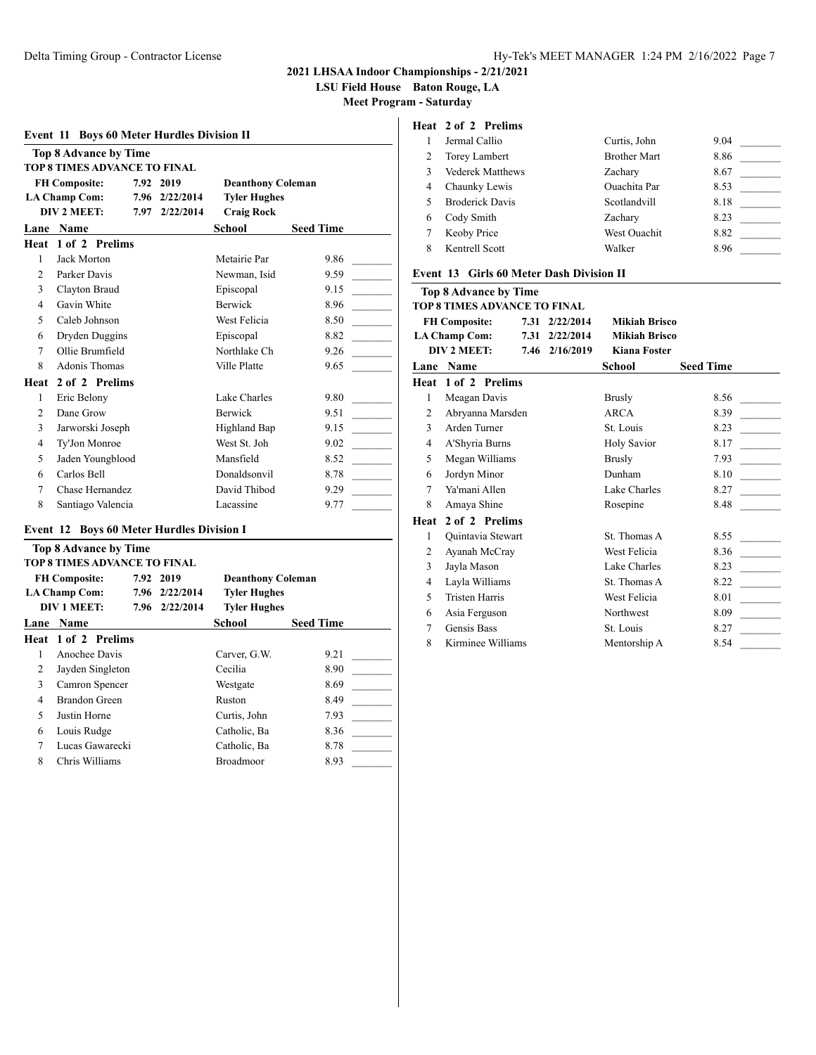**LSU Field House Baton Rouge, LA**

**Meet Program - Saturday**

| <b>Event 11 Boys 60 Meter Hurdles Division II</b> |                                     |      |                             |                          |                  |  |  |
|---------------------------------------------------|-------------------------------------|------|-----------------------------|--------------------------|------------------|--|--|
|                                                   | <b>Top 8 Advance by Time</b>        |      |                             |                          |                  |  |  |
|                                                   | <b>TOP 8 TIMES ADVANCE TO FINAL</b> |      |                             |                          |                  |  |  |
|                                                   | <b>FH Composite:</b>                |      | 7.92 2019                   | <b>Deanthony Coleman</b> |                  |  |  |
|                                                   | <b>LA Champ Com:</b><br>DIV 2 MEET: | 7.97 | 7.96 2/22/2014<br>2/22/2014 | <b>Tyler Hughes</b>      |                  |  |  |
|                                                   |                                     |      |                             | <b>Craig Rock</b>        |                  |  |  |
| Lane                                              | <b>Name</b>                         |      |                             | School                   | <b>Seed Time</b> |  |  |
| Heat                                              | 1 of 2 Prelims                      |      |                             |                          |                  |  |  |
| 1                                                 | Jack Morton                         |      |                             | Metairie Par             | 9.86             |  |  |
| $\overline{c}$                                    | Parker Davis                        |      |                             | Newman, Isid             | 9.59             |  |  |
| 3                                                 | Clayton Braud                       |      |                             | Episcopal                | 9.15             |  |  |
| $\overline{4}$                                    | Gavin White                         |      |                             | Berwick                  | 8.96             |  |  |
| 5                                                 | Caleb Johnson                       |      |                             | West Felicia             | 8.50             |  |  |
| 6                                                 | Dryden Duggins                      |      |                             | Episcopal                | 8.82             |  |  |
| 7                                                 | Ollie Brumfield                     |      |                             | Northlake Ch             | 9.26             |  |  |
| 8                                                 | Adonis Thomas                       |      |                             | Ville Platte             | 9.65             |  |  |
| Heat                                              | 2 of 2 Prelims                      |      |                             |                          |                  |  |  |
| 1                                                 | Eric Belony                         |      |                             | Lake Charles             | 9.80             |  |  |
| $\overline{c}$                                    | Dane Grow                           |      |                             | <b>Berwick</b>           | 9.51             |  |  |
| 3                                                 | Jarworski Joseph                    |      |                             | Highland Bap             | 9.15             |  |  |
| $\overline{4}$                                    | Ty'Jon Monroe                       |      |                             | West St. Joh             | 9.02             |  |  |
| 5                                                 | Jaden Youngblood                    |      |                             | Mansfield                | 8.52             |  |  |
| 6                                                 | Carlos Bell                         |      |                             | Donaldsonvil             | 8.78             |  |  |
| 7                                                 | Chase Hernandez                     |      |                             | David Thibod             | 9.29             |  |  |
| 8                                                 | Santiago Valencia                   |      |                             | Lacassine                | 9.77             |  |  |
|                                                   |                                     |      |                             |                          |                  |  |  |

## **Event 12 Boys 60 Meter Hurdles Division I**

| <b>Top 8 Advance by Time</b> |                            |  |                |                          |                  |  |  |  |
|------------------------------|----------------------------|--|----------------|--------------------------|------------------|--|--|--|
| TOP 8 TIMES ADVANCE TO FINAL |                            |  |                |                          |                  |  |  |  |
|                              | <b>FH Composite:</b>       |  | 7.92 2019      | <b>Deanthony Coleman</b> |                  |  |  |  |
|                              | <b>LA Champ Com:</b>       |  | 7.96 2/22/2014 | <b>Tyler Hughes</b>      |                  |  |  |  |
|                              | <b>DIV 1 MEET:</b>         |  | 7.96 2/22/2014 | <b>Tyler Hughes</b>      |                  |  |  |  |
| Lane                         | <b>Name</b>                |  |                | School                   | <b>Seed Time</b> |  |  |  |
|                              | <b>Heat 1 of 2 Prelims</b> |  |                |                          |                  |  |  |  |
|                              | Anochee Davis              |  |                | Carver, G.W.             | 9.21             |  |  |  |
| 2                            | Jayden Singleton           |  |                | Cecilia                  | 8.90             |  |  |  |
| 3                            | Camron Spencer             |  |                | Westgate                 | 8.69             |  |  |  |
| 4                            | Brandon Green              |  |                | Ruston                   | 8.49             |  |  |  |
| 5                            | Justin Horne               |  |                | Curtis, John             | 7.93             |  |  |  |
| 6                            | Louis Rudge                |  |                | Catholic, Ba             | 8.36             |  |  |  |
| 7                            | Lucas Gawarecki            |  |                | Catholic, Ba             | 8.78             |  |  |  |
| 8                            | Chris Williams             |  |                | <b>Broadmoor</b>         | 8.93             |  |  |  |
|                              |                            |  |                |                          |                  |  |  |  |

# **Heat 2 of 2 Prelims**

|   | Jermal Callio           | Curtis, John        | 9.04 |
|---|-------------------------|---------------------|------|
|   | Torey Lambert           | <b>Brother Mart</b> | 8.86 |
|   | <b>Vederek Matthews</b> | Zachary             | 8.67 |
| 4 | Chaunky Lewis           | <b>Ouachita</b> Par | 8.53 |
|   | <b>Broderick Davis</b>  | Scotlandvill        | 8.18 |
| 6 | Cody Smith              | Zacharv             | 8.23 |
|   | Keoby Price             | West Ouachit        | 8.82 |
|   | Kentrell Scott          | Walker              | 8.96 |

#### **Event 13 Girls 60 Meter Dash Division II**

## **Top 8 Advance by Time**

|                      | TOP 8 TIMES ADVANCE TO FINAL |                |                      |                  |
|----------------------|------------------------------|----------------|----------------------|------------------|
| <b>FH Composite:</b> |                              | 7.31 2/22/2014 | Mikiah Brisco        |                  |
|                      | <b>LA Champ Com:</b>         | 7.31 2/22/2014 | <b>Mikiah Brisco</b> |                  |
|                      | DIV 2 MEET:                  | 7.46 2/16/2019 | <b>Kiana Foster</b>  |                  |
|                      | <b>Lane Name</b>             |                | School               | <b>Seed Time</b> |
|                      | Heat 1 of 2 Prelims          |                |                      |                  |
| $\mathbf{1}$         | Meagan Davis                 |                | Brusly               | 8.56             |
| 2                    | Abryanna Marsden             |                | ARCA                 | 8.39             |
| 3                    | Arden Turner                 |                | St. Louis            | 8.23             |
| 4                    | A'Shyria Burns               |                | <b>Holy Savior</b>   | 8.17             |
| 5                    | Megan Williams               |                | <b>Brusly</b>        | 7.93             |
| 6                    | Jordyn Minor                 |                | Dunham               | 8.10             |
| 7                    | Ya'mani Allen                |                | Lake Charles         | 8.27             |
| 8                    | Amaya Shine                  |                | Rosepine             | 8.48             |
| Heat                 | 2 of 2 Prelims               |                |                      |                  |
| 1                    | Quintavia Stewart            |                | St. Thomas A         | 8.55             |
| 2                    | Ayanah McCray                |                | West Felicia         | 8.36             |
| 3                    | Jayla Mason                  |                | Lake Charles         | 8.23             |
| 4                    | Layla Williams               |                | St. Thomas A         | 8.22             |
| 5                    | <b>Tristen Harris</b>        |                | West Felicia         | 8.01             |
| 6                    | Asia Ferguson                |                | Northwest            | 8.09             |
| 7                    | Gensis Bass                  |                | St. Louis            | 8.27             |
| 8                    | Kirminee Williams            |                | Mentorship A         | 8.54             |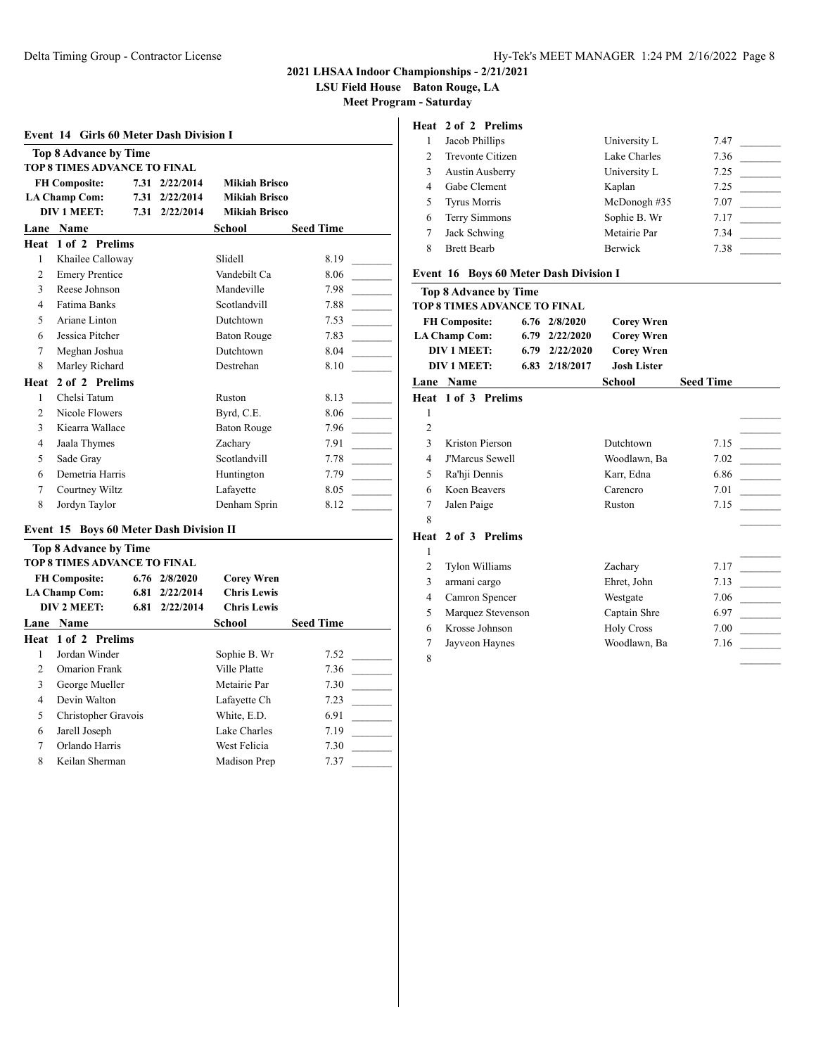**LSU Field House Baton Rouge, LA**

**Meet Program - Saturday**

| <b>Event 14 Girls 60 Meter Dash Division I</b>                      |                       |      |           |                      |                  |  |  |  |
|---------------------------------------------------------------------|-----------------------|------|-----------|----------------------|------------------|--|--|--|
| <b>Top 8 Advance by Time</b><br><b>TOP 8 TIMES ADVANCE TO FINAL</b> |                       |      |           |                      |                  |  |  |  |
| <b>FH Composite:</b><br>7.31<br>2/22/2014<br>Mikiah Brisco          |                       |      |           |                      |                  |  |  |  |
|                                                                     | <b>LA Champ Com:</b>  | 7.31 | 2/22/2014 | <b>Mikiah Brisco</b> |                  |  |  |  |
|                                                                     | <b>DIV 1 MEET:</b>    | 7.31 | 2/22/2014 | <b>Mikiah Brisco</b> |                  |  |  |  |
|                                                                     | Lane Name             |      |           | School               | <b>Seed Time</b> |  |  |  |
| Heat                                                                | 1 of 2 Prelims        |      |           |                      |                  |  |  |  |
| $\mathbf{1}$                                                        | Khailee Calloway      |      |           | Slidell              | 8.19             |  |  |  |
| $\overline{2}$                                                      | <b>Emery Prentice</b> |      |           | Vandebilt Ca         | 8.06             |  |  |  |
| $\mathcal{F}$                                                       | Reese Johnson         |      |           | Mandeville           | 7.98             |  |  |  |
| 4                                                                   | <b>Fatima Banks</b>   |      |           | Scotlandvill         | 7.88             |  |  |  |
| 5                                                                   | Ariane Linton         |      |           | Dutchtown            | 7.53             |  |  |  |
| 6                                                                   | Jessica Pitcher       |      |           | <b>Baton Rouge</b>   | 7.83             |  |  |  |
| 7                                                                   | Meghan Joshua         |      |           | Dutchtown            | 8.04             |  |  |  |
| 8                                                                   | Marley Richard        |      |           | Destrehan            | 8.10             |  |  |  |
| Heat                                                                | 2 of 2 Prelims        |      |           |                      |                  |  |  |  |
| $\mathbf{1}$                                                        | Chelsi Tatum          |      |           | Ruston               | 8.13             |  |  |  |
| $\overline{2}$                                                      | Nicole Flowers        |      |           | Byrd, C.E.           | 8.06             |  |  |  |
| 3                                                                   | Kiearra Wallace       |      |           | <b>Baton Rouge</b>   | 7.96             |  |  |  |
| 4                                                                   | Jaala Thymes          |      |           | Zacharv              | 7.91             |  |  |  |
| 5                                                                   | Sade Gray             |      |           | Scotlandvill         | 7.78             |  |  |  |
| 6                                                                   | Demetria Harris       |      |           | Huntington           | 7.79             |  |  |  |
| 7                                                                   | Courtney Wiltz        |      |           | Lafayette            | 8.05             |  |  |  |
| 8                                                                   | Jordyn Taylor         |      |           | Denham Sprin         | 8.12             |  |  |  |

## **Event 15 Boys 60 Meter Dash Division II**

| Top 8 Advance by Time<br>TOP 8 TIMES ADVANCE TO FINAL |                      |      |                   |                    |                  |  |  |
|-------------------------------------------------------|----------------------|------|-------------------|--------------------|------------------|--|--|
|                                                       | <b>FH Composite:</b> |      | $6.76$ $2/8/2020$ | <b>Corey Wren</b>  |                  |  |  |
|                                                       | <b>LA Champ Com:</b> | 6.81 | 2/22/2014         | <b>Chris Lewis</b> |                  |  |  |
|                                                       | DIV 2 MEET:          | 6.81 | 2/22/2014         | <b>Chris Lewis</b> |                  |  |  |
| Lane                                                  | <b>Name</b>          |      |                   | School             | <b>Seed Time</b> |  |  |
|                                                       | Heat 1 of 2 Prelims  |      |                   |                    |                  |  |  |
| 1                                                     | Jordan Winder        |      |                   | Sophie B. Wr       | 7.52             |  |  |
| $\mathcal{L}$                                         | <b>Omarion Frank</b> |      |                   | Ville Platte       | 7.36             |  |  |
| 3                                                     | George Mueller       |      |                   | Metairie Par       | 7.30             |  |  |
| 4                                                     | Devin Walton         |      |                   | Lafayette Ch       | 7.23             |  |  |
| 5                                                     | Christopher Gravois  |      |                   | White, E.D.        | 6.91             |  |  |
| 6                                                     | Jarell Joseph        |      |                   | Lake Charles       | 7.19             |  |  |
| 7                                                     | Orlando Harris       |      |                   | West Felicia       | 7.30             |  |  |
| 8                                                     | Keilan Sherman       |      |                   | Madison Prep       | 7.37             |  |  |

# **Heat 2 of 2 Prelims**

| Jacob Phillips         | University L   | 7.47 |
|------------------------|----------------|------|
|                        |                |      |
| Trevonte Citizen       | Lake Charles   | 7.36 |
| <b>Austin Ausberry</b> | University L   | 7.25 |
| Gabe Clement           | Kaplan         | 7.25 |
| <b>Tyrus Morris</b>    | McDonogh #35   | 7.07 |
| Terry Simmons          | Sophie B. Wr   | 7.17 |
| Jack Schwing           | Metairie Par   | 7.34 |
| <b>Brett Bearb</b>     | <b>Berwick</b> | 7.38 |

#### **Event 16 Boys 60 Meter Dash Division I**

|                | <b>Top 8 Advance by Time</b> |                    |                    |                  |
|----------------|------------------------------|--------------------|--------------------|------------------|
|                | TOP 8 TIMES ADVANCE TO FINAL |                    |                    |                  |
|                | <b>FH Composite:</b>         | $6.76$ $2/8/2020$  | <b>Corey Wren</b>  |                  |
|                | <b>LA Champ Com:</b>         | 6.79 2/22/2020     | <b>Corey Wren</b>  |                  |
|                | <b>DIV 1 MEET:</b>           | $6.79$ $2/22/2020$ | <b>Corey Wren</b>  |                  |
|                | <b>DIV 1 MEET:</b>           | 6.83 2/18/2017     | <b>Josh Lister</b> |                  |
|                | <b>Lane Name</b>             |                    | School             | <b>Seed Time</b> |
|                | Heat 1 of 3 Prelims          |                    |                    |                  |
| 1              |                              |                    |                    |                  |
| $\overline{2}$ |                              |                    |                    |                  |
| 3              | Kriston Pierson              |                    | Dutchtown          | 7.15             |
| 4              | <b>J'Marcus Sewell</b>       |                    | Woodlawn, Ba       | 7.02             |
| 5              | Ra'hji Dennis                |                    | Karr, Edna         | 6.86             |
| 6              | Koen Beavers                 |                    | Carencro           | 7.01             |
| 7              | Jalen Paige                  |                    | Ruston             | 7.15             |
| 8              |                              |                    |                    |                  |
|                | Heat 2 of 3 Prelims          |                    |                    |                  |
| $\mathbf{1}$   |                              |                    |                    |                  |
| $\overline{c}$ | <b>Tylon Williams</b>        |                    | Zachary            | 7.17             |
| 3              | armani cargo                 |                    | Ehret, John        | 7.13             |
| 4              | Camron Spencer               |                    | Westgate           | 7.06             |
| 5              | Marquez Stevenson            |                    | Captain Shre       | 6.97             |
| 6              | Krosse Johnson               |                    | <b>Holy Cross</b>  | 7.00             |
| 7              | Jayveon Haynes               |                    | Woodlawn, Ba       | 7.16             |
| 8              |                              |                    |                    |                  |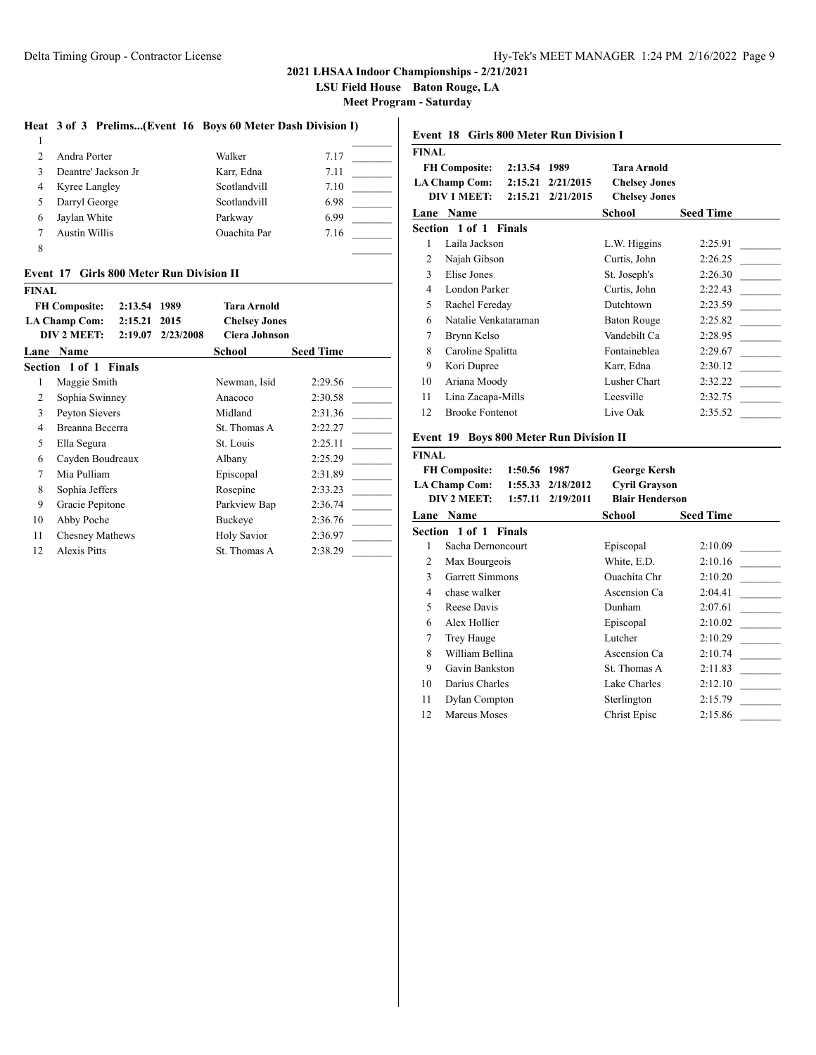**LSU Field House Baton Rouge, LA**

**Meet Program - Saturday**

#### **Heat 3 of 3 Prelims...(Event 16 Boys 60 Meter Dash Division I)**

|   | Andra Porter         | Walker              | 7.17 |
|---|----------------------|---------------------|------|
|   | Deantre' Jackson Jr  | Karr, Edna          | 7.11 |
| 4 | Kyree Langley        | Scotlandvill        | 7.10 |
|   | Darryl George        | Scotlandvill        | 6.98 |
| 6 | Jaylan White         | Parkway             | 6.99 |
|   | <b>Austin Willis</b> | <b>Ouachita</b> Par | 7.16 |
|   |                      |                     |      |

#### **Event 17 Girls 800 Meter Run Division II**

**FINAL**

| FINAL |                                 |           |                      |                  |
|-------|---------------------------------|-----------|----------------------|------------------|
|       | <b>FH Composite:</b><br>2:13.54 | 1989      | Tara Arnold          |                  |
|       | <b>LA Champ Com:</b><br>2:15.21 | 2015      | <b>Chelsey Jones</b> |                  |
|       | DIV 2 MEET:<br>2:19.07          | 2/23/2008 | <b>Ciera Johnson</b> |                  |
| Lane  | <b>Name</b>                     |           | School               | <b>Seed Time</b> |
|       | Section 1 of 1 Finals           |           |                      |                  |
| 1     | Maggie Smith                    |           | Newman, Isid         | 2:29.56          |
| 2     | Sophia Swinney                  |           | Anacoco              | 2:30.58          |
| 3     | Peyton Sievers                  |           | Midland              | 2:31.36          |
| 4     | Breanna Becerra                 |           | St. Thomas A         | 2:22.27          |
| 5     | Ella Segura                     |           | St. Louis            | 2:25.11          |
| 6     | Cayden Boudreaux                |           | Albany               | 2:25.29          |
| 7     | Mia Pulliam                     |           | Episcopal            | 2:31.89          |
| 8     | Sophia Jeffers                  |           | Rosepine             | 2:33.23          |
| 9     | Gracie Pepitone                 |           | Parkview Bap         | 2:36.74          |
| 10    | Abby Poche                      |           | Buckeye              | 2:36.76          |
| 11    | <b>Chesney Mathews</b>          |           | Holy Savior          | 2:36.97          |
| 12    | <b>Alexis Pitts</b>             |           | St. Thomas A         | 2:38.29          |
|       |                                 |           |                      |                  |

| <b>FINAL</b>                                 |                                 |                      |                      |                  |  |
|----------------------------------------------|---------------------------------|----------------------|----------------------|------------------|--|
|                                              | <b>FH Composite:</b><br>2:13.54 | 1989                 | Tara Arnold          |                  |  |
| <b>LA Champ Com:</b><br>2:15.21<br>2/21/2015 |                                 | <b>Chelsey Jones</b> |                      |                  |  |
|                                              | DIV 1 MEET:<br>2:15.21          | 2/21/2015            | <b>Chelsey Jones</b> |                  |  |
|                                              | Lane Name                       |                      | School               | <b>Seed Time</b> |  |
|                                              | Section 1 of 1 Finals           |                      |                      |                  |  |
| 1                                            | Laila Jackson                   |                      | L.W. Higgins         | 2:25.91          |  |
| 2                                            | Najah Gibson                    |                      | Curtis, John         | 2:26.25          |  |
| 3                                            | Elise Jones                     |                      | St. Joseph's         | 2:26.30          |  |
| 4                                            | London Parker                   |                      | Curtis, John         | 2:22.43          |  |
| 5                                            | Rachel Fereday                  |                      | Dutchtown            | 2:23.59          |  |
| 6                                            | Natalie Venkataraman            |                      | <b>Baton Rouge</b>   | 2:25.82          |  |
| 7                                            | Brynn Kelso                     |                      | Vandebilt Ca         | 2:28.95          |  |
| 8                                            | Caroline Spalitta               |                      | Fontaineblea         | 2:29.67          |  |
| 9                                            | Kori Dupree                     |                      | Karr, Edna           | 2:30.12          |  |
| 10                                           | Ariana Moody                    |                      | Lusher Chart         | 2:32.22          |  |
| 11                                           | Lina Zacapa-Mills               |                      | Leesville            | 2:32.75          |  |
| 12                                           | <b>Brooke Fontenot</b>          |                      | Live Oak             | 2:35.52          |  |

#### **Event 19 Boys 800 Meter Run Division II**

| <b>FINAL</b> |                                 |                       |                        |                  |
|--------------|---------------------------------|-----------------------|------------------------|------------------|
|              | <b>FH Composite:</b><br>1:50.56 | 1987                  | George Kersh           |                  |
|              | <b>LA Champ Com:</b>            | $1:55.33$ $2/18/2012$ | <b>Cyril Grayson</b>   |                  |
|              | DIV 2 MEET:<br>1:57.11          | 2/19/2011             | <b>Blair Henderson</b> |                  |
| Lane         | Name                            |                       | School                 | <b>Seed Time</b> |
|              | Section 1 of 1 Finals           |                       |                        |                  |
| 1            | Sacha Dernoncourt               |                       | Episcopal              | 2:10.09          |
| 2            | Max Bourgeois                   |                       | White, E.D.            | 2:10.16          |
| 3            | Garrett Simmons                 |                       | Ouachita Chr           | 2:10.20          |
| 4            | chase walker                    |                       | Ascension Ca           | 2:04.41          |
| 5            | Reese Davis                     |                       | Dunham                 | 2:07.61          |
| 6            | Alex Hollier                    |                       | Episcopal              | 2:10.02          |
| 7            | Trey Hauge                      |                       | Lutcher                | 2:10.29          |
| 8            | William Bellina                 |                       | Ascension Ca           | 2:10.74          |
| 9            | Gavin Bankston                  |                       | St. Thomas A           | 2:11.83          |
| 10           | Darius Charles                  |                       | Lake Charles           | 2:12.10          |
| 11           | Dylan Compton                   |                       | Sterlington            | 2:15.79          |
| 12           | Marcus Moses                    |                       | Christ Episc           | 2:15.86          |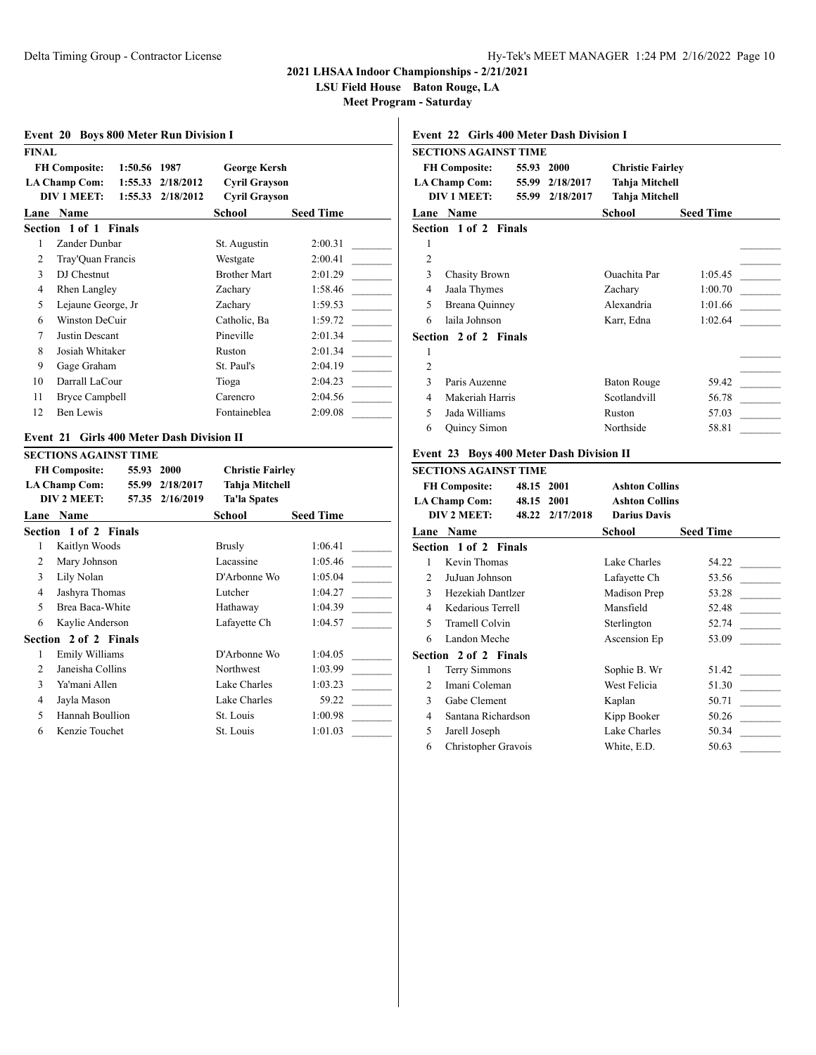**Section 2 of 2 Finals**

# **2021 LHSAA Indoor Championships - 2/21/2021**

**LSU Field House Baton Rouge, LA**

**Meet Program - Saturday**

 $\overline{1}$ 

| Event 20 Boys 800 Meter Run Division I |                              |              |                                         |                         |                  |
|----------------------------------------|------------------------------|--------------|-----------------------------------------|-------------------------|------------------|
| <b>FINAL</b>                           |                              |              |                                         |                         |                  |
|                                        | <b>FH Composite:</b>         | 1:50.56 1987 |                                         | <b>George Kersh</b>     |                  |
|                                        | <b>LA Champ Com:</b>         |              | 1:55.33 2/18/2012                       | <b>Cyril Grayson</b>    |                  |
|                                        | <b>DIV 1 MEET:</b>           | 1:55.33      | 2/18/2012                               | <b>Cyril Grayson</b>    |                  |
|                                        | Lane Name                    |              |                                         | School                  | <b>Seed Time</b> |
|                                        | Section 1 of 1 Finals        |              |                                         |                         |                  |
| 1                                      | Zander Dunbar                |              |                                         | St. Augustin            | 2:00.31          |
| $\overline{2}$                         | Tray'Quan Francis            |              |                                         | Westgate                | 2:00.41          |
| 3                                      | DJ Chestnut                  |              |                                         | <b>Brother Mart</b>     | 2:01.29          |
| $\overline{4}$                         | Rhen Langley                 |              |                                         | Zacharv                 | 1:58.46          |
| 5                                      | Lejaune George, Jr           |              |                                         | Zacharv                 | 1:59.53          |
| 6                                      | Winston DeCuir               |              |                                         | Catholic, Ba            | 1:59.72          |
| 7                                      | Justin Descant               |              |                                         | Pineville               | 2:01.34          |
| 8                                      | Josiah Whitaker              |              |                                         | Ruston                  | 2:01.34          |
| 9                                      | Gage Graham                  |              |                                         | St. Paul's              | 2:04.19          |
| 10                                     | Darrall LaCour               |              |                                         | Tioga                   | 2:04.23          |
| 11                                     | <b>Bryce Campbell</b>        |              |                                         | Carencro                | 2:04.56          |
| 12                                     | Ben Lewis                    |              |                                         | Fontaineblea            | 2:09.08          |
| Event 21                               |                              |              | <b>Girls 400 Meter Dash Division II</b> |                         |                  |
|                                        | <b>SECTIONS AGAINST TIME</b> |              |                                         |                         |                  |
|                                        | <b>FH Composite:</b>         | 55.93 2000   |                                         | <b>Christie Fairley</b> |                  |
|                                        | <b>LA Champ Com:</b>         |              | 55.99 2/18/2017                         | <b>Tahja Mitchell</b>   |                  |
|                                        | DIV 2 MEET:                  | 57.35        | 2/16/2019                               | <b>Ta'la Spates</b>     |                  |
|                                        | Lane Name                    |              |                                         | School                  | <b>Seed Time</b> |
|                                        | Section 1 of 2 Finals        |              |                                         |                         |                  |
| $\mathbf{1}$                           | Kaitlyn Woods                |              |                                         | <b>Brusly</b>           | 1:06.41          |
| 2                                      | Mary Johnson                 |              |                                         | Lacassine               | 1:05.46          |
| $\overline{3}$                         | Lily Nolan                   |              |                                         | D'Arbonne Wo            | 1:05.04          |
| $\overline{4}$                         | Jashyra Thomas               |              |                                         | Lutcher                 | 1:04.27          |
| 5                                      | Brea Baca-White              |              |                                         | Hathaway                | 1:04.39          |
| 6                                      | Kaylie Anderson              |              |                                         | Lafayette Ch            | 1:04.57          |

1 Emily Williams D'Arbonne Wo 1:04.05 2 Janeisha Collins Northwest 1:03.99 3 Ya'mani Allen Lake Charles 1:03.23 4 Jayla Mason Lake Charles 59.22 5 Hannah Boullion St. Louis 1:00.98 6 Kenzie Touchet St. Louis 1:01.03

## **Event 22 Girls 400 Meter Dash Division I**

|                | SECTIONS AGAINST TIME        |       |           |                         |                  |  |
|----------------|------------------------------|-------|-----------|-------------------------|------------------|--|
|                | <b>FH Composite:</b>         | 55.93 | 2000      | <b>Christie Fairley</b> |                  |  |
|                | <b>LA Champ Com:</b>         | 55.99 | 2/18/2017 | Tahja Mitchell          |                  |  |
|                | DIV 1 MEET:                  | 55.99 | 2/18/2017 | Tahja Mitchell          |                  |  |
|                | <b>Lane Name</b>             |       |           | School                  | <b>Seed Time</b> |  |
|                | <b>Section 1 of 2 Finals</b> |       |           |                         |                  |  |
| 1              |                              |       |           |                         |                  |  |
| $\overline{2}$ |                              |       |           |                         |                  |  |
| 3              | <b>Chasity Brown</b>         |       |           | Ouachita Par            | 1:05.45          |  |
| 4              | Jaala Thymes                 |       |           | Zachary                 | 1:00.70          |  |
| 5              | Breana Quinney               |       |           | Alexandria              | 1:01.66          |  |
| 6              | laila Johnson                |       |           | Karr, Edna              | 1:02.64          |  |
|                | <b>Section 2 of 2 Finals</b> |       |           |                         |                  |  |
| 1              |                              |       |           |                         |                  |  |
| $\overline{2}$ |                              |       |           |                         |                  |  |
| $\mathcal{E}$  | Paris Auzenne                |       |           | Baton Rouge             | 59.42            |  |
| 4              | Makeriah Harris              |       |           | Scotlandvill            | 56.78            |  |
| 5              | Jada Williams                |       |           | Ruston                  | 57.03            |  |
| 6              | <b>Quincy Simon</b>          |       |           | Northside               | 58.81            |  |
|                |                              |       |           |                         |                  |  |

## **Event 23 Boys 400 Meter Dash Division II**

|                | SECTIONS AGAINST TIME                                |                          |                 |                                                                       |                  |
|----------------|------------------------------------------------------|--------------------------|-----------------|-----------------------------------------------------------------------|------------------|
|                | <b>FH Composite:</b><br>LA Champ Com:<br>DIV 2 MEET: | 48.15 2001<br>48.15 2001 | 48.22 2/17/2018 | <b>Ashton Collins</b><br><b>Ashton Collins</b><br><b>Darius Davis</b> |                  |
|                | <b>Lane Name</b>                                     |                          |                 | School                                                                | <b>Seed Time</b> |
|                | <b>Section 1 of 2 Finals</b>                         |                          |                 |                                                                       |                  |
| 1              | Kevin Thomas                                         |                          |                 | Lake Charles                                                          | 54.22            |
| 2              | JuJuan Johnson                                       |                          |                 | Lafayette Ch                                                          | 53.56            |
| 3              | Hezekiah Dantlzer                                    |                          |                 | Madison Prep                                                          | 53.28            |
| 4              | Kedarious Terrell                                    |                          |                 | Mansfield                                                             | 52.48            |
| 5              | Tramell Colvin                                       |                          |                 | Sterlington                                                           | 52.74            |
| 6              | Landon Meche                                         |                          |                 | Ascension Ep                                                          | 53.09            |
|                | <b>Section 2 of 2 Finals</b>                         |                          |                 |                                                                       |                  |
| 1              | Terry Simmons                                        |                          |                 | Sophie B. Wr                                                          | 51.42            |
| $\mathfrak{D}$ | Imani Coleman                                        |                          |                 | West Felicia                                                          | 51.30            |
| 3              | Gabe Clement                                         |                          |                 | Kaplan                                                                | 50.71            |
| 4              | Santana Richardson                                   |                          |                 | Kipp Booker                                                           | 50.26            |
| 5              | Jarell Joseph                                        |                          |                 | Lake Charles                                                          | 50.34            |
| 6              | Christopher Gravois                                  |                          |                 | White, E.D.                                                           | 50.63            |
|                |                                                      |                          |                 |                                                                       |                  |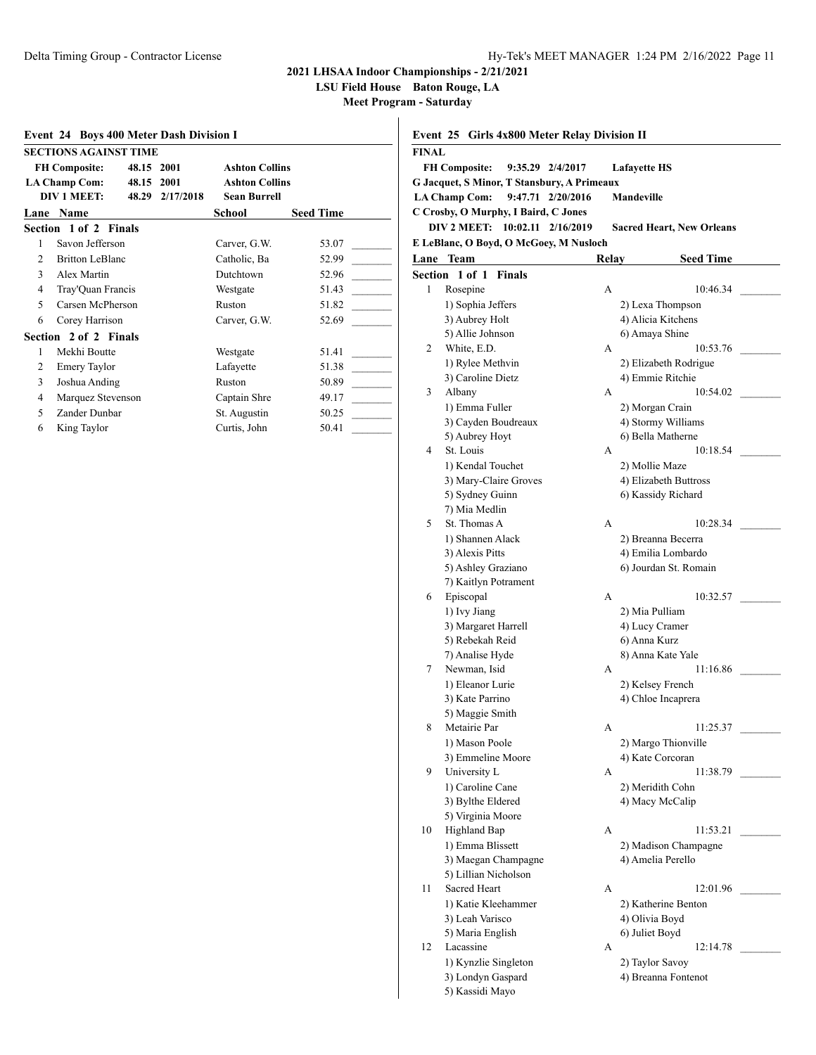**LSU Field House Baton Rouge, LA**

| <b>Event 24 Boys 400 Meter Dash Division I</b> |                                       |                       |                  |
|------------------------------------------------|---------------------------------------|-----------------------|------------------|
|                                                | <b>SECTIONS AGAINST TIME</b>          |                       |                  |
|                                                | <b>FH Composite:</b><br>48.15 2001    | <b>Ashton Collins</b> |                  |
|                                                | <b>LA Champ Com:</b><br>48.15<br>2001 | <b>Ashton Collins</b> |                  |
|                                                | DIV 1 MEET:<br>48.29<br>2/17/2018     | <b>Sean Burrell</b>   |                  |
| Lane                                           | <b>Name</b>                           | School                | <b>Seed Time</b> |
|                                                | Section 1 of 2 Finals                 |                       |                  |
| 1                                              | Savon Jefferson                       | Carver, G.W.          | 53.07            |
| 2                                              | <b>Britton LeBlanc</b>                | Catholic, Ba          | 52.99            |
| 3                                              | Alex Martin                           | Dutchtown             | 52.96            |
| 4                                              | Tray'Quan Francis                     | Westgate              | 51.43            |
| $\overline{\phantom{0}}$                       | Carsen McPherson                      | Ruston                | 51.82            |
| 6                                              | Corey Harrison                        | Carver, G.W.          | 52.69            |
|                                                | Section 2 of 2 Finals                 |                       |                  |
| 1                                              | Mekhi Boutte                          | Westgate              | 51.41            |
| 2                                              | <b>Emery Taylor</b>                   | Lafayette             | 51.38            |
| 3                                              | Joshua Anding                         | Ruston                | 50.89            |
| 4                                              | Marquez Stevenson                     | Captain Shre          | 49.17            |
| 5                                              | Zander Dunbar                         | St. Augustin          | 50.25            |
| 6                                              | King Taylor                           | Curtis, John          | 50.41            |

| Event 25 Girls 4x800 Meter Relay Division II |                                             |       |                                          |  |
|----------------------------------------------|---------------------------------------------|-------|------------------------------------------|--|
| <b>FINAL</b>                                 |                                             |       |                                          |  |
|                                              | <b>FH Composite:</b><br>9:35.29 2/4/2017    |       | <b>Lafayette HS</b>                      |  |
|                                              | G Jacquet, S Minor, T Stansbury, A Primeaux |       |                                          |  |
|                                              | <b>LA Champ Com:</b><br>9:47.71 2/20/2016   |       | <b>Mandeville</b>                        |  |
|                                              | C Crosby, O Murphy, I Baird, C Jones        |       |                                          |  |
|                                              | DIV 2 MEET: 10:02.11 2/16/2019              |       | <b>Sacred Heart, New Orleans</b>         |  |
|                                              | E LeBlanc, O Boyd, O McGoey, M Nusloch      |       |                                          |  |
|                                              | Lane Team                                   | Relay | <b>Seed Time</b>                         |  |
|                                              | Section 1 of 1 Finals                       |       |                                          |  |
| 1                                            | Rosepine                                    | A     | 10:46.34                                 |  |
|                                              | 1) Sophia Jeffers                           |       | 2) Lexa Thompson                         |  |
|                                              | 3) Aubrey Holt                              |       | 4) Alicia Kitchens                       |  |
|                                              | 5) Allie Johnson                            |       | 6) Amaya Shine                           |  |
| 2                                            | White, E.D.                                 | А     | 10:53.76                                 |  |
|                                              | 1) Rylee Methvin                            |       | 2) Elizabeth Rodrigue                    |  |
|                                              | 3) Caroline Dietz                           |       | 4) Emmie Ritchie                         |  |
| 3                                            | Albany                                      | А     | 10:54.02                                 |  |
|                                              | 1) Emma Fuller                              |       | 2) Morgan Crain                          |  |
|                                              | 3) Cayden Boudreaux                         |       | 4) Stormy Williams                       |  |
|                                              | 5) Aubrey Hoyt                              |       | 6) Bella Matherne                        |  |
| 4                                            | St. Louis                                   | A     | 10:18.54                                 |  |
|                                              | 1) Kendal Touchet                           |       | 2) Mollie Maze                           |  |
|                                              | 3) Mary-Claire Groves                       |       | 4) Elizabeth Buttross                    |  |
|                                              | 5) Sydney Guinn                             |       | 6) Kassidy Richard                       |  |
| 5                                            | 7) Mia Medlin<br>St. Thomas A               | А     | 10:28.34                                 |  |
|                                              |                                             |       |                                          |  |
|                                              | 1) Shannen Alack<br>3) Alexis Pitts         |       | 2) Breanna Becerra<br>4) Emilia Lombardo |  |
|                                              | 5) Ashley Graziano                          |       | 6) Jourdan St. Romain                    |  |
|                                              | 7) Kaitlyn Potrament                        |       |                                          |  |
| 6                                            | Episcopal                                   | A     | 10:32.57                                 |  |
|                                              | 1) Ivy Jiang                                |       | 2) Mia Pulliam                           |  |
|                                              | 3) Margaret Harrell                         |       | 4) Lucy Cramer                           |  |
|                                              | 5) Rebekah Reid                             |       | 6) Anna Kurz                             |  |
|                                              | 7) Analise Hyde                             |       | 8) Anna Kate Yale                        |  |
| 7                                            | Newman, Isid                                | А     | 11:16.86                                 |  |
|                                              | 1) Eleanor Lurie                            |       | 2) Kelsey French                         |  |
|                                              | 3) Kate Parrino                             |       | 4) Chloe Incaprera                       |  |
|                                              | 5) Maggie Smith                             |       |                                          |  |
| 8                                            | Metairie Par                                | А     | 11:25.37                                 |  |
|                                              | 1) Mason Poole                              |       | 2) Margo Thionville                      |  |
|                                              | 3) Emmeline Moore                           |       | 4) Kate Corcoran                         |  |
| 9                                            | University L                                | А     | 11:38.79                                 |  |
|                                              | 1) Caroline Cane<br>3) Bylthe Eldered       |       | 2) Meridith Cohn                         |  |
|                                              | 5) Virginia Moore                           |       | 4) Macy McCalip                          |  |
| 10                                           | Highland Bap                                | A     | 11:53.21                                 |  |
|                                              | 1) Emma Blissett                            |       | 2) Madison Champagne                     |  |
|                                              | 3) Maegan Champagne                         |       | 4) Amelia Perello                        |  |
|                                              | 5) Lillian Nicholson                        |       |                                          |  |
| 11                                           | Sacred Heart                                | A     | 12:01.96                                 |  |
|                                              | 1) Katie Kleehammer                         |       | 2) Katherine Benton                      |  |
|                                              | 3) Leah Varisco                             |       | 4) Olivia Boyd                           |  |
|                                              | 5) Maria English                            |       | 6) Juliet Boyd                           |  |
| 12                                           | Lacassine                                   | А     | 12:14.78                                 |  |
|                                              | 1) Kynzlie Singleton                        |       | 2) Taylor Savoy                          |  |
|                                              | 3) Londyn Gaspard                           |       | 4) Breanna Fontenot                      |  |
|                                              | 5) Kassidi Mayo                             |       |                                          |  |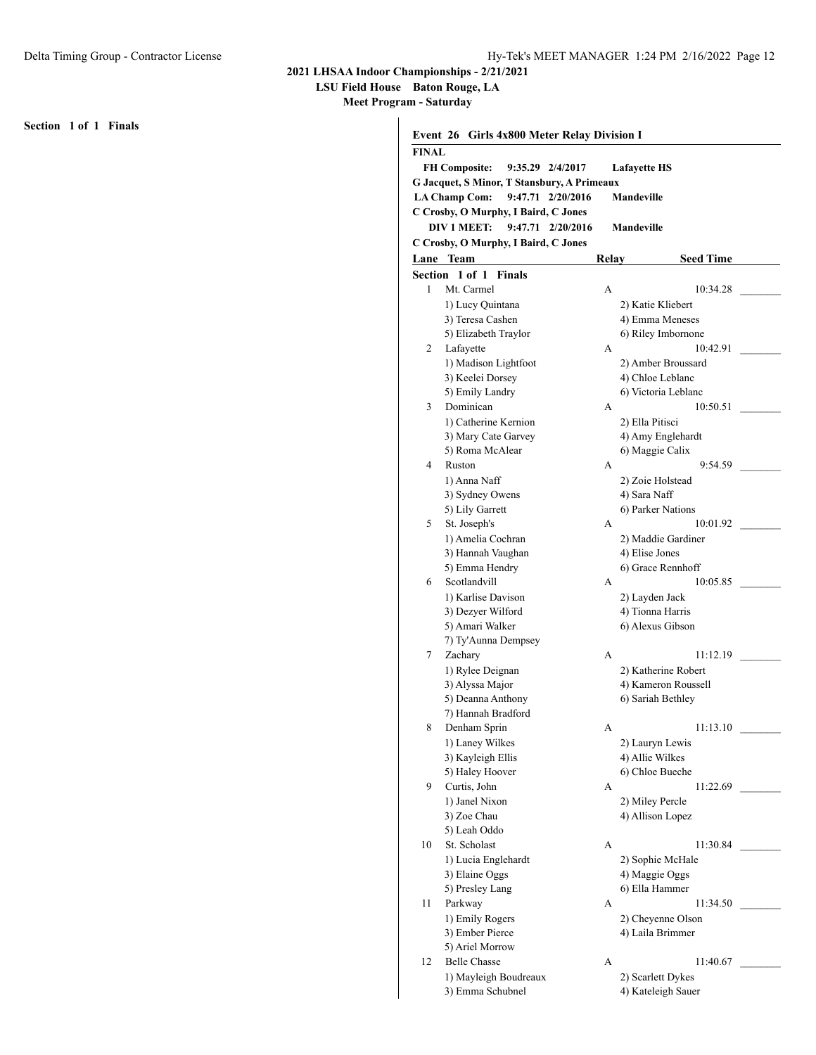**LSU Field House Baton Rouge, LA**

**Meet Program - Saturday**

**Section 1 of 1 Finals**

|              | Event 26 Girls 4x800 Meter Relay Division I |       |                                      |  |
|--------------|---------------------------------------------|-------|--------------------------------------|--|
| <b>FINAL</b> |                                             |       |                                      |  |
|              | <b>FH Composite:</b><br>9:35.29 2/4/2017    |       | <b>Lafayette HS</b>                  |  |
|              | G Jacquet, S Minor, T Stansbury, A Primeaux |       |                                      |  |
|              | <b>LA Champ Com:</b><br>9:47.71 2/20/2016   |       | Mandeville                           |  |
|              | C Crosby, O Murphy, I Baird, C Jones        |       |                                      |  |
|              | DIV 1 MEET:<br>9:47.71<br>2/20/2016         |       | <b>Mandeville</b>                    |  |
|              | C Crosby, O Murphy, I Baird, C Jones        |       |                                      |  |
|              | Lane Team                                   | Relay | <b>Seed Time</b>                     |  |
|              | Section 1 of 1 Finals                       |       |                                      |  |
| 1            | Mt. Carmel                                  | А     | 10:34.28                             |  |
|              | 1) Lucy Quintana                            |       | 2) Katie Kliebert                    |  |
|              | 3) Teresa Cashen                            |       | 4) Emma Meneses                      |  |
|              | 5) Elizabeth Traylor                        |       | 6) Riley Imbornone                   |  |
| 2            | Lafayette                                   | A     | 10:42.91                             |  |
|              | 1) Madison Lightfoot                        |       | 2) Amber Broussard                   |  |
|              | 3) Keelei Dorsey                            |       | 4) Chloe Leblanc                     |  |
|              | 5) Emily Landry                             |       | 6) Victoria Leblanc                  |  |
| 3            | Dominican                                   | А     | 10:50.51                             |  |
|              | 1) Catherine Kernion                        |       | 2) Ella Pitisci                      |  |
|              | 3) Mary Cate Garvey                         |       | 4) Amy Englehardt                    |  |
|              | 5) Roma McAlear                             |       | 6) Maggie Calix                      |  |
| 4            | Ruston                                      | A     | 9:54.59                              |  |
|              | 1) Anna Naff                                |       | 2) Zoie Holstead                     |  |
|              | 3) Sydney Owens                             |       | 4) Sara Naff                         |  |
| 5            | 5) Lily Garrett<br>St. Joseph's             | A     | 6) Parker Nations<br>10:01.92        |  |
|              | 1) Amelia Cochran                           |       |                                      |  |
|              | 3) Hannah Vaughan                           |       | 2) Maddie Gardiner<br>4) Elise Jones |  |
|              | 5) Emma Hendry                              |       | 6) Grace Rennhoff                    |  |
| 6            | Scotlandvill                                | А     | 10:05.85                             |  |
|              | 1) Karlise Davison                          |       | 2) Layden Jack                       |  |
|              | 3) Dezyer Wilford                           |       | 4) Tionna Harris                     |  |
|              | 5) Amari Walker                             |       | 6) Alexus Gibson                     |  |
|              | 7) Ty'Aunna Dempsey                         |       |                                      |  |
| 7            | Zachary                                     | A     | 11:12.19                             |  |
|              | 1) Rylee Deignan                            |       | 2) Katherine Robert                  |  |
|              | 3) Alyssa Major                             |       | 4) Kameron Roussell                  |  |
|              | 5) Deanna Anthony                           |       | 6) Sariah Bethley                    |  |
|              | 7) Hannah Bradford                          |       |                                      |  |
| 8            | Denham Sprin                                | А     | 11:13.10                             |  |
|              | 1) Laney Wilkes                             |       | 2) Lauryn Lewis                      |  |
|              | 3) Kayleigh Ellis                           |       | 4) Allie Wilkes                      |  |
|              | 5) Haley Hoover                             |       | 6) Chloe Bueche                      |  |
| 9            | Curtis, John                                | А     | 11:22.69                             |  |
|              | 1) Janel Nixon                              |       | 2) Miley Percle                      |  |
|              | 3) Zoe Chau                                 |       | 4) Allison Lopez                     |  |
|              | 5) Leah Oddo<br>St. Scholast                |       |                                      |  |
| 10           | 1) Lucia Englehardt                         | A     | 11:30.84<br>2) Sophie McHale         |  |
|              | 3) Elaine Oggs                              |       | 4) Maggie Oggs                       |  |
|              | 5) Presley Lang                             |       | 6) Ella Hammer                       |  |
| 11           | Parkway                                     | А     | 11:34.50                             |  |
|              | 1) Emily Rogers                             |       | 2) Cheyenne Olson                    |  |
|              | 3) Ember Pierce                             |       | 4) Laila Brimmer                     |  |
|              | 5) Ariel Morrow                             |       |                                      |  |
| 12           | <b>Belle Chasse</b>                         | A     | 11:40.67                             |  |
|              | 1) Mayleigh Boudreaux                       |       | 2) Scarlett Dykes                    |  |
|              | 3) Emma Schubnel                            |       | 4) Kateleigh Sauer                   |  |
|              |                                             |       |                                      |  |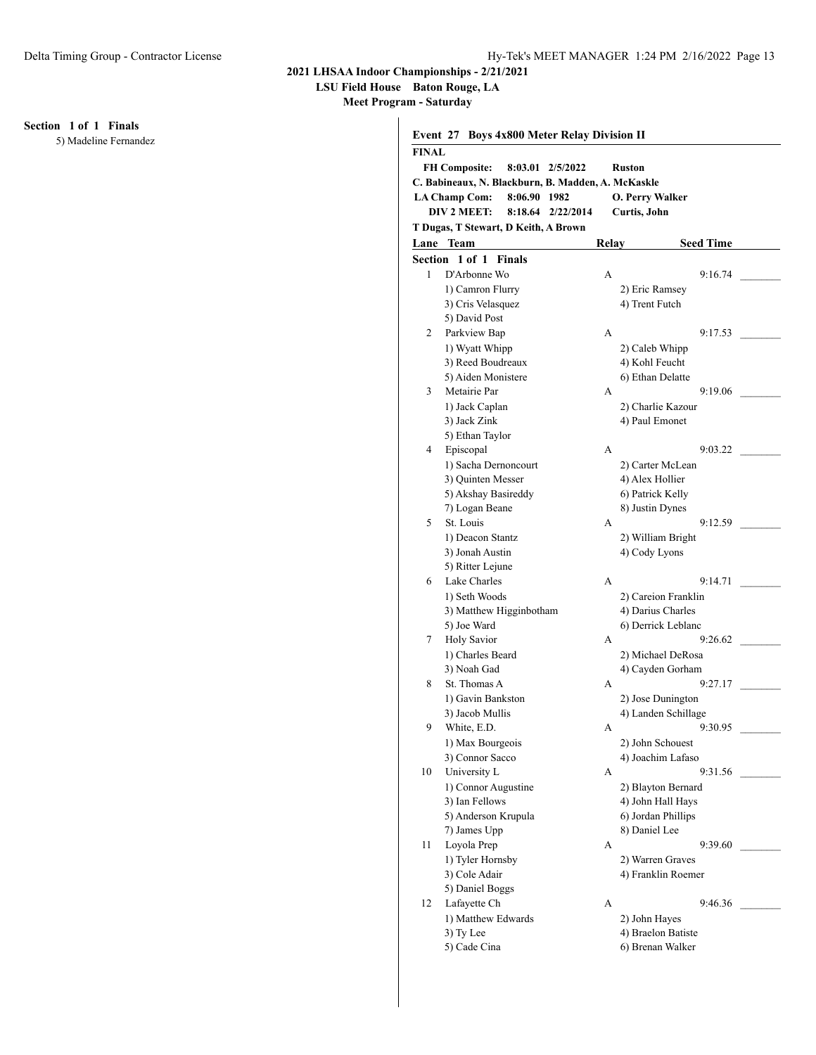**LSU Field House Baton Rouge, LA**

**Meet Program - Saturday**

**Section 1 of 1 Finals**

5) Madeline Fernandez

|              | Event 27 Boys 4x800 Meter Relay Division II        |        |                        |
|--------------|----------------------------------------------------|--------|------------------------|
| <b>FINAL</b> |                                                    |        |                        |
|              | <b>FH Composite:</b><br>8:03.01 2/5/2022           | Ruston |                        |
|              | C. Babineaux, N. Blackburn, B. Madden, A. McKaskle |        |                        |
|              | <b>LA Champ Com:</b><br>8:06.90 1982               |        | <b>O. Perry Walker</b> |
|              | DIV 2 MEET:<br>8:18.64<br>2/22/2014                |        | Curtis, John           |
|              | T Dugas, T Stewart, D Keith, A Brown               |        |                        |
|              | Lane Team                                          | Relay  | <b>Seed Time</b>       |
|              | Section 1 of 1 Finals                              |        |                        |
| 1            | D'Arbonne Wo                                       | A      | 9:16.74                |
|              | 1) Camron Flurry                                   |        | 2) Eric Ramsey         |
|              | 3) Cris Velasquez                                  |        | 4) Trent Futch         |
|              | 5) David Post                                      |        |                        |
| 2            | Parkview Bap                                       | A      | 9:17.53                |
|              | 1) Wyatt Whipp                                     |        | 2) Caleb Whipp         |
|              | 3) Reed Boudreaux                                  |        | 4) Kohl Feucht         |
|              | 5) Aiden Monistere                                 |        | 6) Ethan Delatte       |
| 3            | Metairie Par                                       | A      | 9:19.06                |
|              | 1) Jack Caplan                                     |        | 2) Charlie Kazour      |
|              | 3) Jack Zink                                       |        | 4) Paul Emonet         |
|              | 5) Ethan Taylor                                    |        |                        |
| 4            | Episcopal                                          | A      | 9:03.22                |
|              | 1) Sacha Dernoncourt                               |        | 2) Carter McLean       |
|              | 3) Quinten Messer                                  |        | 4) Alex Hollier        |
|              | 5) Akshay Basireddy                                |        | 6) Patrick Kelly       |
|              | 7) Logan Beane                                     |        | 8) Justin Dynes        |
| 5            | St. Louis                                          | A      | 9:12.59                |
|              | 1) Deacon Stantz                                   |        | 2) William Bright      |
|              | 3) Jonah Austin                                    |        | 4) Cody Lyons          |
|              | 5) Ritter Lejune                                   |        |                        |
| 6            | Lake Charles                                       | A      | 9:14.71                |
|              | 1) Seth Woods                                      |        | 2) Careion Franklin    |
|              | 3) Matthew Higginbotham                            |        | 4) Darius Charles      |
|              | 5) Joe Ward                                        |        | 6) Derrick Leblanc     |
| 7            | <b>Holy Savior</b>                                 | А      | 9:26.62                |
|              | 1) Charles Beard                                   |        | 2) Michael DeRosa      |
|              | 3) Noah Gad                                        |        | 4) Cayden Gorham       |
| 8            | St. Thomas A                                       | А      | 9:27.17                |
|              | 1) Gavin Bankston                                  |        | 2) Jose Dunington      |
|              | 3) Jacob Mullis                                    |        | 4) Landen Schillage    |
| 9            | White, E.D.                                        | А      | 9:30.95                |
|              | 1) Max Bourgeois                                   |        | 2) John Schouest       |
|              | 3) Connor Sacco                                    |        | 4) Joachim Lafaso      |
| 10           | University L                                       | А      | 9:31.56                |
|              | 1) Connor Augustine                                |        | 2) Blayton Bernard     |
|              | 3) Ian Fellows                                     |        | 4) John Hall Hays      |
|              | 5) Anderson Krupula                                |        | 6) Jordan Phillips     |
|              | 7) James Upp                                       |        | 8) Daniel Lee          |
| 11           | Loyola Prep                                        | А      | 9:39.60                |
|              | 1) Tyler Hornsby                                   |        | 2) Warren Graves       |
|              | 3) Cole Adair                                      |        | 4) Franklin Roemer     |
|              | 5) Daniel Boggs                                    |        |                        |
| 12           | Lafayette Ch                                       | А      | 9:46.36                |
|              | 1) Matthew Edwards                                 |        | 2) John Hayes          |
|              | 3) Ty Lee                                          |        | 4) Braelon Batiste     |
|              |                                                    |        |                        |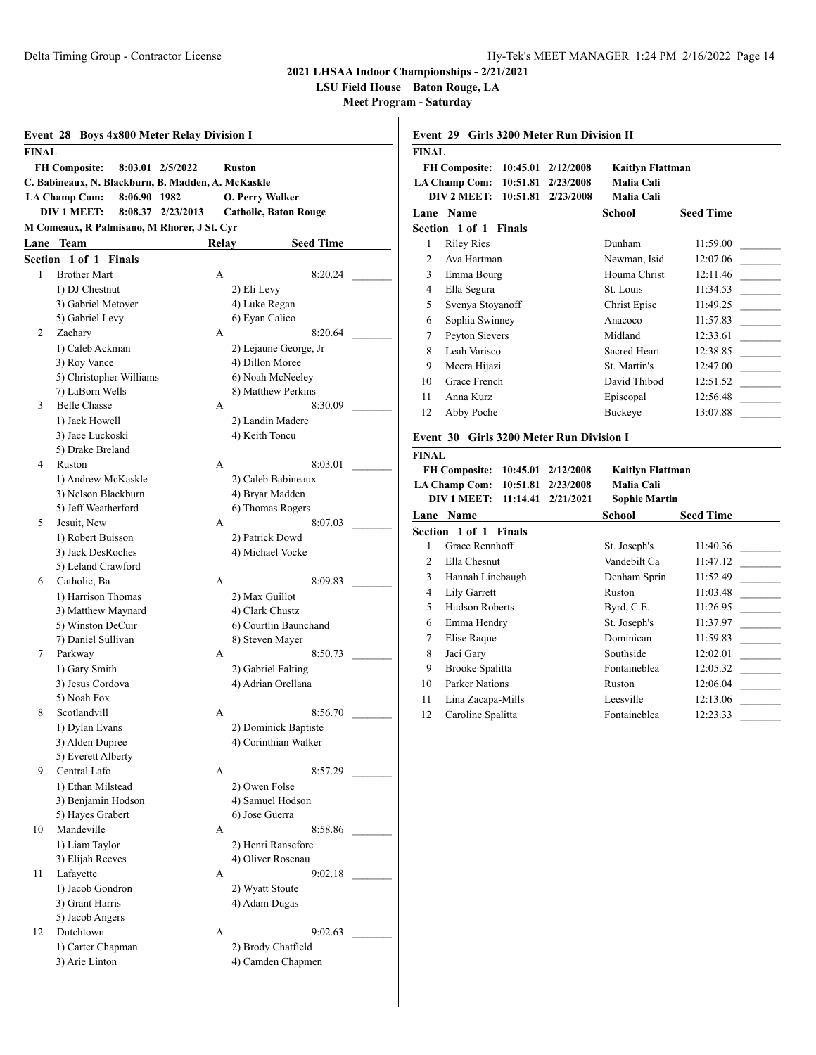**LSU Field House Baton Rouge, LA**

**Event 29 Girls 3200 Meter Run Division II**

**Meet Program - Saturday**

|         | <b>Event 28 Boys 4x800 Meter Relay Division I</b>  |               |                  |       |                                          |  |
|---------|----------------------------------------------------|---------------|------------------|-------|------------------------------------------|--|
| FINAL   |                                                    |               |                  |       |                                          |  |
|         | <b>FH Composite:</b>                               |               | 8:03.01 2/5/2022 |       | Ruston                                   |  |
|         | C. Babineaux, N. Blackburn, B. Madden, A. McKaskle |               |                  |       |                                          |  |
|         | <b>LA Champ Com:</b>                               | 8:06.90 1982  |                  |       | <b>O. Perry Walker</b>                   |  |
|         | <b>DIV 1 MEET:</b>                                 | 8:08.37       | 2/23/2013        |       | <b>Catholic, Baton Rouge</b>             |  |
|         | M Comeaux, R Palmisano, M Rhorer, J St. Cyr        |               |                  |       |                                          |  |
| Lane    | <b>Team</b>                                        |               |                  | Relay | <b>Seed Time</b>                         |  |
| Section | $1$ of $1$                                         | <b>Finals</b> |                  |       |                                          |  |
| 1       | <b>Brother Mart</b>                                |               |                  | A     | 8:20.24                                  |  |
|         | 1) DJ Chestnut                                     |               |                  |       | 2) Eli Levy                              |  |
|         | 3) Gabriel Metoyer                                 |               |                  |       | 4) Luke Regan                            |  |
|         | 5) Gabriel Levy                                    |               |                  |       | 6) Eyan Calico                           |  |
| 2       | Zachary                                            |               |                  | A     | 8:20.64                                  |  |
|         | 1) Caleb Ackman                                    |               |                  |       | 2) Lejaune George, Jr                    |  |
|         | 3) Roy Vance                                       |               |                  |       | 4) Dillon Moree                          |  |
|         | 5) Christopher Williams                            |               |                  |       | 6) Noah McNeeley                         |  |
|         | 7) LaBorn Wells                                    |               |                  |       | 8) Matthew Perkins                       |  |
| 3       | <b>Belle Chasse</b>                                |               |                  | А     | 8:30.09                                  |  |
|         | 1) Jack Howell                                     |               |                  |       | 2) Landin Madere                         |  |
|         | 3) Jace Luckoski                                   |               |                  |       | 4) Keith Toncu                           |  |
|         | 5) Drake Breland                                   |               |                  |       |                                          |  |
| 4       | Ruston                                             |               |                  | A     | 8:03.01                                  |  |
|         | 1) Andrew McKaskle                                 |               |                  |       | 2) Caleb Babineaux                       |  |
|         | 3) Nelson Blackburn                                |               |                  |       | 4) Bryar Madden                          |  |
|         | 5) Jeff Weatherford                                |               |                  |       | 6) Thomas Rogers                         |  |
| 5       | Jesuit, New                                        |               |                  | А     | 8:07.03                                  |  |
|         | 1) Robert Buisson                                  |               |                  |       | 2) Patrick Dowd                          |  |
|         | 3) Jack DesRoches                                  |               |                  |       | 4) Michael Vocke                         |  |
|         | 5) Leland Crawford                                 |               |                  |       |                                          |  |
| 6       | Catholic, Ba                                       |               |                  | A     | 8:09.83                                  |  |
|         | 1) Harrison Thomas                                 |               |                  |       | 2) Max Guillot                           |  |
|         | 3) Matthew Maynard                                 |               |                  |       | 4) Clark Chustz                          |  |
|         | 5) Winston DeCuir<br>7) Daniel Sullivan            |               |                  |       | 6) Courtlin Baunchand<br>8) Steven Mayer |  |
| 7       | Parkway                                            |               |                  | A     | 8:50.73                                  |  |
|         | 1) Gary Smith                                      |               |                  |       | 2) Gabriel Falting                       |  |
|         | 3) Jesus Cordova                                   |               |                  |       | 4) Adrian Orellana                       |  |
|         | 5) Noah Fox                                        |               |                  |       |                                          |  |
| 8       | Scotlandvill                                       |               |                  | А     | 8:56.70                                  |  |
|         | 1) Dylan Evans                                     |               |                  |       | 2) Dominick Baptiste                     |  |
|         | 3) Alden Dupree                                    |               |                  |       | 4) Corinthian Walker                     |  |
|         | 5) Everett Alberty                                 |               |                  |       |                                          |  |
| 9       | Central Lafo                                       |               |                  | A     | 8:57.29                                  |  |
|         | 1) Ethan Milstead                                  |               |                  |       | 2) Owen Folse                            |  |
|         | 3) Benjamin Hodson                                 |               |                  |       | 4) Samuel Hodson                         |  |
|         | 5) Hayes Grabert                                   |               |                  |       | 6) Jose Guerra                           |  |
| 10      | Mandeville                                         |               |                  | A     | 8:58.86                                  |  |
|         | 1) Liam Taylor                                     |               |                  |       | 2) Henri Ransefore                       |  |
|         | 3) Elijah Reeves                                   |               |                  |       | 4) Oliver Rosenau                        |  |
| 11      | Lafayette                                          |               |                  | А     | 9:02.18                                  |  |
|         | 1) Jacob Gondron                                   |               |                  |       | 2) Wyatt Stoute                          |  |
|         | 3) Grant Harris                                    |               |                  |       | 4) Adam Dugas                            |  |
|         | 5) Jacob Angers                                    |               |                  |       |                                          |  |
| 12      | Dutchtown                                          |               |                  | А     | 9:02.63                                  |  |
|         | 1) Carter Chapman                                  |               |                  |       | 2) Brody Chatfield                       |  |
|         | 3) Arie Linton                                     |               |                  |       | 4) Camden Chapmen                        |  |

| <b>FINAL</b>                                       |                                          |           |                         |                             |
|----------------------------------------------------|------------------------------------------|-----------|-------------------------|-----------------------------|
| <b>FH Composite:</b>                               | <b>Kaitlyn Flattman</b>                  |           |                         |                             |
|                                                    | 10:51.81<br><b>LA Champ Com:</b>         | 2/23/2008 | Malia Cali              |                             |
| DIV 2 MEET:<br>10:51.81<br>Malia Cali<br>2/23/2008 |                                          |           |                         |                             |
| Lane Name<br>School<br><b>Seed Time</b>            |                                          |           |                         |                             |
| Section 1 of 1 Finals                              |                                          |           |                         |                             |
| 1                                                  | <b>Riley Ries</b>                        |           | Dunham                  | 11:59.00                    |
| $\overline{2}$                                     | Ava Hartman                              |           | Newman, Isid            | 12:07.06                    |
| 3                                                  | Emma Bourg                               |           | Houma Christ            | 12:11.46<br>$\sim 10^{-11}$ |
| $\overline{4}$                                     | Ella Segura                              |           | St. Louis               | 11:34.53                    |
| 5                                                  | Svenya Stoyanoff                         |           | Christ Episc            | 11:49.25                    |
| 6                                                  | Sophia Swinney                           |           | Anacoco                 | 11:57.83                    |
| 7                                                  | Peyton Sievers                           |           | Midland                 | 12:33.61<br>$\sim 10^{-1}$  |
| 8                                                  | Leah Varisco                             |           | <b>Sacred Heart</b>     | 12:38.85                    |
| 9                                                  | Meera Hijazi                             |           | St. Martin's            | 12:47.00                    |
| 10                                                 | Grace French                             |           | David Thibod            | 12:51.52                    |
| 11                                                 | Anna Kurz                                |           | Episcopal               | 12:56.48                    |
| 12                                                 | Abby Poche                               |           | <b>Buckeye</b>          | 13:07.88                    |
|                                                    | Event 30 Girls 3200 Meter Run Division I |           |                         |                             |
| <b>FINAL</b>                                       |                                          |           |                         |                             |
|                                                    | <b>FH Composite:</b><br>10:45.01         | 2/12/2008 | <b>Kaitlyn Flattman</b> |                             |
|                                                    | <b>LA Champ Com:</b><br>10:51.81         | 2/23/2008 | Malia Cali              |                             |
|                                                    | DIV 1 MEET:<br>11:14.41                  | 2/21/2021 | <b>Sophie Martin</b>    |                             |
|                                                    | Lane Name                                |           | <b>School</b>           | <b>Seed Time</b>            |
|                                                    | Section 1 of 1 Finals                    |           |                         |                             |
| 1                                                  | Grace Rennhoff                           |           | St. Joseph's            | 11:40.36                    |
| $\overline{c}$                                     | Ella Chesnut                             |           | Vandebilt Ca            | 11:47.12                    |
| 3                                                  | Hannah Linebaugh                         |           | Denham Sprin            | 11:52.49                    |
| $\overline{4}$                                     | Lily Garrett                             |           | Ruston                  | 11:03.48                    |

5 Hudson Roberts Byrd, C.E. 11:26.95 6 Emma Hendry St. Joseph's 11:37.97 7 Elise Raque Dominican 11:59.83 8 Jaci Gary Southside 12:02.01 9 Brooke Spalitta Fontaineblea 12:05.32 10 Parker Nations Ruston 12:06.04 11 Lina Zacapa-Mills Leesville 12:13.06 12 Caroline Spalitta Fontaineblea 12:23.33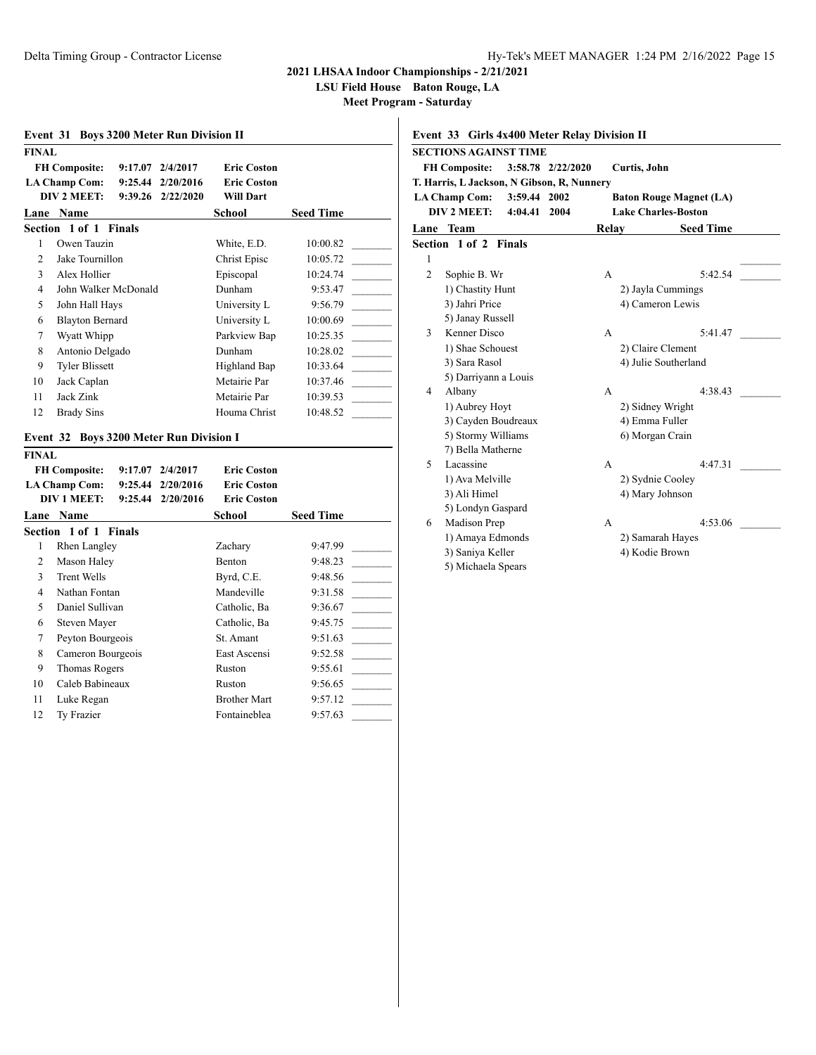**LSU Field House Baton Rouge, LA**

**Meet Program - Saturday**

 $\overline{1}$ 

|                                            | Event 31 Boys 3200 Meter Run Division II |                    |                                       |                                     |                    |
|--------------------------------------------|------------------------------------------|--------------------|---------------------------------------|-------------------------------------|--------------------|
| <b>FINAL</b>                               |                                          |                    |                                       |                                     |                    |
|                                            | <b>FH Composite:</b>                     | 9:17.07            | 2/4/2017                              | <b>Eric Coston</b>                  |                    |
|                                            | <b>LA Champ Com:</b>                     | 9:25.44            | 2/20/2016                             | <b>Eric Coston</b>                  |                    |
|                                            | DIV 2 MEET:                              | 9:39.26            | 2/22/2020                             | <b>Will Dart</b>                    |                    |
|                                            | Lane Name                                |                    |                                       | School                              | <b>Seed Time</b>   |
|                                            | Section 1 of 1                           | <b>Finals</b>      |                                       |                                     |                    |
| 1                                          | Owen Tauzin                              |                    |                                       | White, E.D.                         | 10:00.82           |
| $\overline{c}$                             | Jake Tournillon                          |                    |                                       | Christ Episc                        | 10:05.72           |
| 3                                          | Alex Hollier                             |                    |                                       | Episcopal                           | 10:24.74           |
| $\overline{4}$                             | John Walker McDonald                     |                    |                                       | Dunham                              | 9:53.47            |
| 5                                          | John Hall Hays                           |                    |                                       | University L                        | 9:56.79            |
| 6                                          | <b>Blayton Bernard</b>                   |                    |                                       | University L                        | 10:00.69           |
| 7                                          | Wyatt Whipp                              |                    |                                       | Parkview Bap                        | 10:25.35           |
| 8                                          | Antonio Delgado                          |                    |                                       | Dunham                              | 10:28.02           |
| 9                                          | <b>Tyler Blissett</b>                    |                    |                                       | Highland Bap                        | 10:33.64           |
| 10                                         | Jack Caplan                              |                    |                                       | Metairie Par                        | 10:37.46           |
| 11                                         | Jack Zink                                |                    |                                       | Metairie Par                        | 10:39.53           |
| 12                                         | <b>Brady Sins</b>                        |                    |                                       | Houma Christ                        | 10:48.52           |
| Event 32                                   |                                          |                    | <b>Boys 3200 Meter Run Division I</b> |                                     |                    |
| <b>FINAL</b>                               |                                          |                    |                                       |                                     |                    |
|                                            | <b>FH Composite:</b>                     | 9:17.07            | 2/4/2017                              | <b>Eric Coston</b>                  |                    |
|                                            | <b>LA Champ Com:</b>                     | 9:25.44            | 2/20/2016                             | <b>Eric Coston</b>                  |                    |
| <b>DIV 1 MEET:</b><br>9:25.44<br>2/20/2016 |                                          | <b>Eric Coston</b> |                                       |                                     |                    |
|                                            | Lane Name                                |                    |                                       | <b>School</b>                       | <b>Seed Time</b>   |
|                                            | Section 1 of 1                           | <b>Finals</b>      |                                       |                                     |                    |
| 1                                          | Rhen Langley                             |                    |                                       | Zachary                             | 9:47.99            |
| 2                                          | Mason Haley                              |                    |                                       | Benton                              | 9:48.23            |
| 3                                          | <b>Trent Wells</b>                       |                    |                                       | Byrd, C.E.                          | 9:48.56            |
| $\overline{4}$                             | Nathan Fontan                            |                    |                                       | Mandeville                          | 9:31.58            |
| 5                                          | Daniel Sullivan                          |                    |                                       | Catholic, Ba                        | 9:36.67            |
| 6                                          | Steven Mayer                             |                    |                                       | Catholic, Ba                        | 9:45.75            |
|                                            |                                          |                    |                                       |                                     |                    |
| 7                                          | Peyton Bourgeois                         |                    |                                       | St. Amant                           | 9:51.63            |
| 8                                          | Cameron Bourgeois                        |                    |                                       | East Ascensi                        | 9:52.58            |
| 9                                          | Thomas Rogers                            |                    |                                       | Ruston                              | 9:55.61            |
| 10                                         | Caleb Babineaux                          |                    |                                       | Ruston                              | 9:56.65            |
| 11<br>12                                   | Luke Regan<br>Ty Frazier                 |                    |                                       | <b>Brother Mart</b><br>Fontaineblea | 9:57.12<br>9:57.63 |

## **Event 33 Girls 4x400 Meter Relay Division II SECTIONS AGAINST TIME FH Composite: 3:58.78 2/22/2020 Curtis, John T. Harris, L Jackson, N Gibson, R, Nunnery LA Champ Com: 3:59.44 2002 Baton Rouge Magnet (LA) DIV 2 MEET: 4:04.41 2004 Lake Charles-Boston Lane Team Relay Seed Time Section 1 of 2 Finals**  $1$ 2 Sophie B. Wr A 5:42.54 1) Chastity Hunt 2) Jayla Cummings 3) Jahri Price 4) Cameron Lewis 5) Janay Russell 3 Kenner Disco A 5:41.47 1) Shae Schouest 2) Claire Clement 3) Sara Rasol 4) Julie Southerland 5) Darriyann a Louis 4 Albany A 4:38.43 1) Aubrey Hoyt 2) Sidney Wright 3) Cayden Boudreaux 4) Emma Fuller 5) Stormy Williams 6) Morgan Crain 7) Bella Matherne 5 Lacassine A 4:47.31 \_\_\_\_\_\_\_\_\_ 1) Ava Melville 2) Sydnie Cooley 3) Ali Himel 4) Mary Johnson 5) Londyn Gaspard 6 Madison Prep A 4:53.06 \_ 1) Amaya Edmonds 2) Samarah Hayes 3) Saniya Keller 4) Kodie Brown

5) Michaela Spears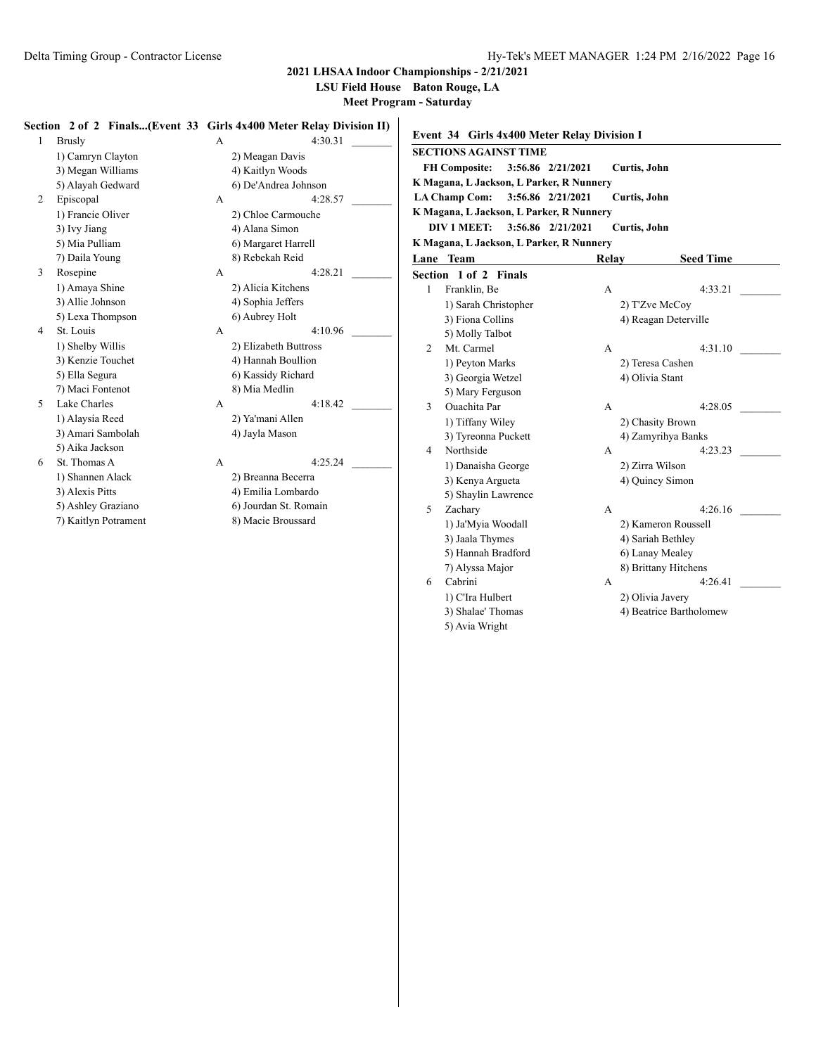**LSU Field House Baton Rouge, LA**

**Meet Program - Saturday**

#### **Section 2 of 2 Finals...(Event 33 Girls 4x400 Meter Relay Division II)**

1 Brusly A 4:30.31 1) Camryn Clayton 2) Meagan Davis 3) Megan Williams 4) Kaitlyn Woods 5) Alayah Gedward 6) De'Andrea Johnson 2 Episcopal A 4:28.57 1) Francie Oliver 2) Chloe Carmouche 3) Ivy Jiang 4) Alana Simon 5) Mia Pulliam 6) Margaret Harrell 7) Daila Young 8) Rebekah Reid 3 Rosepine A 4:28.21 1) Amaya Shine 2) Alicia Kitchens 3) Allie Johnson 4) Sophia Jeffers 5) Lexa Thompson 6) Aubrey Holt 4 St. Louis A 4:10.96 1) Shelby Willis 2) Elizabeth Buttross 3) Kenzie Touchet 4) Hannah Boullion 5) Ella Segura 6) Kassidy Richard 7) Maci Fontenot 8) Mia Medlin 5 Lake Charles A 4:18.42 1) Alaysia Reed 2) Ya'mani Allen 3) Amari Sambolah 4) Jayla Mason 5) Aika Jackson 6 St. Thomas A A 4:25.24 1) Shannen Alack 2) Breanna Becerra 3) Alexis Pitts 4) Emilia Lombardo 5) Ashley Graziano 6) Jourdan St. Romain 7) Kaitlyn Potrament 8) Macie Broussard

|   | <b>Event 34 Girls 4x400 Meter Relay Division I</b> |                   |                         |
|---|----------------------------------------------------|-------------------|-------------------------|
|   | <b>SECTIONS AGAINST TIME</b>                       |                   |                         |
|   | <b>FH Composite:</b>                               | 3:56.86 2/21/2021 | Curtis, John            |
|   | K Magana, L Jackson, L Parker, R Nunnery           |                   |                         |
|   | <b>LA Champ Com:</b>                               | 3:56.86 2/21/2021 | Curtis, John            |
|   | K Magana, L Jackson, L Parker, R Nunnery           |                   |                         |
|   | <b>DIV 1 MEET:</b>                                 | 3:56.86 2/21/2021 | Curtis, John            |
|   | K Magana, L Jackson, L Parker, R Nunnery           |                   |                         |
|   | <b>Lane Team</b>                                   | Relay             | <b>Seed Time</b>        |
|   | Section 1 of 2 Finals                              |                   |                         |
| 1 | Franklin, Be                                       | A                 | 4:33.21                 |
|   | 1) Sarah Christopher                               |                   | 2) T'Zve McCoy          |
|   | 3) Fiona Collins                                   |                   | 4) Reagan Deterville    |
|   | 5) Molly Talbot                                    |                   |                         |
| 2 | Mt. Carmel                                         | A                 | 4:31.10                 |
|   | 1) Peyton Marks                                    |                   | 2) Teresa Cashen        |
|   | 3) Georgia Wetzel                                  |                   | 4) Olivia Stant         |
|   | 5) Mary Ferguson                                   |                   |                         |
| 3 | <b>Ouachita</b> Par                                | А                 | 4:28.05                 |
|   | 1) Tiffany Wiley                                   |                   | 2) Chasity Brown        |
|   | 3) Tyreonna Puckett                                |                   | 4) Zamyrihya Banks      |
| 4 | Northside                                          | A                 | 4:23.23                 |
|   | 1) Danaisha George                                 |                   | 2) Zirra Wilson         |
|   | 3) Kenya Argueta                                   |                   | 4) Quincy Simon         |
|   | 5) Shaylin Lawrence                                |                   |                         |
| 5 | Zachary                                            | А                 | 4:26.16                 |
|   | 1) Ja'Myia Woodall                                 |                   | 2) Kameron Roussell     |
|   | 3) Jaala Thymes                                    |                   | 4) Sariah Bethley       |
|   | 5) Hannah Bradford                                 |                   | 6) Lanay Mealey         |
|   | 7) Alyssa Major                                    |                   | 8) Brittany Hitchens    |
| 6 | Cabrini                                            | А                 | 4:26.41                 |
|   | 1) C'Ira Hulbert                                   |                   | 2) Olivia Javery        |
|   | 3) Shalae' Thomas                                  |                   | 4) Beatrice Bartholomew |
|   | 5) Avia Wright                                     |                   |                         |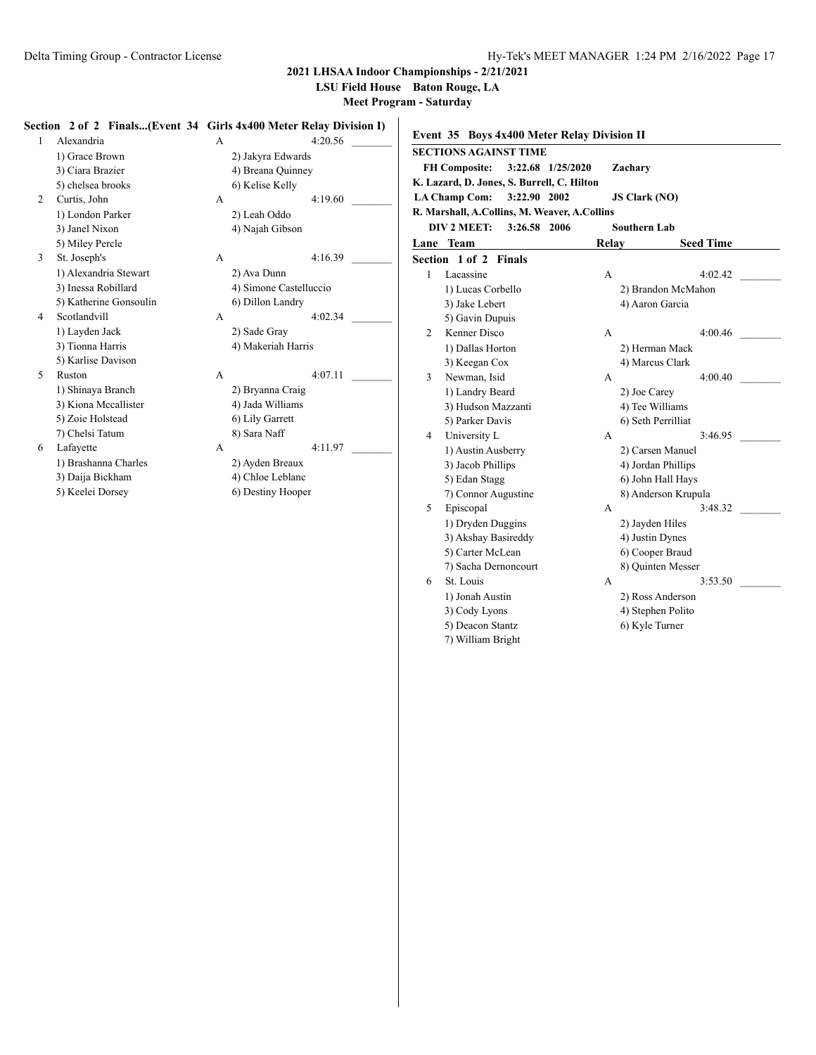**LSU Field House Baton Rouge, LA**

**Meet Program - Saturday**

## **Section 2 of 2 Finals...(Event 34 Girls 4x400 Meter Relay Division I)**

| Alexandria             | A |                        | 4:20 |
|------------------------|---|------------------------|------|
| 1) Grace Brown         |   | 2) Jakyra Edwards      |      |
| 3) Ciara Brazier       |   | 4) Breana Quinney      |      |
| 5) chelsea brooks      |   | 6) Kelise Kelly        |      |
| Curtis, John           | A |                        | 4:19 |
| 1) London Parker       |   | 2) Leah Oddo           |      |
| 3) Janel Nixon         |   | 4) Najah Gibson        |      |
| 5) Miley Percle        |   |                        |      |
| St. Joseph's           | A |                        | 4:16 |
| 1) Alexandria Stewart  |   | 2) Ava Dunn            |      |
| 3) Inessa Robillard    |   | 4) Simone Castelluccio |      |
| 5) Katherine Gonsoulin |   | 6) Dillon Landry       |      |
| Scotlandvill           | A |                        | 4:02 |
| 1) Layden Jack         |   | 2) Sade Gray           |      |
| 3) Tionna Harris       |   | 4) Makeriah Harris     |      |
| 5) Karlise Davison     |   |                        |      |
| Ruston                 | A |                        | 4:07 |
| 1) Shinaya Branch      |   | 2) Bryanna Craig       |      |
| 3) Kiona Mccallister   |   | 4) Jada Williams       |      |
| 5) Zoie Holstead       |   | 6) Lily Garrett        |      |
| 7) Chelsi Tatum        |   | 8) Sara Naff           |      |
| Lafayette              | А |                        | 4:11 |
| 1) Brashanna Charles   |   | 2) Ayden Breaux        |      |

| 1 | Alexandria             | A            | 4:20.56                |  |
|---|------------------------|--------------|------------------------|--|
|   | 1) Grace Brown         |              | 2) Jakyra Edwards      |  |
|   | 3) Ciara Brazier       |              | 4) Breana Quinney      |  |
|   | 5) chelsea brooks      |              | 6) Kelise Kelly        |  |
| 2 | Curtis, John           | A            | 4:19.60                |  |
|   | 1) London Parker       |              | 2) Leah Oddo           |  |
|   | 3) Janel Nixon         |              | 4) Najah Gibson        |  |
|   | 5) Miley Percle        |              |                        |  |
| 3 | St. Joseph's           | A            | 4:16.39                |  |
|   | 1) Alexandria Stewart  |              | 2) Ava Dunn            |  |
|   | 3) Inessa Robillard    |              | 4) Simone Castelluccio |  |
|   | 5) Katherine Gonsoulin |              | 6) Dillon Landry       |  |
| 4 | Scotlandvill           | $\mathsf{A}$ | 4:02.34                |  |
|   | 1) Layden Jack         |              | 2) Sade Gray           |  |
|   | 3) Tionna Harris       |              | 4) Makeriah Harris     |  |
|   | 5) Karlise Davison     |              |                        |  |
| 5 | Ruston                 | $\mathsf{A}$ | 4:07.11                |  |
|   | 1) Shinaya Branch      |              | 2) Bryanna Craig       |  |
|   | 3) Kiona Mccallister   |              | 4) Jada Williams       |  |
|   | 5) Zoie Holstead       |              | 6) Lily Garrett        |  |
|   | 7) Chelsi Tatum        |              | 8) Sara Naff           |  |
| 6 | Lafayette              | A            | 4:11.97                |  |
|   | 1) Brashanna Charles   |              | 2) Ayden Breaux        |  |
|   | 3) Daija Bickham       |              | 4) Chloe Leblanc       |  |
|   | 5) Keelei Dorsey       |              | 6) Destiny Hooper      |  |
|   |                        |              |                        |  |

| <b>SECTIONS AGAINST TIME</b><br><b>FH Composite:</b><br>3:22.68 1/25/2020<br>Zachary<br>K. Lazard, D. Jones, S. Burrell, C. Hilton<br><b>LA Champ Com:</b><br>3:22.90 2002<br><b>JS Clark (NO)</b><br>R. Marshall, A.Collins, M. Weaver, A.Collins<br>DIV 2 MEET:<br>3:26.58<br>2006<br>Southern Lab<br><b>Team</b><br><b>Seed Time</b><br>Lane<br>Relay<br>Section 1 of 2<br><b>Finals</b><br>4:02.42<br>1<br>Lacassine<br>A<br>1) Lucas Corbello<br>2) Brandon McMahon<br>3) Jake Lebert<br>4) Aaron Garcia<br>5) Gavin Dupuis<br>Kenner Disco<br>2<br>4:00.46<br>A<br>1) Dallas Horton<br>2) Herman Mack<br>3) Keegan Cox<br>4) Marcus Clark<br>3<br>Newman, Isid<br>4:00.40<br>A<br>1) Landry Beard<br>2) Joe Carey<br>3) Hudson Mazzanti<br>4) Tee Williams<br>5) Parker Davis<br>6) Seth Perrilliat<br>University L<br>3:46.95<br>4<br>A |
|------------------------------------------------------------------------------------------------------------------------------------------------------------------------------------------------------------------------------------------------------------------------------------------------------------------------------------------------------------------------------------------------------------------------------------------------------------------------------------------------------------------------------------------------------------------------------------------------------------------------------------------------------------------------------------------------------------------------------------------------------------------------------------------------------------------------------------------------|
|                                                                                                                                                                                                                                                                                                                                                                                                                                                                                                                                                                                                                                                                                                                                                                                                                                                |
|                                                                                                                                                                                                                                                                                                                                                                                                                                                                                                                                                                                                                                                                                                                                                                                                                                                |
|                                                                                                                                                                                                                                                                                                                                                                                                                                                                                                                                                                                                                                                                                                                                                                                                                                                |
|                                                                                                                                                                                                                                                                                                                                                                                                                                                                                                                                                                                                                                                                                                                                                                                                                                                |
|                                                                                                                                                                                                                                                                                                                                                                                                                                                                                                                                                                                                                                                                                                                                                                                                                                                |
|                                                                                                                                                                                                                                                                                                                                                                                                                                                                                                                                                                                                                                                                                                                                                                                                                                                |
|                                                                                                                                                                                                                                                                                                                                                                                                                                                                                                                                                                                                                                                                                                                                                                                                                                                |
|                                                                                                                                                                                                                                                                                                                                                                                                                                                                                                                                                                                                                                                                                                                                                                                                                                                |
|                                                                                                                                                                                                                                                                                                                                                                                                                                                                                                                                                                                                                                                                                                                                                                                                                                                |
|                                                                                                                                                                                                                                                                                                                                                                                                                                                                                                                                                                                                                                                                                                                                                                                                                                                |
|                                                                                                                                                                                                                                                                                                                                                                                                                                                                                                                                                                                                                                                                                                                                                                                                                                                |
|                                                                                                                                                                                                                                                                                                                                                                                                                                                                                                                                                                                                                                                                                                                                                                                                                                                |
|                                                                                                                                                                                                                                                                                                                                                                                                                                                                                                                                                                                                                                                                                                                                                                                                                                                |
|                                                                                                                                                                                                                                                                                                                                                                                                                                                                                                                                                                                                                                                                                                                                                                                                                                                |
|                                                                                                                                                                                                                                                                                                                                                                                                                                                                                                                                                                                                                                                                                                                                                                                                                                                |
|                                                                                                                                                                                                                                                                                                                                                                                                                                                                                                                                                                                                                                                                                                                                                                                                                                                |
|                                                                                                                                                                                                                                                                                                                                                                                                                                                                                                                                                                                                                                                                                                                                                                                                                                                |
|                                                                                                                                                                                                                                                                                                                                                                                                                                                                                                                                                                                                                                                                                                                                                                                                                                                |
|                                                                                                                                                                                                                                                                                                                                                                                                                                                                                                                                                                                                                                                                                                                                                                                                                                                |
|                                                                                                                                                                                                                                                                                                                                                                                                                                                                                                                                                                                                                                                                                                                                                                                                                                                |
| 1) Austin Ausberry<br>2) Carsen Manuel                                                                                                                                                                                                                                                                                                                                                                                                                                                                                                                                                                                                                                                                                                                                                                                                         |
| 3) Jacob Phillips<br>4) Jordan Phillips                                                                                                                                                                                                                                                                                                                                                                                                                                                                                                                                                                                                                                                                                                                                                                                                        |
| 6) John Hall Hays<br>5) Edan Stagg                                                                                                                                                                                                                                                                                                                                                                                                                                                                                                                                                                                                                                                                                                                                                                                                             |
| 7) Connor Augustine<br>8) Anderson Krupula                                                                                                                                                                                                                                                                                                                                                                                                                                                                                                                                                                                                                                                                                                                                                                                                     |
| Episcopal<br>5<br>3:48.32<br>A                                                                                                                                                                                                                                                                                                                                                                                                                                                                                                                                                                                                                                                                                                                                                                                                                 |
| 1) Dryden Duggins<br>2) Jayden Hiles                                                                                                                                                                                                                                                                                                                                                                                                                                                                                                                                                                                                                                                                                                                                                                                                           |
| 3) Akshay Basireddy<br>4) Justin Dynes                                                                                                                                                                                                                                                                                                                                                                                                                                                                                                                                                                                                                                                                                                                                                                                                         |
| 5) Carter McLean<br>6) Cooper Braud                                                                                                                                                                                                                                                                                                                                                                                                                                                                                                                                                                                                                                                                                                                                                                                                            |
| 8) Quinten Messer<br>7) Sacha Dernoncourt                                                                                                                                                                                                                                                                                                                                                                                                                                                                                                                                                                                                                                                                                                                                                                                                      |
| St. Louis<br>3:53.50<br>6<br>A                                                                                                                                                                                                                                                                                                                                                                                                                                                                                                                                                                                                                                                                                                                                                                                                                 |
| 1) Jonah Austin<br>2) Ross Anderson                                                                                                                                                                                                                                                                                                                                                                                                                                                                                                                                                                                                                                                                                                                                                                                                            |
| 3) Cody Lyons<br>4) Stephen Polito<br>5) Deacon Stantz<br>6) Kyle Turner                                                                                                                                                                                                                                                                                                                                                                                                                                                                                                                                                                                                                                                                                                                                                                       |
| 7) William Bright                                                                                                                                                                                                                                                                                                                                                                                                                                                                                                                                                                                                                                                                                                                                                                                                                              |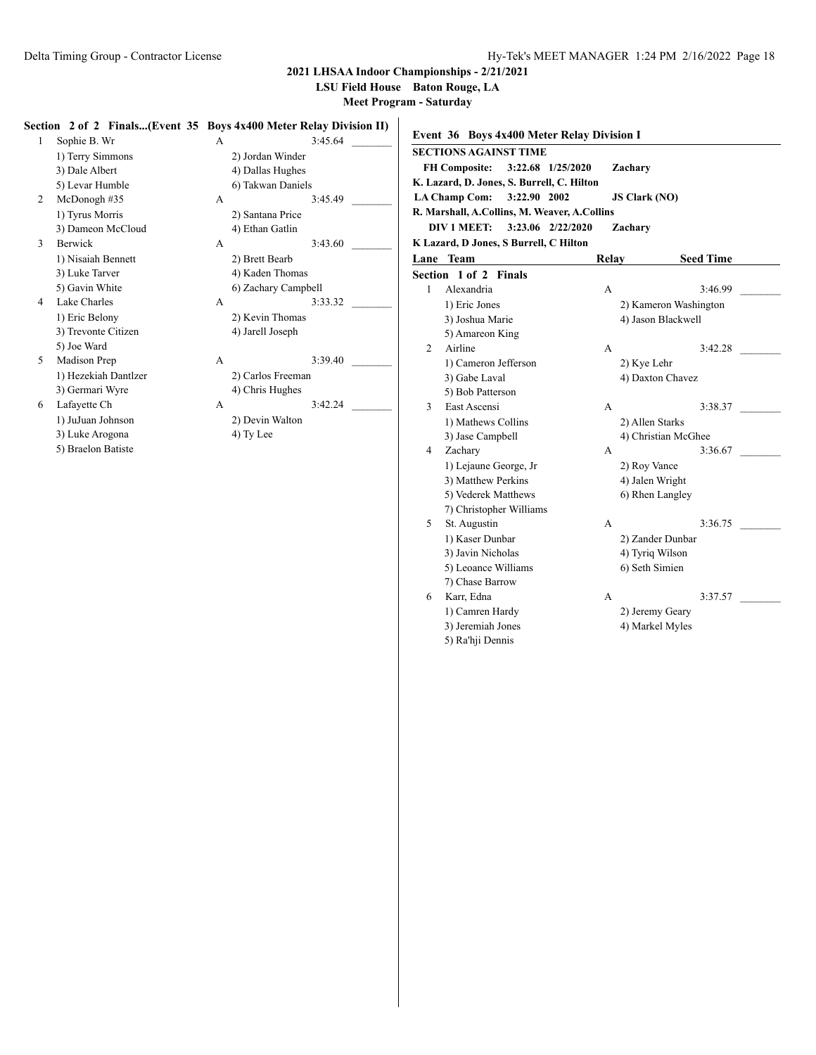**LSU Field House Baton Rouge, LA**

**Meet Program - Saturday**

#### **Section 2 of 2 Finals...(Event 35 Boys 4x400 Meter Relay Division II)**

| 1 | Sophie B. Wr         | А |                     | 3:45.64 |
|---|----------------------|---|---------------------|---------|
|   | 1) Terry Simmons     |   | 2) Jordan Winder    |         |
|   | 3) Dale Albert       |   | 4) Dallas Hughes    |         |
|   | 5) Levar Humble      |   | 6) Takwan Daniels   |         |
| 2 | McDonogh#35          | А |                     | 3:45.49 |
|   | 1) Tyrus Morris      |   | 2) Santana Price    |         |
|   | 3) Dameon McCloud    |   | 4) Ethan Gatlin     |         |
| 3 | <b>Berwick</b>       | A |                     | 3:43.60 |
|   | 1) Nisaiah Bennett   |   | 2) Brett Bearb      |         |
|   | 3) Luke Tarver       |   | 4) Kaden Thomas     |         |
|   | 5) Gavin White       |   | 6) Zachary Campbell |         |
| 4 | Lake Charles         | А |                     | 3:33.32 |
|   | 1) Eric Belony       |   | 2) Kevin Thomas     |         |
|   | 3) Trevonte Citizen  |   | 4) Jarell Joseph    |         |
|   | 5) Joe Ward          |   |                     |         |
| 5 | Madison Prep         | А |                     | 3:39.40 |
|   | 1) Hezekiah Dantlzer |   | 2) Carlos Freeman   |         |
|   | 3) Germari Wyre      |   | 4) Chris Hughes     |         |
| 6 | Lafayette Ch         | A |                     | 3:42.24 |

- 3) Luke Arogona (4) Ty Lee
- 5) Braelon Batiste

A 3:45.64 \_ 2) Jordan Winder 4) Dallas Hughes 6) Takwan Daniels 2) Santana Price 4) Ethan Gatlin A  $3:43.60$ 2) Brett Bearb 4) Kaden Thomas 6) Zachary Campbell A 3:33.32 2) Kevin Thomas 4) Jarell Joseph A  $3:39.40$ 2) Carlos Freeman 4) Chris Hughes 1) JuJuan Johnson 2) Devin Walton

|      | Event 36 Boys 4x400 Meter Relay Division I   |                      |                       |
|------|----------------------------------------------|----------------------|-----------------------|
|      | <b>SECTIONS AGAINST TIME</b>                 |                      |                       |
|      | <b>FH Composite:</b><br>3:22.68 1/25/2020    | Zachary              |                       |
|      | K. Lazard, D. Jones, S. Burrell, C. Hilton   |                      |                       |
|      | 3:22.90 2002<br><b>LA Champ Com:</b>         | <b>JS Clark (NO)</b> |                       |
|      | R. Marshall, A.Collins, M. Weaver, A.Collins |                      |                       |
|      | DIV 1 MEET:<br>3:23.06 2/22/2020             | Zachary              |                       |
|      | K Lazard, D Jones, S Burrell, C Hilton       |                      |                       |
| Lane | Team                                         | Relay                | <b>Seed Time</b>      |
|      | Section 1 of 2 Finals                        |                      |                       |
| 1    | Alexandria                                   | А                    | 3:46.99               |
|      | 1) Eric Jones                                |                      | 2) Kameron Washington |
|      | 3) Joshua Marie                              |                      | 4) Jason Blackwell    |
|      | 5) Amareon King                              |                      |                       |
| 2    | Airline                                      | A                    | 3:42.28               |
|      | 1) Cameron Jefferson                         | 2) Kye Lehr          |                       |
|      | 3) Gabe Laval                                |                      | 4) Daxton Chavez      |
|      | 5) Bob Patterson                             |                      |                       |
| 3    | East Ascensi                                 | A                    | 3:38.37               |
|      | 1) Mathews Collins                           | 2) Allen Starks      |                       |
|      | 3) Jase Campbell                             |                      | 4) Christian McGhee   |
| 4    | Zachary                                      | A                    | 3:36.67               |
|      | 1) Lejaune George, Jr                        | 2) Roy Vance         |                       |
|      | 3) Matthew Perkins                           | 4) Jalen Wright      |                       |
|      | 5) Vederek Matthews                          |                      | 6) Rhen Langley       |
|      | 7) Christopher Williams                      |                      |                       |
| 5    | St. Augustin                                 | A                    | 3:36.75               |
|      | 1) Kaser Dunbar                              |                      | 2) Zander Dunbar      |
|      | 3) Javin Nicholas                            | 4) Tyriq Wilson      |                       |
|      | 5) Leoance Williams                          | 6) Seth Simien       |                       |
|      | 7) Chase Barrow                              |                      | 3:37.57               |
| 6    | Karr, Edna                                   | A                    |                       |
|      | 1) Camren Hardy                              |                      | 2) Jeremy Geary       |
|      | 3) Jeremiah Jones                            |                      | 4) Markel Myles       |
|      | 5) Ra'hji Dennis                             |                      |                       |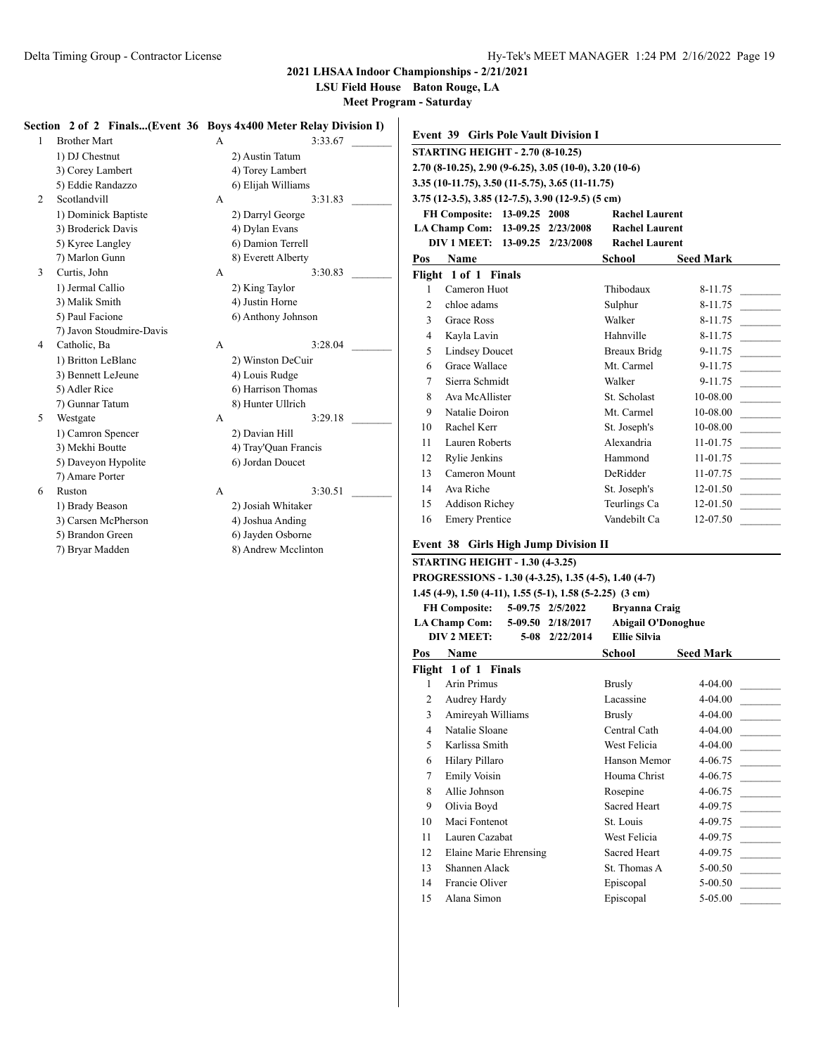**LSU Field House Baton Rouge, LA**

**Meet Program - Saturday**

## **Section 2 of 2 Finals...(Event 36 Boys 4x400 Meter Relay Division I)**

| 1 | <b>Brother Mart</b>      | A |                    |
|---|--------------------------|---|--------------------|
|   | 1) DJ Chestnut           |   | 2) Austin Tatum    |
|   | 3) Corey Lambert         |   | 4) Torey Lambert   |
|   | 5) Eddie Randazzo        |   | 6) Elijah Williams |
| 2 | Scotlandvill             | A |                    |
|   | 1) Dominick Baptiste     |   | 2) Darryl George   |
|   | 3) Broderick Davis       |   | 4) Dylan Evans     |
|   | 5) Kyree Langley         |   | 6) Damion Terrell  |
|   | 7) Marlon Gunn           |   | 8) Everett Alberty |
| 3 | Curtis, John             | A |                    |
|   | 1) Jermal Callio         |   | 2) King Taylor     |
|   | 3) Malik Smith           |   | 4) Justin Horne    |
|   | 5) Paul Facione          |   | 6) Anthony Johnsor |
|   | 7) Javon Stoudmire-Davis |   |                    |
| 4 | Catholic, Ba             | A |                    |
|   | 1) Britton LeBlanc       |   | 2) Winston DeCuir  |
|   | 3) Bennett LeJeune       |   | 4) Louis Rudge     |
|   | 5) Adler Rice            |   | 6) Harrison Thoma  |
|   | 7) Gunnar Tatum          |   | 8) Hunter Ullrich  |
| 5 | Westgate                 | А |                    |
|   | 1) Camron Spencer        |   | 2) Davian Hill     |
|   | 3) Mekhi Boutte          |   | 4) Tray'Quan Franc |
|   | 5) Daveyon Hypolite      |   | 6) Jordan Doucet   |
|   | 7) Amare Porter          |   |                    |
| 6 | Ruston                   | A |                    |
|   | 1) Brady Beason          |   | 2) Josiah Whitaker |
|   | 3) Carsen McPherson      |   | 4) Joshua Anding   |
|   | 5) Brandon Green         |   | 6) Jayden Osborne  |

| 7) Bryar Madden | 8) Andrew Mcclinton |
|-----------------|---------------------|
|                 |                     |

## A 3:33.67 \_ 2) Austin Tatum 3) Corey Lambert 4) Torey Lambert 6) Elijah Williams A  $3:31.83$ 2) Darryl George 4) Dylan Evans 6) Damion Terrell 8) Everett Alberty A  $3:30.83$ 2) King Taylor 4) Justin Horne 6) Anthony Johnson A 3:28.04 \_ 2) Winston DeCuir 4) Louis Rudge 6) Harrison Thomas 8) Hunter Ullrich A  $3:29.18$ 2) Davian Hill 4) Tray'Quan Francis 6) Jordan Doucet A  $3:30.51$ 2) Josiah Whitaker 4) Joshua Anding

|                                                           | <b>Event 39 Girls Pole Vault Division I</b>                                                                                                                      |  |  |                                                      |                            |
|-----------------------------------------------------------|------------------------------------------------------------------------------------------------------------------------------------------------------------------|--|--|------------------------------------------------------|----------------------------|
|                                                           | <b>STARTING HEIGHT - 2.70 (8-10.25)</b>                                                                                                                          |  |  |                                                      |                            |
|                                                           | 2.70 (8-10.25), 2.90 (9-6.25), 3.05 (10-0), 3.20 (10-6)                                                                                                          |  |  |                                                      |                            |
|                                                           | 3.35 (10-11.75), 3.50 (11-5.75), 3.65 (11-11.75)                                                                                                                 |  |  |                                                      |                            |
|                                                           | 3.75 (12-3.5), 3.85 (12-7.5), 3.90 (12-9.5) (5 cm)                                                                                                               |  |  |                                                      |                            |
|                                                           | FH Composite: 13-09.25 2008                                                                                                                                      |  |  | <b>Rachel Laurent</b>                                |                            |
| LA Champ Com: 13-09.25 2/23/2008<br><b>Rachel Laurent</b> |                                                                                                                                                                  |  |  |                                                      |                            |
| DIV 1 MEET: 13-09.25 2/23/2008<br><b>Rachel Laurent</b>   |                                                                                                                                                                  |  |  |                                                      |                            |
| Pos                                                       | <b>Name</b>                                                                                                                                                      |  |  | School                                               | <b>Seed Mark</b>           |
|                                                           | Flight 1 of 1 Finals                                                                                                                                             |  |  |                                                      |                            |
| 1                                                         | Cameron Huot                                                                                                                                                     |  |  | Thibodaux                                            | 8-11.75                    |
| 2                                                         | chloe adams                                                                                                                                                      |  |  | Sulphur                                              | 8-11.75                    |
| 3                                                         | <b>Grace Ross</b>                                                                                                                                                |  |  | Walker                                               | 8-11.75                    |
| 4                                                         | Kayla Lavin                                                                                                                                                      |  |  | Hahnville                                            | 8-11.75                    |
| 5                                                         | <b>Lindsey Doucet</b>                                                                                                                                            |  |  | Breaux Bridg                                         | 9-11.75                    |
| 6                                                         | Grace Wallace                                                                                                                                                    |  |  | Mt. Carmel                                           | 9-11.75                    |
| 7                                                         | Sierra Schmidt                                                                                                                                                   |  |  | Walker                                               | 9-11.75                    |
| 8                                                         | Ava McAllister                                                                                                                                                   |  |  | St. Scholast                                         | 10-08.00                   |
| 9                                                         | Natalie Doiron                                                                                                                                                   |  |  | Mt. Carmel                                           | 10-08.00                   |
| 10                                                        | Rachel Kerr                                                                                                                                                      |  |  | St. Joseph's                                         | 10-08.00                   |
| 11                                                        | <b>Lauren Roberts</b>                                                                                                                                            |  |  | Alexandria                                           | 11-01.75                   |
| 12                                                        | Rylie Jenkins                                                                                                                                                    |  |  | Hammond                                              | 11-01.75                   |
| 13                                                        | Cameron Mount                                                                                                                                                    |  |  | DeRidder                                             | 11-07.75                   |
| 14                                                        | Ava Riche                                                                                                                                                        |  |  | St. Joseph's                                         | 12-01.50                   |
| 15                                                        | <b>Addison Richey</b>                                                                                                                                            |  |  | Teurlings Ca                                         | 12-01.50<br>$\sim 10^{11}$ |
| 16                                                        | <b>Emery Prentice</b>                                                                                                                                            |  |  | Vandebilt Ca                                         | 12-07.50                   |
|                                                           | <b>Event 38 Girls High Jump Division II</b>                                                                                                                      |  |  |                                                      |                            |
|                                                           | <b>STARTING HEIGHT - 1.30 (4-3.25)</b>                                                                                                                           |  |  |                                                      |                            |
|                                                           |                                                                                                                                                                  |  |  | PROGRESSIONS - 1.30 (4-3.25), 1.35 (4-5), 1.40 (4-7) |                            |
|                                                           | 1.45 (4-9), 1.50 (4-11), 1.55 (5-1), 1.58 (5-2.25) (3 cm)                                                                                                        |  |  |                                                      |                            |
|                                                           | FH Composite: 5-09.75 2/5/2022                                                                                                                                   |  |  | <b>Bryanna Craig</b>                                 |                            |
|                                                           | LA Champ Com: 5-09.50 2/18/2017                                                                                                                                  |  |  | <b>Abigail O'Donoghue</b>                            |                            |
|                                                           | $\mathbf{D}\mathbf{I}\mathbf{V}$ $\mathbf{A}\mathbf{F}\mathbf{F}$ $\mathbf{F}$ $\mathbf{F}$ $\mathbf{A}\mathbf{Q}$ $\mathbf{A}\mathbf{A}$ $\mathbf{A}\mathbf{A}$ |  |  | Filia Cilvia                                         |                            |

|     | DIVZMBEL:<br>3-08 2/22/2014 | еше эпуна           |                  |
|-----|-----------------------------|---------------------|------------------|
| Pos | Name                        | School              | <b>Seed Mark</b> |
|     | Flight 1 of 1 Finals        |                     |                  |
| 1   | Arin Primus                 | Brusly              | 4-04.00          |
| 2   | Audrey Hardy                | Lacassine           | 4-04.00          |
| 3   | Amireyah Williams           | Brusly              | 4-04.00          |
| 4   | Natalie Sloane              | Central Cath        | 4-04.00          |
| 5   | Karlissa Smith              | West Felicia        | 4-04.00          |
| 6   | Hilary Pillaro              | Hanson Memor        | 4-06.75          |
| 7   | <b>Emily Voisin</b>         | Houma Christ        | 4-06.75          |
| 8   | Allie Johnson               | Rosepine            | 4-06.75          |
| 9   | Olivia Boyd                 | Sacred Heart        | 4-09.75          |
| 10  | Maci Fontenot               | St. Louis           | 4-09.75          |
| 11  | Lauren Cazabat              | West Felicia        | 4-09.75          |
| 12  | Elaine Marie Ehrensing      | <b>Sacred Heart</b> | 4-09.75          |
| 13  | Shannen Alack               | St. Thomas A        | $5-00.50$        |
| 14  | Francie Oliver              | Episcopal           | 5-00.50          |
| 15  | Alana Simon                 | Episcopal           | 5-05.00          |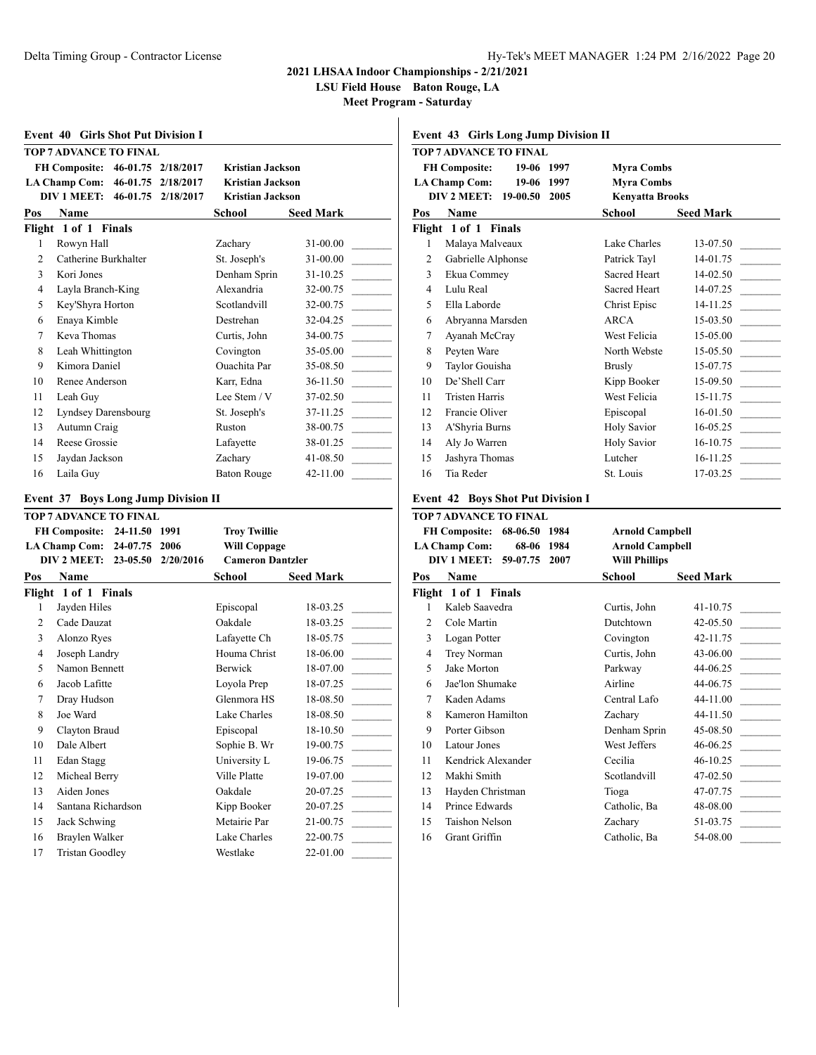**LSU Field House Baton Rouge, LA**

**Meet Program - Saturday**

|          | <b>Event 40 Girls Shot Put Division I</b>             |                    |           |                                            |                      |
|----------|-------------------------------------------------------|--------------------|-----------|--------------------------------------------|----------------------|
|          | TOP 7 ADVANCE TO FINAL                                |                    |           |                                            |                      |
|          | FH Composite: 46-01.75 2/18/2017                      |                    |           | <b>Kristian Jackson</b>                    |                      |
|          | LA Champ Com: 46-01.75 2/18/2017                      |                    |           | <b>Kristian Jackson</b>                    |                      |
|          | DIV 1 MEET: 46-01.75                                  |                    | 2/18/2017 | Kristian Jackson                           |                      |
| Pos      | <b>Name</b>                                           |                    |           | School                                     | <b>Seed Mark</b>     |
|          | Flight 1 of 1 Finals                                  |                    |           |                                            |                      |
| 1        | Rowyn Hall                                            |                    |           | Zachary                                    | 31-00.00             |
| 2        | Catherine Burkhalter                                  |                    |           | St. Joseph's                               | 31-00.00             |
| 3        | Kori Jones                                            |                    |           | Denham Sprin                               | 31-10.25             |
| 4        | Layla Branch-King                                     |                    |           | Alexandria                                 | 32-00.75             |
| 5        | Key'Shyra Horton                                      |                    |           | Scotlandvill                               | 32-00.75             |
| 6        | Enaya Kimble                                          |                    |           | Destrehan                                  | 32-04.25             |
| 7        | Keva Thomas                                           |                    |           | Curtis, John                               | 34-00.75             |
| 8        | Leah Whittington                                      |                    |           | Covington                                  | 35-05.00             |
| 9        | Kimora Daniel                                         |                    |           | Ouachita Par                               | 35-08.50             |
| 10       | Renee Anderson                                        |                    |           | Karr, Edna                                 | 36-11.50             |
| 11       | Leah Guy                                              |                    |           | Lee Stem / V                               | 37-02.50             |
| 12       | Lyndsey Darensbourg                                   |                    |           | St. Joseph's                               | 37-11.25             |
| 13       | Autumn Craig                                          |                    |           | Ruston                                     | 38-00.75             |
| 14       | Reese Grossie                                         |                    |           | Lafavette                                  | 38-01.25             |
| 15       | Jaydan Jackson                                        |                    |           | Zachary                                    | 41-08.50             |
| 16       | Laila Guy                                             |                    |           | <b>Baton Rouge</b>                         | 42-11.00             |
|          | <b>Event 37 Boys Long Jump Division II</b>            |                    |           |                                            |                      |
|          | <b>TOP 7 ADVANCE TO FINAL</b>                         |                    |           |                                            |                      |
|          | FH Composite: 24-11.50 1991<br>LA Champ Com: 24-07.75 |                    | 2006      | <b>Troy Twillie</b><br><b>Will Coppage</b> |                      |
|          | DIV 2 MEET:                                           | 23-05.50           | 2/20/2016 | <b>Cameron Dantzler</b>                    |                      |
| Pos      | Name                                                  |                    |           | School                                     | <b>Seed Mark</b>     |
|          | Flight 1 of 1 Finals                                  |                    |           |                                            |                      |
| 1        | Jayden Hiles                                          |                    |           | Episcopal                                  | 18-03.25             |
| 2        | Cade Dauzat                                           |                    |           | Oakdale                                    | 18-03.25             |
| 3        | Alonzo Ryes                                           |                    |           | Lafavette Ch                               | 18-05.75             |
| 4        | Joseph Landry                                         |                    |           | Houma Christ                               | 18-06.00             |
| 5        | Namon Bennett                                         |                    |           | Berwick                                    | 18-07.00             |
| 6        | Jacob Lafitte                                         |                    |           | Loyola Prep                                | 18-07.25             |
| 7        | Dray Hudson                                           |                    |           | Glenmora HS                                | 18-08.50             |
| 8        | Joe Ward                                              |                    |           | Lake Charles                               | 18-08.50             |
| 9        | Clayton Braud                                         |                    |           | Episcopal                                  | 18-10.50             |
| 10       | Dale Albert                                           |                    |           | Sophie B. Wr                               | 19-00.75             |
| $11\,$   | Edan Stagg                                            |                    |           | University L                               | 19-06.75             |
| 12       | Micheal Berry                                         |                    |           | Ville Platte                               | 19-07.00             |
| 13       | Aiden Jones                                           |                    |           | Oakdale                                    | 20-07.25             |
| 14       |                                                       |                    |           |                                            |                      |
|          |                                                       |                    |           |                                            |                      |
|          |                                                       | Santana Richardson |           | Kipp Booker                                | 20-07.25             |
| 15<br>16 | Jack Schwing<br>Braylen Walker                        |                    |           | Metairie Par<br>Lake Charles               | 21-00.75<br>22-00.75 |

17 Tristan Goodley Westlake 22-01.00

#### **Event 43 Girls Long Jump Division II**

|     | <b>TOP 7 ADVANCE TO FINAL</b>            |                        |                  |
|-----|------------------------------------------|------------------------|------------------|
|     | <b>FH Composite:</b><br>19-06 1997       | <b>Myra Combs</b>      |                  |
|     | <b>LA Champ Com:</b><br>19-06 1997       | <b>Myra Combs</b>      |                  |
|     | DIV 2 MEET: 19-00.50<br>2005             | <b>Kenyatta Brooks</b> |                  |
| Pos | <b>Name</b>                              | School                 | <b>Seed Mark</b> |
|     | Flight 1 of 1 Finals                     |                        |                  |
| 1   | Malaya Malveaux                          | Lake Charles           | 13-07.50         |
| 2   | Gabrielle Alphonse                       | Patrick Tayl           | 14-01.75         |
| 3   | Ekua Commey                              | <b>Sacred Heart</b>    | $14-02.50$       |
| 4   | Lulu Real                                | Sacred Heart           | 14-07.25         |
| 5   | Ella Laborde                             | Christ Episc           | 14-11.25         |
| 6   | Abryanna Marsden                         | ARCA                   | $15-03.50$       |
| 7   | Ayanah McCray                            | West Felicia           | 15-05.00         |
| 8   | Peyten Ware                              | North Webste           | 15-05.50         |
| 9   | Taylor Gouisha                           | Brusly                 | 15-07.75         |
| 10  | De'Shell Carr                            | Kipp Booker            | 15-09.50         |
| 11  | <b>Tristen Harris</b>                    | West Felicia           | 15-11.75         |
| 12  | Francie Oliver                           | Episcopal              | $16-01.50$       |
| 13  | A'Shyria Burns                           | Holy Savior            | $16 - 05.25$     |
| 14  | Aly Jo Warren                            | <b>Holy Savior</b>     | $16-10.75$       |
| 15  | Jashyra Thomas                           | Lutcher                | 16-11.25         |
| 16  | Tia Reder                                | St. Louis              | 17-03.25         |
|     | <b>Event 42 Boys Shot Put Division I</b> |                        |                  |

## **TOP 7 ADVANCE TO FINAL FH Composite: 68-06.50 1984 Arnold Campbell LA Champ Com: 68-06 1984 Arnold Campbell DIV 1 MEET: 59-07.75 2007 Will Phillips Pos Name School Seed Mark Flight 1 of 1 Finals** 1 Kaleb Saavedra Curtis, John 41-10.75 2 Cole Martin Dutchtown 42-05.50 3 Logan Potter Covington 42-11.75 4 Trey Norman Curtis, John 43-06.00 5 Jake Morton Parkway 44-06.25 6 Jae'lon Shumake Airline 44-06.75 7 Kaden Adams Central Lafo 44-11.00 8 Kameron Hamilton Zachary 44-11.50 9 Porter Gibson Denham Sprin 45-08.50 10 Latour Jones West Jeffers 46-06.25 11 Kendrick Alexander Cecilia 46-10.25 12 Makhi Smith Scotlandvill 47-02.50 13 Hayden Christman Tioga 47-07.75 14 Prince Edwards Catholic, Ba 48-08.00 15 Taishon Nelson Zachary 51-03.75 16 Grant Griffin Catholic, Ba 54-08.00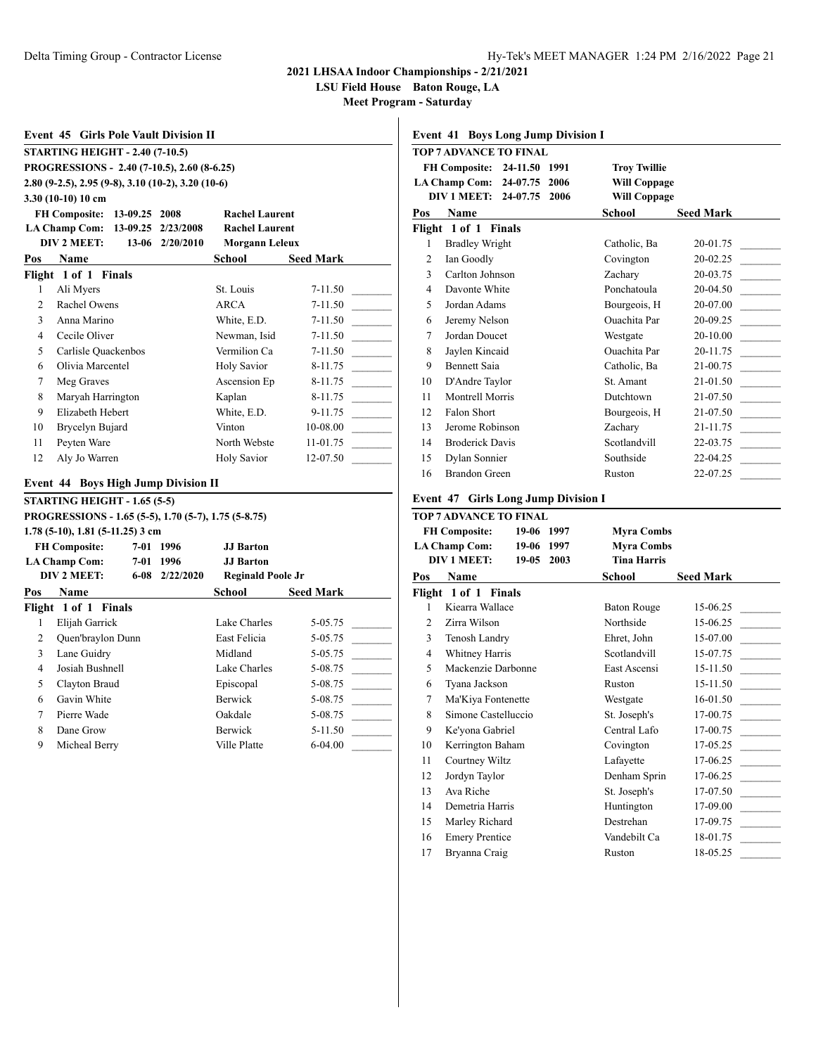**LSU Field House Baton Rouge, LA**

**Meet Program - Saturday**

## **Event 45 Girls Pole Vault Division II STARTING HEIGHT - 2.40 (7-10.5) PROGRESSIONS - 2.40 (7-10.5), 2.60 (8-6.25) 2.80 (9-2.5), 2.95 (9-8), 3.10 (10-2), 3.20 (10-6) 3.30 (10-10) 10 cm FH Composite: 13-09.25 2008 Rachel Laurent LA Champ Com: 13-09.25 2/23/2008 Rachel Laurent DIV 2 MEET: 13-06 2/20/2010 Morgann Leleux Pos Name School Seed Mark Flight 1 of 1 Finals** 1 Ali Myers St. Louis 7-11.50 2 Rachel Owens ARCA 7-11.50 3 Anna Marino White, E.D. 7-11.50 4 Cecile Oliver Newman, Isid 7-11.50 5 Carlisle Quackenbos Vermilion Ca 7-11.50 6 Olivia Marcentel Holy Savior 8-11.75 7 Meg Graves Ascension Ep 8-11.75 8 Maryah Harrington Kaplan 8-11.75 9 Elizabeth Hebert White, E.D. 9-11.75 10 Brycelyn Bujard Vinton 10-08.00 11 Peyten Ware North Webste 11-01.75 12 Aly Jo Warren Holy Savior 12-07.50 **Event 44 Boys High Jump Division II STARTING HEIGHT - 1.65 (5-5) PROGRESSIONS - 1.65 (5-5), 1.70 (5-7), 1.75 (5-8.75) 1.78 (5-10), 1.81 (5-11.25) 3 cm FH Composite: 7-01 1996 JJ Barton LA Champ Com: 7-01 1996 JJ Barton DIV 2 MEET: 6-08 2/22/2020 Reginald Poole Jr Pos Name School Seed Mark Flight 1 of 1 Finals** 1 Elijah Garrick Lake Charles 5-05.75 2 Quen'braylon Dunn East Felicia 5-05.75 3 Lane Guidry Midland 5-05.75 4 Josiah Bushnell Lake Charles 5-08.75

5 Clayton Braud Episcopal 5-08.75 6 Gavin White Berwick 5-08.75 7 Pierre Wade Oakdale 5-08.75 8 Dane Grow Berwick 5-11.50 9 Micheal Berry Ville Platte 6-04.00

#### **Event 41 Boys Long Jump Division I**

|     | <b>TOP 7 ADVANCE TO FINAL</b>         |                     |                  |
|-----|---------------------------------------|---------------------|------------------|
|     | <b>FH Composite: 24-11.50</b><br>1991 | <b>Troy Twillie</b> |                  |
|     | LA Champ Com: 24-07.75<br>2006        | <b>Will Coppage</b> |                  |
|     | DIV 1 MEET: 24-07.75<br>2006          | <b>Will Coppage</b> |                  |
| Pos | Name                                  | School              | <b>Seed Mark</b> |
|     | Flight 1 of 1 Finals                  |                     |                  |
| 1   | <b>Bradley Wright</b>                 | Catholic, Ba        | 20-01.75         |
| 2   | Ian Goodly                            | Covington           | 20-02.25         |
| 3   | Carlton Johnson                       | Zachary             | 20-03.75         |
| 4   | Davonte White                         | Ponchatoula         | 20-04.50         |
| 5   | Jordan Adams                          | Bourgeois, H        | 20-07.00         |
| 6   | Jeremy Nelson                         | <b>Ouachita</b> Par | 20-09.25         |
| 7   | Jordan Doucet                         | Westgate            | 20-10.00         |
| 8   | Jaylen Kincaid                        | <b>Ouachita</b> Par | 20-11.75         |
| 9   | <b>Bennett Saia</b>                   | Catholic, Ba        | 21-00.75         |
| 10  | D'Andre Taylor                        | St. Amant           | 21-01.50         |
| 11  | Montrell Morris                       | <b>Dutchtown</b>    | 21-07.50         |
| 12  | Falon Short                           | Bourgeois, H        | 21-07.50         |
| 13  | Jerome Robinson                       | Zachary             | 21-11.75         |
| 14  | <b>Broderick Davis</b>                | Scotlandvill        | 22-03.75         |
| 15  | Dylan Sonnier                         | Southside           | 22-04.25         |
| 16  | Brandon Green                         | Ruston              | 22-07.25         |

#### **Event 47 Girls Long Jump Division I**

|     | <b>TOP 7 ADVANCE TO FINAL</b> |         |      |                    |                  |  |
|-----|-------------------------------|---------|------|--------------------|------------------|--|
|     | <b>FH Composite:</b>          | 19-06   | 1997 | <b>Myra Combs</b>  |                  |  |
|     | <b>LA Champ Com:</b>          | 19-06   | 1997 | <b>Myra Combs</b>  |                  |  |
|     | <b>DIV 1 MEET:</b>            | $19-05$ | 2003 | <b>Tina Harris</b> |                  |  |
| Pos | Name                          |         |      | School             | <b>Seed Mark</b> |  |
|     | Flight 1 of 1 Finals          |         |      |                    |                  |  |
| 1   | Kiearra Wallace               |         |      | <b>Baton Rouge</b> | 15-06.25         |  |
| 2   | Zirra Wilson                  |         |      | Northside          | 15-06.25         |  |
| 3   | Tenosh Landry                 |         |      | Ehret, John        | 15-07.00         |  |
| 4   | <b>Whitney Harris</b>         |         |      | Scotlandvill       | 15-07.75         |  |
| 5   | Mackenzie Darbonne            |         |      | East Ascensi       | 15-11.50         |  |
| 6   | Tyana Jackson                 |         |      | Ruston             | 15-11.50         |  |
| 7   | Ma'Kiya Fontenette            |         |      | Westgate           | 16-01.50         |  |
| 8   | Simone Castelluccio           |         |      | St. Joseph's       | 17-00.75         |  |
| 9   | Ke'yona Gabriel               |         |      | Central Lafo       | 17-00.75         |  |
| 10  | Kerrington Baham              |         |      | Covington          | 17-05.25         |  |
| 11  | Courtney Wiltz                |         |      | Lafayette          | 17-06.25         |  |
| 12  | Jordyn Taylor                 |         |      | Denham Sprin       | 17-06.25         |  |
| 13  | Ava Riche                     |         |      | St. Joseph's       | 17-07.50         |  |
| 14  | Demetria Harris               |         |      | Huntington         | 17-09.00         |  |
| 15  | Marley Richard                |         |      | Destrehan          | 17-09.75         |  |
| 16  | <b>Emery Prentice</b>         |         |      | Vandebilt Ca       | 18-01.75         |  |
| 17  | Bryanna Craig                 |         |      | Ruston             | 18-05.25         |  |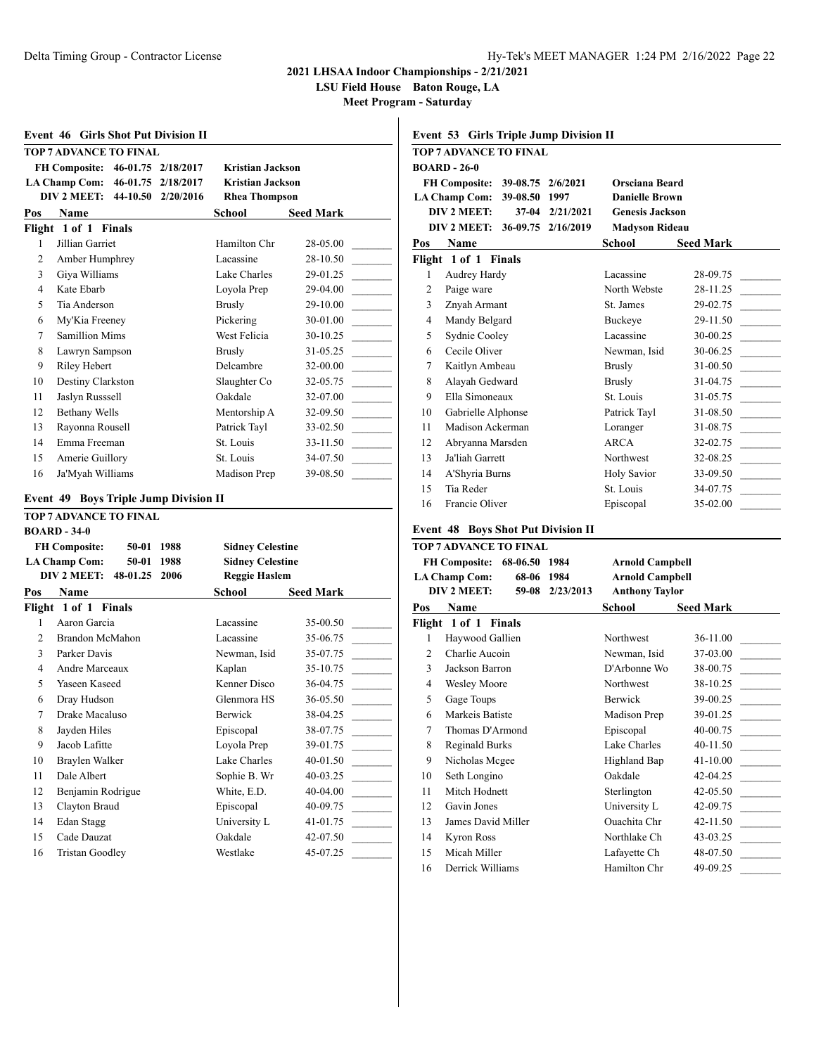**LSU Field House Baton Rouge, LA**

| <b>Event 46 Girls Shot Put Division II</b>                         |                                                 |                      | Event 53 Girls Triple Jump Division II                         |                                                      |
|--------------------------------------------------------------------|-------------------------------------------------|----------------------|----------------------------------------------------------------|------------------------------------------------------|
| <b>TOP 7 ADVANCE TO FINAL</b>                                      |                                                 |                      | <b>TOP 7 ADVANCE TO FINAL</b>                                  |                                                      |
| FH Composite: 46-01.75 2/18/2017                                   | <b>Kristian Jackson</b>                         |                      | <b>BOARD - 26-0</b>                                            |                                                      |
| LA Champ Com: 46-01.75 2/18/2017<br>DIV 2 MEET: 44-10.50 2/20/2016 | <b>Kristian Jackson</b><br><b>Rhea Thompson</b> |                      | FH Composite: 39-08.75 2/6/2021<br>LA Champ Com: 39-08.50 1997 | Orsciana Beard<br><b>Danielle Brown</b>              |
| Pos                                                                |                                                 | <b>Seed Mark</b>     | DIV 2 MEET:<br>37-04 2/21/2021                                 | <b>Genesis Jackson</b>                               |
| Name                                                               | <b>School</b>                                   |                      | DIV 2 MEET: 36-09.75 2/16/2019                                 | <b>Madyson Rideau</b>                                |
| Flight 1 of 1 Finals                                               |                                                 |                      |                                                                |                                                      |
| Jillian Garriet<br>1                                               | Hamilton Chr                                    | 28-05.00             | Name<br>Pos                                                    | <b>School</b><br><b>Seed Mark</b>                    |
| Amber Humphrey<br>2<br>3                                           | Lacassine<br>Lake Charles                       | 28-10.50<br>29-01.25 | Flight 1 of 1 Finals<br>Audrey Hardy                           | Lacassine<br>28-09.75                                |
| Giya Williams<br>4                                                 |                                                 |                      | 1<br>$\overline{c}$                                            | North Webste                                         |
| Kate Ebarb                                                         | Loyola Prep                                     | 29-04.00             | Paige ware                                                     | 28-11.25                                             |
| 5<br>Tia Anderson                                                  | <b>Brusly</b>                                   | 29-10.00             | 3<br>Znyah Armant                                              | 29-02.75<br>St. James                                |
| My'Kia Freeney<br>6                                                | Pickering                                       | 30-01.00             | $\overline{4}$<br>Mandy Belgard                                | Buckeye<br>29-11.50                                  |
| $\overline{7}$<br><b>Samillion Mims</b>                            | West Felicia                                    | 30-10.25             | 5<br>Sydnie Cooley                                             | 30-00.25<br>Lacassine                                |
| 8<br>Lawryn Sampson                                                | <b>Brusly</b>                                   | 31-05.25             | Cecile Oliver<br>6                                             | 30-06.25<br>Newman, Isid                             |
| 9<br>Riley Hebert                                                  | Delcambre                                       | 32-00.00             | 7<br>Kaitlyn Ambeau                                            | 31-00.50<br><b>Brusly</b>                            |
| Destiny Clarkston<br>10                                            | Slaughter Co                                    | 32-05.75             | 8<br>Alayah Gedward                                            | 31-04.75<br><b>Brusly</b>                            |
| Jaslyn Russsell<br>11                                              | Oakdale                                         | 32-07.00             | 9<br>Ella Simoneaux                                            | 31-05.75<br>St. Louis                                |
| 12<br><b>Bethany Wells</b>                                         | Mentorship A                                    | 32-09.50             | 10<br>Gabrielle Alphonse                                       | 31-08.50<br>Patrick Tayl                             |
| Rayonna Rousell<br>13                                              | Patrick Tayl                                    | 33-02.50             | Madison Ackerman<br>11                                         | 31-08.75<br>Loranger                                 |
| Emma Freeman<br>14                                                 | St. Louis                                       | 33-11.50             | 12<br>Abryanna Marsden                                         | <b>ARCA</b><br>32-02.75                              |
| Amerie Guillory<br>15                                              | St. Louis                                       | 34-07.50             | Ja'liah Garrett<br>13                                          | Northwest<br>32-08.25                                |
| 16<br>Ja'Myah Williams                                             | Madison Prep                                    | 39-08.50             | 14<br>A'Shyria Burns                                           | 33-09.50<br><b>Holy Savior</b>                       |
|                                                                    |                                                 |                      | Tia Reder<br>15                                                | St. Louis<br>34-07.75                                |
| <b>Event 49 Boys Triple Jump Division II</b>                       |                                                 |                      | Francie Oliver<br>16                                           | 35-02.00<br>Episcopal                                |
| <b>TOP 7 ADVANCE TO FINAL</b><br><b>BOARD - 34-0</b>               |                                                 |                      | <b>Event 48 Boys Shot Put Division II</b>                      |                                                      |
| 50-01 1988<br><b>FH Composite:</b>                                 | <b>Sidney Celestine</b>                         |                      | <b>TOP 7 ADVANCE TO FINAL</b>                                  |                                                      |
| 50-01 1988<br><b>LA Champ Com:</b>                                 | <b>Sidney Celestine</b>                         |                      | FH Composite: 68-06.50 1984                                    | <b>Arnold Campbell</b>                               |
| DIV 2 MEET: 48-01.25 2006                                          | <b>Reggie Haslem</b>                            |                      | 68-06 1984<br><b>LA Champ Com:</b>                             | <b>Arnold Campbell</b>                               |
| Name<br>Pos                                                        | School                                          | <b>Seed Mark</b>     | DIV 2 MEET:<br>59-08 2/23/2013                                 | <b>Anthony Taylor</b>                                |
| Flight 1 of 1 Finals                                               |                                                 |                      | Name<br>Pos                                                    | School<br><b>Seed Mark</b>                           |
| Aaron Garcia<br>$\mathbf{1}$                                       | Lacassine                                       | 35-00.50             | Flight 1 of 1 Finals                                           |                                                      |
| Brandon McMahon<br>2                                               | Lacassine                                       | 35-06.75             | $\mathbf{1}$<br>Haywood Gallien                                | Northwest<br>36-11.00                                |
| 3<br>Parker Davis                                                  | Newman, Isid                                    | 35-07.75             | 2<br>Charlie Aucoin                                            | 37-03.00<br>Newman, Isid                             |
| Andre Marceaux<br>4                                                | Kaplan                                          | 35-10.75             | 3<br>Jackson Barron                                            | D'Arbonne Wo<br>38-00.75                             |
| Yaseen Kaseed<br>5                                                 | Kenner Disco                                    | 36-04.75             | $\overline{4}$<br><b>Wesley Moore</b>                          | Northwest<br>38-10.25                                |
| Dray Hudson<br>6                                                   | Glenmora HS                                     | 36-05.50             | 5<br>Gage Toups                                                | 39-00.25<br>Berwick                                  |
|                                                                    | Berwick                                         | 38-04.25             | Markeis Batiste<br>6                                           | Madison Prep<br>39-01.25                             |
|                                                                    |                                                 |                      | $\tau$<br>Thomas D'Armond                                      | Episcopal<br>40-00.75                                |
| Drake Macaluso                                                     |                                                 |                      |                                                                |                                                      |
| 8<br>Jayden Hiles                                                  | Episcopal                                       | 38-07.75             |                                                                |                                                      |
| Jacob Lafitte<br>9                                                 | Loyola Prep                                     | 39-01.75             | 8<br>Reginald Burks                                            | Lake Charles<br>40-11.50                             |
| Braylen Walker<br>10                                               | Lake Charles                                    | 40-01.50             | 9<br>Nicholas Mcgee                                            | Highland Bap<br>41-10.00                             |
| Dale Albert<br>11                                                  | Sophie B. Wr                                    | 40-03.25             | Seth Longino<br>10                                             | Oakdale<br>42-04.25                                  |
| Benjamin Rodrigue<br>12                                            | White, E.D.                                     | 40-04.00             | Mitch Hodnett<br>11                                            | Sterlington<br>42-05.50                              |
| 13<br>Clayton Braud                                                | Episcopal                                       | 40-09.75             | Gavin Jones<br>12                                              | 42-09.75<br>University L                             |
| Edan Stagg<br>14                                                   | University L                                    | 41-01.75             | 13<br>James David Miller                                       | Ouachita Chr<br>42-11.50                             |
| Cade Dauzat<br>15                                                  | Oakdale                                         | 42-07.50             | <b>Kyron Ross</b><br>14                                        | 43-03.25<br>Northlake Ch                             |
| <b>Tristan Goodley</b><br>16                                       | Westlake                                        | 45-07.25             | Micah Miller<br>15<br>Derrick Williams<br>16                   | 48-07.50<br>Lafayette Ch<br>49-09.25<br>Hamilton Chr |

|                | TOP 7 ADVANCE TO FINAL                    |                    |                        |                  |
|----------------|-------------------------------------------|--------------------|------------------------|------------------|
|                | <b>BOARD - 26-0</b>                       |                    |                        |                  |
|                | <b>FH Composite:</b>                      | 39-08.75 2/6/2021  | Orsciana Beard         |                  |
|                | 39-08.50 1997<br>LA Champ Com:            |                    | <b>Danielle Brown</b>  |                  |
|                | DIV 2 MEET:                               | 37-04 2/21/2021    | <b>Genesis Jackson</b> |                  |
|                | DIV 2 MEET:                               | 36-09.75 2/16/2019 | <b>Madyson Rideau</b>  |                  |
| Pos            | Name                                      |                    | School                 | <b>Seed Mark</b> |
|                | Flight 1 of 1 Finals                      |                    |                        |                  |
| 1              | Audrey Hardy                              |                    | Lacassine              | 28-09.75         |
| $\overline{c}$ | Paige ware                                |                    | North Webste           | 28-11.25         |
| 3              | Znyah Armant                              |                    | St. James              | 29-02.75         |
| 4              | Mandy Belgard                             |                    | Buckeye                | 29-11.50         |
| 5              | Sydnie Cooley                             |                    | Lacassine              | 30-00.25         |
| 6              | Cecile Oliver                             |                    | Newman, Isid           | 30-06.25         |
| 7              | Kaitlyn Ambeau                            |                    | <b>Brusly</b>          | 31-00.50         |
| 8              | Alayah Gedward                            |                    | <b>Brusly</b>          | 31-04.75         |
| 9              | Ella Simoneaux                            |                    | St. Louis              | 31-05.75         |
| 10             | Gabrielle Alphonse                        |                    | Patrick Tayl           | 31-08.50         |
| 11             | Madison Ackerman                          |                    | Loranger               | 31-08.75         |
| 12             | Abrvanna Marsden                          |                    | <b>ARCA</b>            | 32-02.75         |
| 13             | Ja'liah Garrett                           |                    | Northwest              | 32-08.25         |
| 14             | A'Shyria Burns                            |                    | <b>Holy Savior</b>     | 33-09.50         |
| 15             | Tia Reder                                 |                    | St. Louis              | 34-07.75         |
| 16             | Francie Oliver                            |                    | Episcopal              | 35-02.00         |
|                |                                           |                    |                        |                  |
|                | <b>Event 48 Boys Shot Put Division II</b> |                    |                        |                  |
|                | <b>TOP 7 ADVANCE TO FINAL</b>             |                    |                        |                  |
|                | FH Composite: 68-06.50 1984               |                    | <b>Arnold Campbell</b> |                  |
|                | <b>LA Champ Com:</b><br>68-06             | 1984               | <b>Arnold Campbell</b> |                  |
|                | DIV 2 MEET:<br>59-08                      | 2/23/2013          | <b>Anthony Taylor</b>  |                  |
|                |                                           |                    |                        |                  |
|                | Name                                      |                    | School                 | <b>Seed Mark</b> |
|                | Flight 1 of 1 Finals                      |                    |                        |                  |
| 1              | Haywood Gallien                           |                    | Northwest              | 36-11.00         |
| $\overline{c}$ | Charlie Aucoin                            |                    | Newman, Isid           | 37-03.00         |
| 3              | Jackson Barron                            |                    | D'Arbonne Wo           | 38-00.75         |
| 4              | <b>Wesley Moore</b>                       |                    | Northwest              | 38-10.25         |
| 5              | Gage Toups                                |                    | Berwick                | 39-00.25         |
| 6              | Markeis Batiste                           |                    | Madison Prep           | 39-01.25         |
| 7              | Thomas D'Armond                           |                    | Episcopal              | 40-00.75         |
| 8              | Reginald Burks                            |                    | Lake Charles           | 40-11.50         |
| 9              | Nicholas Mcgee                            |                    | Highland Bap           | 41-10.00         |
| Pos<br>10      | Seth Longino                              |                    | Oakdale                | 42-04.25         |
| 11             | Mitch Hodnett                             |                    | Sterlington            | 42-05.50         |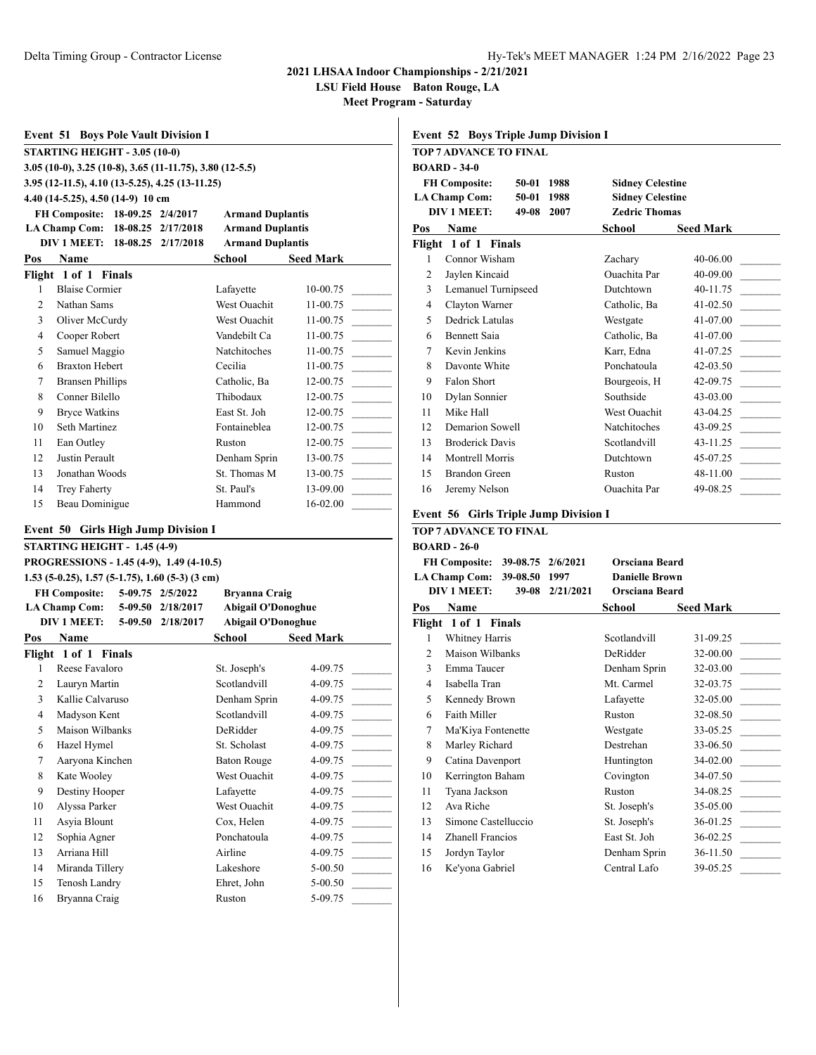**LSU Field House Baton Rouge, LA**

**Meet Program - Saturday**

| <b>Event 51 Boys Pole Vault Division I</b><br><b>STARTING HEIGHT - 3.05 (10-0)</b><br>3.05 (10-0), 3.25 (10-8), 3.65 (11-11.75), 3.80 (12-5.5)<br>3.95 (12-11.5), 4.10 (13-5.25), 4.25 (13-11.25)<br>4.40 (14-5.25), 4.50 (14-9) 10 cm<br><b>Armand Duplantis</b><br><b>FH Composite:</b><br>18-09.25 2/4/2017<br><b>Armand Duplantis</b><br><b>LA Champ Com:</b><br>18-08.25 2/17/2018<br><b>DIV 1 MEET:</b><br>18-08.25<br>2/17/2018<br><b>Armand Duplantis</b><br>School<br>Pos<br><b>Name</b><br><b>Seed Mark</b><br>Flight 1 of 1 Finals<br><b>Blaise Cormier</b><br>1<br>Lafayette<br>10-00.75<br>$\overline{2}$<br>Nathan Sams<br>West Ouachit<br>11-00.75<br>3<br>West Ouachit<br>Oliver McCurdy<br>11-00.75<br>4<br>Vandebilt Ca<br>Cooper Robert<br>11-00.75<br>5<br>Samuel Maggio<br>Natchitoches<br>11-00.75<br>6<br><b>Braxton Hebert</b><br>Cecilia<br>11-00.75<br>7<br><b>Bransen Phillips</b><br>Catholic, Ba<br>12-00.75<br>Conner Bilello<br>Thibodaux<br>8<br>12-00.75<br>9<br><b>Bryce Watkins</b><br>East St. Joh<br>12-00.75<br>Seth Martinez<br>Fontaineblea<br>10<br>12-00.75<br>11<br>Ean Outley<br>Ruston<br>12-00.75<br>12<br>Justin Perault<br>Denham Sprin<br>13-00.75<br>Jonathan Woods<br>St. Thomas M<br>13<br>13-00.75<br>St. Paul's<br>14<br><b>Trey Faherty</b><br>13-09.00<br>15<br>Beau Dominigue<br>Hammond<br>16-02.00<br><b>Event 50 Girls High Jump Division I</b><br>STARTING HEIGHT - 1.45 (4-9)<br>PROGRESSIONS - 1.45 (4-9), 1.49 (4-10.5)<br>$1.53$ (5-0.25), 1.57 (5-1.75), 1.60 (5-3) (3 cm)<br><b>FH Composite:</b><br>5-09.75 2/5/2022<br><b>Bryanna Craig</b><br><b>Abigail O'Donoghue</b><br><b>LA Champ Com:</b><br>5-09.50 2/18/2017<br><b>DIV 1 MEET:</b><br>5-09.50 2/18/2017<br><b>Abigail O'Donoghue</b><br>School<br><b>Seed Mark</b><br>Pos Name<br>Flight 1 of 1 Finals<br>1<br>Reese Favaloro<br>St. Joseph's<br>4-09.75<br>$\overline{2}$<br>Scotlandvill<br>Lauryn Martin<br>4-09.75<br>3<br>Kallie Calvaruso<br>Denham Sprin<br>4-09.75<br>4<br>Madyson Kent<br>Scotlandvill<br>4-09.75<br>5<br>Maison Wilbanks<br>DeRidder<br>4-09.75<br>6<br>Hazel Hymel<br>St. Scholast<br>4-09.75<br>$\tau$<br>Aaryona Kinchen<br><b>Baton Rouge</b><br>4-09.75<br>$\,8\,$<br>Kate Wooley<br>West Ouachit<br>4-09.75<br>9<br>Destiny Hooper<br>Lafayette<br>4-09.75<br>Alyssa Parker<br>West Ouachit<br>10<br>4-09.75<br>Asyia Blount<br>11<br>Cox, Helen<br>4-09.75<br>12<br>Sophia Agner<br>Ponchatoula<br>4-09.75 |    |              |  |         |
|---------------------------------------------------------------------------------------------------------------------------------------------------------------------------------------------------------------------------------------------------------------------------------------------------------------------------------------------------------------------------------------------------------------------------------------------------------------------------------------------------------------------------------------------------------------------------------------------------------------------------------------------------------------------------------------------------------------------------------------------------------------------------------------------------------------------------------------------------------------------------------------------------------------------------------------------------------------------------------------------------------------------------------------------------------------------------------------------------------------------------------------------------------------------------------------------------------------------------------------------------------------------------------------------------------------------------------------------------------------------------------------------------------------------------------------------------------------------------------------------------------------------------------------------------------------------------------------------------------------------------------------------------------------------------------------------------------------------------------------------------------------------------------------------------------------------------------------------------------------------------------------------------------------------------------------------------------------------------------------------------------------------------------------------------------------------------------------------------------------------------------------------------------------------------------------------------------------------------------------------------------------------------------------------------------------------------------------------------------------------------------------------------------------------------------------------------------------------------|----|--------------|--|---------|
|                                                                                                                                                                                                                                                                                                                                                                                                                                                                                                                                                                                                                                                                                                                                                                                                                                                                                                                                                                                                                                                                                                                                                                                                                                                                                                                                                                                                                                                                                                                                                                                                                                                                                                                                                                                                                                                                                                                                                                                                                                                                                                                                                                                                                                                                                                                                                                                                                                                                           |    |              |  |         |
|                                                                                                                                                                                                                                                                                                                                                                                                                                                                                                                                                                                                                                                                                                                                                                                                                                                                                                                                                                                                                                                                                                                                                                                                                                                                                                                                                                                                                                                                                                                                                                                                                                                                                                                                                                                                                                                                                                                                                                                                                                                                                                                                                                                                                                                                                                                                                                                                                                                                           |    |              |  |         |
|                                                                                                                                                                                                                                                                                                                                                                                                                                                                                                                                                                                                                                                                                                                                                                                                                                                                                                                                                                                                                                                                                                                                                                                                                                                                                                                                                                                                                                                                                                                                                                                                                                                                                                                                                                                                                                                                                                                                                                                                                                                                                                                                                                                                                                                                                                                                                                                                                                                                           |    |              |  |         |
|                                                                                                                                                                                                                                                                                                                                                                                                                                                                                                                                                                                                                                                                                                                                                                                                                                                                                                                                                                                                                                                                                                                                                                                                                                                                                                                                                                                                                                                                                                                                                                                                                                                                                                                                                                                                                                                                                                                                                                                                                                                                                                                                                                                                                                                                                                                                                                                                                                                                           |    |              |  |         |
|                                                                                                                                                                                                                                                                                                                                                                                                                                                                                                                                                                                                                                                                                                                                                                                                                                                                                                                                                                                                                                                                                                                                                                                                                                                                                                                                                                                                                                                                                                                                                                                                                                                                                                                                                                                                                                                                                                                                                                                                                                                                                                                                                                                                                                                                                                                                                                                                                                                                           |    |              |  |         |
|                                                                                                                                                                                                                                                                                                                                                                                                                                                                                                                                                                                                                                                                                                                                                                                                                                                                                                                                                                                                                                                                                                                                                                                                                                                                                                                                                                                                                                                                                                                                                                                                                                                                                                                                                                                                                                                                                                                                                                                                                                                                                                                                                                                                                                                                                                                                                                                                                                                                           |    |              |  |         |
|                                                                                                                                                                                                                                                                                                                                                                                                                                                                                                                                                                                                                                                                                                                                                                                                                                                                                                                                                                                                                                                                                                                                                                                                                                                                                                                                                                                                                                                                                                                                                                                                                                                                                                                                                                                                                                                                                                                                                                                                                                                                                                                                                                                                                                                                                                                                                                                                                                                                           |    |              |  |         |
|                                                                                                                                                                                                                                                                                                                                                                                                                                                                                                                                                                                                                                                                                                                                                                                                                                                                                                                                                                                                                                                                                                                                                                                                                                                                                                                                                                                                                                                                                                                                                                                                                                                                                                                                                                                                                                                                                                                                                                                                                                                                                                                                                                                                                                                                                                                                                                                                                                                                           |    |              |  |         |
|                                                                                                                                                                                                                                                                                                                                                                                                                                                                                                                                                                                                                                                                                                                                                                                                                                                                                                                                                                                                                                                                                                                                                                                                                                                                                                                                                                                                                                                                                                                                                                                                                                                                                                                                                                                                                                                                                                                                                                                                                                                                                                                                                                                                                                                                                                                                                                                                                                                                           |    |              |  |         |
|                                                                                                                                                                                                                                                                                                                                                                                                                                                                                                                                                                                                                                                                                                                                                                                                                                                                                                                                                                                                                                                                                                                                                                                                                                                                                                                                                                                                                                                                                                                                                                                                                                                                                                                                                                                                                                                                                                                                                                                                                                                                                                                                                                                                                                                                                                                                                                                                                                                                           |    |              |  |         |
|                                                                                                                                                                                                                                                                                                                                                                                                                                                                                                                                                                                                                                                                                                                                                                                                                                                                                                                                                                                                                                                                                                                                                                                                                                                                                                                                                                                                                                                                                                                                                                                                                                                                                                                                                                                                                                                                                                                                                                                                                                                                                                                                                                                                                                                                                                                                                                                                                                                                           |    |              |  |         |
|                                                                                                                                                                                                                                                                                                                                                                                                                                                                                                                                                                                                                                                                                                                                                                                                                                                                                                                                                                                                                                                                                                                                                                                                                                                                                                                                                                                                                                                                                                                                                                                                                                                                                                                                                                                                                                                                                                                                                                                                                                                                                                                                                                                                                                                                                                                                                                                                                                                                           |    |              |  |         |
|                                                                                                                                                                                                                                                                                                                                                                                                                                                                                                                                                                                                                                                                                                                                                                                                                                                                                                                                                                                                                                                                                                                                                                                                                                                                                                                                                                                                                                                                                                                                                                                                                                                                                                                                                                                                                                                                                                                                                                                                                                                                                                                                                                                                                                                                                                                                                                                                                                                                           |    |              |  |         |
|                                                                                                                                                                                                                                                                                                                                                                                                                                                                                                                                                                                                                                                                                                                                                                                                                                                                                                                                                                                                                                                                                                                                                                                                                                                                                                                                                                                                                                                                                                                                                                                                                                                                                                                                                                                                                                                                                                                                                                                                                                                                                                                                                                                                                                                                                                                                                                                                                                                                           |    |              |  |         |
|                                                                                                                                                                                                                                                                                                                                                                                                                                                                                                                                                                                                                                                                                                                                                                                                                                                                                                                                                                                                                                                                                                                                                                                                                                                                                                                                                                                                                                                                                                                                                                                                                                                                                                                                                                                                                                                                                                                                                                                                                                                                                                                                                                                                                                                                                                                                                                                                                                                                           |    |              |  |         |
|                                                                                                                                                                                                                                                                                                                                                                                                                                                                                                                                                                                                                                                                                                                                                                                                                                                                                                                                                                                                                                                                                                                                                                                                                                                                                                                                                                                                                                                                                                                                                                                                                                                                                                                                                                                                                                                                                                                                                                                                                                                                                                                                                                                                                                                                                                                                                                                                                                                                           |    |              |  |         |
|                                                                                                                                                                                                                                                                                                                                                                                                                                                                                                                                                                                                                                                                                                                                                                                                                                                                                                                                                                                                                                                                                                                                                                                                                                                                                                                                                                                                                                                                                                                                                                                                                                                                                                                                                                                                                                                                                                                                                                                                                                                                                                                                                                                                                                                                                                                                                                                                                                                                           |    |              |  |         |
|                                                                                                                                                                                                                                                                                                                                                                                                                                                                                                                                                                                                                                                                                                                                                                                                                                                                                                                                                                                                                                                                                                                                                                                                                                                                                                                                                                                                                                                                                                                                                                                                                                                                                                                                                                                                                                                                                                                                                                                                                                                                                                                                                                                                                                                                                                                                                                                                                                                                           |    |              |  |         |
|                                                                                                                                                                                                                                                                                                                                                                                                                                                                                                                                                                                                                                                                                                                                                                                                                                                                                                                                                                                                                                                                                                                                                                                                                                                                                                                                                                                                                                                                                                                                                                                                                                                                                                                                                                                                                                                                                                                                                                                                                                                                                                                                                                                                                                                                                                                                                                                                                                                                           |    |              |  |         |
|                                                                                                                                                                                                                                                                                                                                                                                                                                                                                                                                                                                                                                                                                                                                                                                                                                                                                                                                                                                                                                                                                                                                                                                                                                                                                                                                                                                                                                                                                                                                                                                                                                                                                                                                                                                                                                                                                                                                                                                                                                                                                                                                                                                                                                                                                                                                                                                                                                                                           |    |              |  |         |
|                                                                                                                                                                                                                                                                                                                                                                                                                                                                                                                                                                                                                                                                                                                                                                                                                                                                                                                                                                                                                                                                                                                                                                                                                                                                                                                                                                                                                                                                                                                                                                                                                                                                                                                                                                                                                                                                                                                                                                                                                                                                                                                                                                                                                                                                                                                                                                                                                                                                           |    |              |  |         |
|                                                                                                                                                                                                                                                                                                                                                                                                                                                                                                                                                                                                                                                                                                                                                                                                                                                                                                                                                                                                                                                                                                                                                                                                                                                                                                                                                                                                                                                                                                                                                                                                                                                                                                                                                                                                                                                                                                                                                                                                                                                                                                                                                                                                                                                                                                                                                                                                                                                                           |    |              |  |         |
|                                                                                                                                                                                                                                                                                                                                                                                                                                                                                                                                                                                                                                                                                                                                                                                                                                                                                                                                                                                                                                                                                                                                                                                                                                                                                                                                                                                                                                                                                                                                                                                                                                                                                                                                                                                                                                                                                                                                                                                                                                                                                                                                                                                                                                                                                                                                                                                                                                                                           |    |              |  |         |
|                                                                                                                                                                                                                                                                                                                                                                                                                                                                                                                                                                                                                                                                                                                                                                                                                                                                                                                                                                                                                                                                                                                                                                                                                                                                                                                                                                                                                                                                                                                                                                                                                                                                                                                                                                                                                                                                                                                                                                                                                                                                                                                                                                                                                                                                                                                                                                                                                                                                           |    |              |  |         |
|                                                                                                                                                                                                                                                                                                                                                                                                                                                                                                                                                                                                                                                                                                                                                                                                                                                                                                                                                                                                                                                                                                                                                                                                                                                                                                                                                                                                                                                                                                                                                                                                                                                                                                                                                                                                                                                                                                                                                                                                                                                                                                                                                                                                                                                                                                                                                                                                                                                                           |    |              |  |         |
|                                                                                                                                                                                                                                                                                                                                                                                                                                                                                                                                                                                                                                                                                                                                                                                                                                                                                                                                                                                                                                                                                                                                                                                                                                                                                                                                                                                                                                                                                                                                                                                                                                                                                                                                                                                                                                                                                                                                                                                                                                                                                                                                                                                                                                                                                                                                                                                                                                                                           |    |              |  |         |
|                                                                                                                                                                                                                                                                                                                                                                                                                                                                                                                                                                                                                                                                                                                                                                                                                                                                                                                                                                                                                                                                                                                                                                                                                                                                                                                                                                                                                                                                                                                                                                                                                                                                                                                                                                                                                                                                                                                                                                                                                                                                                                                                                                                                                                                                                                                                                                                                                                                                           |    |              |  |         |
|                                                                                                                                                                                                                                                                                                                                                                                                                                                                                                                                                                                                                                                                                                                                                                                                                                                                                                                                                                                                                                                                                                                                                                                                                                                                                                                                                                                                                                                                                                                                                                                                                                                                                                                                                                                                                                                                                                                                                                                                                                                                                                                                                                                                                                                                                                                                                                                                                                                                           |    |              |  |         |
|                                                                                                                                                                                                                                                                                                                                                                                                                                                                                                                                                                                                                                                                                                                                                                                                                                                                                                                                                                                                                                                                                                                                                                                                                                                                                                                                                                                                                                                                                                                                                                                                                                                                                                                                                                                                                                                                                                                                                                                                                                                                                                                                                                                                                                                                                                                                                                                                                                                                           |    |              |  |         |
|                                                                                                                                                                                                                                                                                                                                                                                                                                                                                                                                                                                                                                                                                                                                                                                                                                                                                                                                                                                                                                                                                                                                                                                                                                                                                                                                                                                                                                                                                                                                                                                                                                                                                                                                                                                                                                                                                                                                                                                                                                                                                                                                                                                                                                                                                                                                                                                                                                                                           |    |              |  |         |
|                                                                                                                                                                                                                                                                                                                                                                                                                                                                                                                                                                                                                                                                                                                                                                                                                                                                                                                                                                                                                                                                                                                                                                                                                                                                                                                                                                                                                                                                                                                                                                                                                                                                                                                                                                                                                                                                                                                                                                                                                                                                                                                                                                                                                                                                                                                                                                                                                                                                           |    |              |  |         |
|                                                                                                                                                                                                                                                                                                                                                                                                                                                                                                                                                                                                                                                                                                                                                                                                                                                                                                                                                                                                                                                                                                                                                                                                                                                                                                                                                                                                                                                                                                                                                                                                                                                                                                                                                                                                                                                                                                                                                                                                                                                                                                                                                                                                                                                                                                                                                                                                                                                                           |    |              |  |         |
|                                                                                                                                                                                                                                                                                                                                                                                                                                                                                                                                                                                                                                                                                                                                                                                                                                                                                                                                                                                                                                                                                                                                                                                                                                                                                                                                                                                                                                                                                                                                                                                                                                                                                                                                                                                                                                                                                                                                                                                                                                                                                                                                                                                                                                                                                                                                                                                                                                                                           |    |              |  |         |
|                                                                                                                                                                                                                                                                                                                                                                                                                                                                                                                                                                                                                                                                                                                                                                                                                                                                                                                                                                                                                                                                                                                                                                                                                                                                                                                                                                                                                                                                                                                                                                                                                                                                                                                                                                                                                                                                                                                                                                                                                                                                                                                                                                                                                                                                                                                                                                                                                                                                           |    |              |  |         |
|                                                                                                                                                                                                                                                                                                                                                                                                                                                                                                                                                                                                                                                                                                                                                                                                                                                                                                                                                                                                                                                                                                                                                                                                                                                                                                                                                                                                                                                                                                                                                                                                                                                                                                                                                                                                                                                                                                                                                                                                                                                                                                                                                                                                                                                                                                                                                                                                                                                                           |    |              |  |         |
|                                                                                                                                                                                                                                                                                                                                                                                                                                                                                                                                                                                                                                                                                                                                                                                                                                                                                                                                                                                                                                                                                                                                                                                                                                                                                                                                                                                                                                                                                                                                                                                                                                                                                                                                                                                                                                                                                                                                                                                                                                                                                                                                                                                                                                                                                                                                                                                                                                                                           |    |              |  |         |
|                                                                                                                                                                                                                                                                                                                                                                                                                                                                                                                                                                                                                                                                                                                                                                                                                                                                                                                                                                                                                                                                                                                                                                                                                                                                                                                                                                                                                                                                                                                                                                                                                                                                                                                                                                                                                                                                                                                                                                                                                                                                                                                                                                                                                                                                                                                                                                                                                                                                           |    |              |  |         |
|                                                                                                                                                                                                                                                                                                                                                                                                                                                                                                                                                                                                                                                                                                                                                                                                                                                                                                                                                                                                                                                                                                                                                                                                                                                                                                                                                                                                                                                                                                                                                                                                                                                                                                                                                                                                                                                                                                                                                                                                                                                                                                                                                                                                                                                                                                                                                                                                                                                                           |    |              |  |         |
|                                                                                                                                                                                                                                                                                                                                                                                                                                                                                                                                                                                                                                                                                                                                                                                                                                                                                                                                                                                                                                                                                                                                                                                                                                                                                                                                                                                                                                                                                                                                                                                                                                                                                                                                                                                                                                                                                                                                                                                                                                                                                                                                                                                                                                                                                                                                                                                                                                                                           |    |              |  |         |
|                                                                                                                                                                                                                                                                                                                                                                                                                                                                                                                                                                                                                                                                                                                                                                                                                                                                                                                                                                                                                                                                                                                                                                                                                                                                                                                                                                                                                                                                                                                                                                                                                                                                                                                                                                                                                                                                                                                                                                                                                                                                                                                                                                                                                                                                                                                                                                                                                                                                           |    |              |  |         |
|                                                                                                                                                                                                                                                                                                                                                                                                                                                                                                                                                                                                                                                                                                                                                                                                                                                                                                                                                                                                                                                                                                                                                                                                                                                                                                                                                                                                                                                                                                                                                                                                                                                                                                                                                                                                                                                                                                                                                                                                                                                                                                                                                                                                                                                                                                                                                                                                                                                                           |    |              |  |         |
|                                                                                                                                                                                                                                                                                                                                                                                                                                                                                                                                                                                                                                                                                                                                                                                                                                                                                                                                                                                                                                                                                                                                                                                                                                                                                                                                                                                                                                                                                                                                                                                                                                                                                                                                                                                                                                                                                                                                                                                                                                                                                                                                                                                                                                                                                                                                                                                                                                                                           |    |              |  |         |
|                                                                                                                                                                                                                                                                                                                                                                                                                                                                                                                                                                                                                                                                                                                                                                                                                                                                                                                                                                                                                                                                                                                                                                                                                                                                                                                                                                                                                                                                                                                                                                                                                                                                                                                                                                                                                                                                                                                                                                                                                                                                                                                                                                                                                                                                                                                                                                                                                                                                           |    |              |  |         |
|                                                                                                                                                                                                                                                                                                                                                                                                                                                                                                                                                                                                                                                                                                                                                                                                                                                                                                                                                                                                                                                                                                                                                                                                                                                                                                                                                                                                                                                                                                                                                                                                                                                                                                                                                                                                                                                                                                                                                                                                                                                                                                                                                                                                                                                                                                                                                                                                                                                                           |    |              |  |         |
|                                                                                                                                                                                                                                                                                                                                                                                                                                                                                                                                                                                                                                                                                                                                                                                                                                                                                                                                                                                                                                                                                                                                                                                                                                                                                                                                                                                                                                                                                                                                                                                                                                                                                                                                                                                                                                                                                                                                                                                                                                                                                                                                                                                                                                                                                                                                                                                                                                                                           |    |              |  |         |
|                                                                                                                                                                                                                                                                                                                                                                                                                                                                                                                                                                                                                                                                                                                                                                                                                                                                                                                                                                                                                                                                                                                                                                                                                                                                                                                                                                                                                                                                                                                                                                                                                                                                                                                                                                                                                                                                                                                                                                                                                                                                                                                                                                                                                                                                                                                                                                                                                                                                           |    |              |  |         |
| 13<br>Airline<br>4-09.75                                                                                                                                                                                                                                                                                                                                                                                                                                                                                                                                                                                                                                                                                                                                                                                                                                                                                                                                                                                                                                                                                                                                                                                                                                                                                                                                                                                                                                                                                                                                                                                                                                                                                                                                                                                                                                                                                                                                                                                                                                                                                                                                                                                                                                                                                                                                                                                                                                                  |    |              |  |         |
|                                                                                                                                                                                                                                                                                                                                                                                                                                                                                                                                                                                                                                                                                                                                                                                                                                                                                                                                                                                                                                                                                                                                                                                                                                                                                                                                                                                                                                                                                                                                                                                                                                                                                                                                                                                                                                                                                                                                                                                                                                                                                                                                                                                                                                                                                                                                                                                                                                                                           |    | Arriana Hill |  |         |
| Lakeshore                                                                                                                                                                                                                                                                                                                                                                                                                                                                                                                                                                                                                                                                                                                                                                                                                                                                                                                                                                                                                                                                                                                                                                                                                                                                                                                                                                                                                                                                                                                                                                                                                                                                                                                                                                                                                                                                                                                                                                                                                                                                                                                                                                                                                                                                                                                                                                                                                                                                 | 14 |              |  | 5-00.50 |
| Miranda Tillery<br>15<br>Tenosh Landry<br>Ehret, John<br>5-00.50                                                                                                                                                                                                                                                                                                                                                                                                                                                                                                                                                                                                                                                                                                                                                                                                                                                                                                                                                                                                                                                                                                                                                                                                                                                                                                                                                                                                                                                                                                                                                                                                                                                                                                                                                                                                                                                                                                                                                                                                                                                                                                                                                                                                                                                                                                                                                                                                          |    |              |  |         |
|                                                                                                                                                                                                                                                                                                                                                                                                                                                                                                                                                                                                                                                                                                                                                                                                                                                                                                                                                                                                                                                                                                                                                                                                                                                                                                                                                                                                                                                                                                                                                                                                                                                                                                                                                                                                                                                                                                                                                                                                                                                                                                                                                                                                                                                                                                                                                                                                                                                                           |    |              |  |         |
|                                                                                                                                                                                                                                                                                                                                                                                                                                                                                                                                                                                                                                                                                                                                                                                                                                                                                                                                                                                                                                                                                                                                                                                                                                                                                                                                                                                                                                                                                                                                                                                                                                                                                                                                                                                                                                                                                                                                                                                                                                                                                                                                                                                                                                                                                                                                                                                                                                                                           |    |              |  |         |

|              | <b>Event 52 Boys Triple Jump Division I</b> |                         |                  |
|--------------|---------------------------------------------|-------------------------|------------------|
|              | <b>TOP 7 ADVANCE TO FINAL</b>               |                         |                  |
|              | <b>BOARD - 34-0</b>                         |                         |                  |
|              | <b>FH Composite:</b><br>1988<br>50-01       | <b>Sidney Celestine</b> |                  |
|              | <b>LA Champ Com:</b><br>50-01<br>1988       | <b>Sidney Celestine</b> |                  |
|              | DIV 1 MEET:<br>49-08<br>2007                | <b>Zedric Thomas</b>    |                  |
| Pos          | Name                                        | School                  | <b>Seed Mark</b> |
|              | Flight 1 of 1 Finals                        |                         |                  |
| $\mathbf{1}$ | Connor Wisham                               | Zachary                 | 40-06.00         |
| 2            | Jaylen Kincaid                              | <b>Ouachita</b> Par     | 40-09.00         |
| 3            | Lemanuel Turnipseed                         | <b>Dutchtown</b>        | 40-11.75         |
| 4            | Clayton Warner                              | Catholic, Ba            | $41 - 02.50$     |
| 5            | Dedrick Latulas                             | Westgate                | $41 - 07.00$     |
| 6            | <b>Bennett Saia</b>                         | Catholic, Ba            | 41-07.00         |
| $\tau$       | Kevin Jenkins                               | Karr, Edna              | 41-07.25         |
| 8            | Davonte White                               | Ponchatoula             | $42 - 03.50$     |
| 9            | Falon Short                                 | Bourgeois, H            | 42-09.75         |
| 10           | Dylan Sonnier                               | Southside               | 43-03.00         |
| 11           | Mike Hall                                   | West Ouachit            | 43-04.25         |
| 12           | Demarion Sowell                             | <b>Natchitoches</b>     | 43-09.25         |
| 13           | <b>Broderick Davis</b>                      | Scotlandvill            | $43 - 11.25$     |
| 14           | Montrell Morris                             | Dutchtown               | 45-07.25         |
| 15           | Brandon Green                               | Ruston                  | 48-11.00         |
| 16           | Jeremy Nelson                               | <b>Ouachita</b> Par     | 49-08.25         |
|              |                                             |                         |                  |

## **Event 56 Girls Triple Jump Division I**

|                | TOP 7 ADVANCE TO FINAL          |           |                       |                  |
|----------------|---------------------------------|-----------|-----------------------|------------------|
|                | <b>BOARD - 26-0</b>             |           |                       |                  |
|                | FH Composite: 39-08.75 2/6/2021 |           | Orsciana Beard        |                  |
|                | LA Champ Com: 39-08.50          | 1997      | <b>Danielle Brown</b> |                  |
|                | DIV 1 MEET:<br>39-08            | 2/21/2021 | <b>Orsciana Beard</b> |                  |
| Pos            | Name                            |           | School                | <b>Seed Mark</b> |
|                | Flight 1 of 1 Finals            |           |                       |                  |
| $\mathbf{1}$   | Whitney Harris                  |           | Scotlandvill          | 31-09.25         |
| $\overline{c}$ | Maison Wilbanks                 |           | DeRidder              | 32-00.00         |
| 3              | Emma Taucer                     |           | Denham Sprin          | 32-03.00         |
| 4              | Isabella Tran                   |           | Mt. Carmel            | 32-03.75         |
| 5              | Kennedy Brown                   |           | Lafayette             | 32-05.00         |
| 6              | Faith Miller                    |           | Ruston                | 32-08.50         |
| 7              | Ma'Kiya Fontenette              |           | Westgate              | 33-05.25         |
| 8              | Marley Richard                  |           | Destrehan             | 33-06.50         |
| 9              | Catina Davenport                |           | Huntington            | 34-02.00         |
| 10             | Kerrington Baham                |           | Covington             | 34-07.50         |
| 11             | Tyana Jackson                   |           | Ruston                | 34-08.25         |
| 12             | Ava Riche                       |           | St. Joseph's          | 35-05.00         |
| 13             | Simone Castelluccio             |           | St. Joseph's          | 36-01.25         |
| 14             | <b>Zhanell Francios</b>         |           | East St. Joh          | 36-02.25         |
| 15             | Jordyn Taylor                   |           | Denham Sprin          | 36-11.50         |
| 16             | Ke'yona Gabriel                 |           | Central Lafo          | 39-05.25         |
|                |                                 |           |                       |                  |